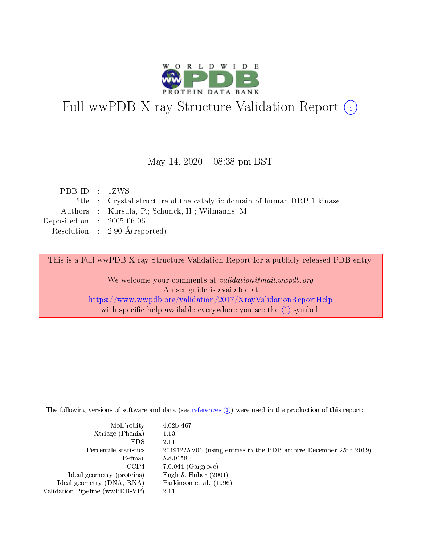

# Full wwPDB X-ray Structure Validation Report (i)

#### May 14,  $2020 - 08:38$  pm BST

| PDB ID : 1ZWS                                                           |  |
|-------------------------------------------------------------------------|--|
| Title : Crystal structure of the catalytic domain of human DRP-1 kinase |  |
| Authors : Kursula, P.; Schunck, H.; Wilmanns, M.                        |  |
| Deposited on : $2005-06-06$                                             |  |
| Resolution : $2.90 \text{ Å}$ (reported)                                |  |

This is a Full wwPDB X-ray Structure Validation Report for a publicly released PDB entry.

We welcome your comments at validation@mail.wwpdb.org A user guide is available at <https://www.wwpdb.org/validation/2017/XrayValidationReportHelp> with specific help available everywhere you see the  $(i)$  symbol.

The following versions of software and data (see [references](https://www.wwpdb.org/validation/2017/XrayValidationReportHelp#references)  $(i)$ ) were used in the production of this report:

| $MolProbability$ 4.02b-467                          |                                                                                            |
|-----------------------------------------------------|--------------------------------------------------------------------------------------------|
| Xtriage (Phenix) $: 1.13$                           |                                                                                            |
| $EDS$ :                                             | -2.11                                                                                      |
|                                                     | Percentile statistics : 20191225.v01 (using entries in the PDB archive December 25th 2019) |
|                                                     | Refmac : 5.8.0158                                                                          |
|                                                     | $CCP4$ : 7.0.044 (Gargrove)                                                                |
| Ideal geometry (proteins) : Engh $\&$ Huber (2001)  |                                                                                            |
| Ideal geometry (DNA, RNA) : Parkinson et al. (1996) |                                                                                            |
| Validation Pipeline (wwPDB-VP)                      | -2.11                                                                                      |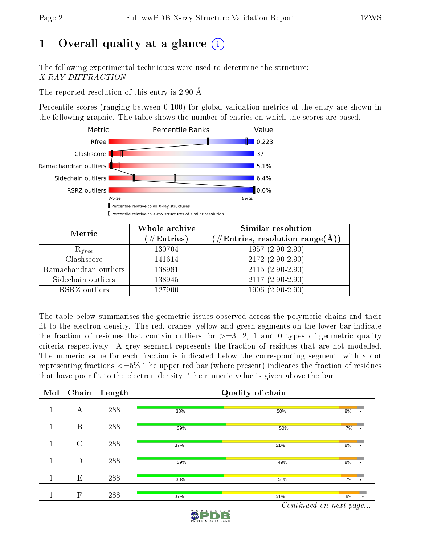# 1 [O](https://www.wwpdb.org/validation/2017/XrayValidationReportHelp#overall_quality)verall quality at a glance  $(i)$

The following experimental techniques were used to determine the structure: X-RAY DIFFRACTION

The reported resolution of this entry is 2.90 Å.

Percentile scores (ranging between 0-100) for global validation metrics of the entry are shown in the following graphic. The table shows the number of entries on which the scores are based.



| Metric                | Whole archive<br>$(\#\mathrm{Entries})$ | Similar resolution<br>$(\#\text{Entries},\,\text{resolution}\,\,\text{range}(\textup{\AA}))$ |
|-----------------------|-----------------------------------------|----------------------------------------------------------------------------------------------|
| $R_{free}$            | 130704                                  | $1957(2.90-2.90)$                                                                            |
| Clashscore            | 141614                                  | $2172(2.90-2.90)$                                                                            |
| Ramachandran outliers | 138981                                  | $2115(2.90-2.90)$                                                                            |
| Sidechain outliers    | 138945                                  | $2117(2.90-2.90)$                                                                            |
| RSRZ outliers         | 127900                                  | $1906(2.90-2.90)$                                                                            |

The table below summarises the geometric issues observed across the polymeric chains and their fit to the electron density. The red, orange, yellow and green segments on the lower bar indicate the fraction of residues that contain outliers for  $>=3, 2, 1$  and 0 types of geometric quality criteria respectively. A grey segment represents the fraction of residues that are not modelled. The numeric value for each fraction is indicated below the corresponding segment, with a dot representing fractions  $\epsilon=5\%$  The upper red bar (where present) indicates the fraction of residues that have poor fit to the electron density. The numeric value is given above the bar.

| Mol | Chain   | Length | Quality of chain |     |                 |  |  |  |
|-----|---------|--------|------------------|-----|-----------------|--|--|--|
| 1   | А       | 288    | 38%              | 50% | 8%<br>$\bullet$ |  |  |  |
|     | B       | 288    | 39%              | 50% | 7%              |  |  |  |
| 1   | $\rm C$ | 288    | 37%              | 51% | 8%              |  |  |  |
|     | D       | 288    | 39%              | 49% | 8%              |  |  |  |
| м   | E       | 288    | 38%              | 51% | 7%<br>$\bullet$ |  |  |  |
|     | F       | 288    | 37%              | 51% | 9%              |  |  |  |

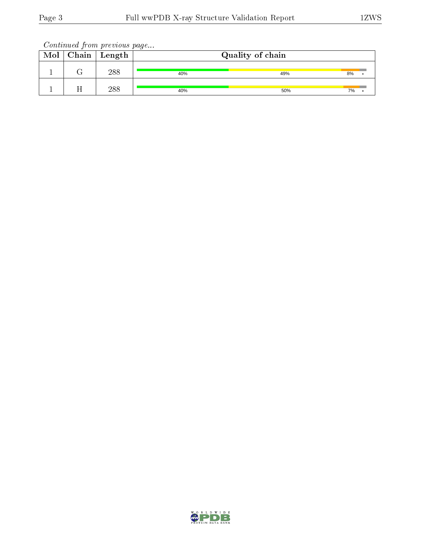| Mol | Chain | ' Length | Quality of chain |     |    |  |  |
|-----|-------|----------|------------------|-----|----|--|--|
|     |       | 288      | 40%              | 49% | 8% |  |  |
|     |       | 288      | 40%              | 50% | 7% |  |  |

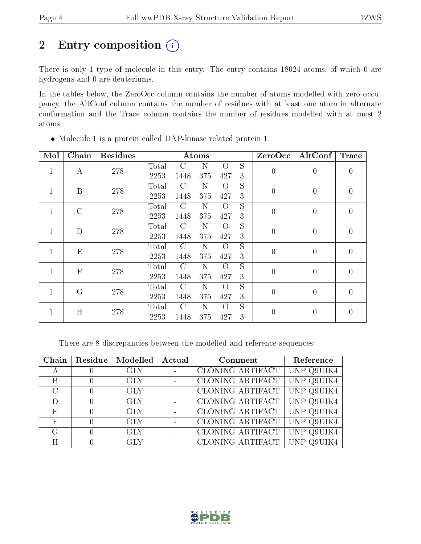# 2 Entry composition (i)

There is only 1 type of molecule in this entry. The entry contains 18024 atoms, of which 0 are hydrogens and 0 are deuteriums.

In the tables below, the ZeroOcc column contains the number of atoms modelled with zero occupancy, the AltConf column contains the number of residues with at least one atom in alternate conformation and the Trace column contains the number of residues modelled with at most 2 atoms.

| Mol          | Chain          | Residues |       |               | Atoms |          |                | ZeroOcc        | AltConf        | <b>Trace</b>   |
|--------------|----------------|----------|-------|---------------|-------|----------|----------------|----------------|----------------|----------------|
| 1            | А              | 278      | Total | C             | N     | $\Omega$ | S              | $\overline{0}$ | $\overline{0}$ | $\overline{0}$ |
|              |                |          | 2253  | 1448          | 375   | 427      | 3              |                |                |                |
| $\mathbf{1}$ | B              | 278      | Total | $\rm C$       | N     | $\Omega$ | S              | $\overline{0}$ | $\theta$       | $\theta$       |
|              |                |          | 2253  | 1448          | 375   | 427      | 3              |                |                |                |
| 1            | $\overline{C}$ | 278      | Total | $\rm C$       | N     | $\Omega$ | S              | $\overline{0}$ | $\overline{0}$ | $\overline{0}$ |
|              |                |          | 2253  | 1448          | 375   | 427      | 3              |                |                |                |
| 1            | D              | 278      | Total | $\rm C$       | N     | $\Omega$ | S              | $\overline{0}$ | $\overline{0}$ | $\overline{0}$ |
|              |                |          | 2253  | 1448          | 375   | 427      | 3              |                |                |                |
| 1            | E              | 278      | Total | $\mathcal{C}$ | N     | $\Omega$ | S              | $\overline{0}$ | $\overline{0}$ | $\theta$       |
|              |                |          | 2253  | 1448          | 375   | 427      | 3              |                |                |                |
| 1            | $\overline{F}$ | 278      | Total | $\mathcal{C}$ | N     | $\Omega$ | S              | $\overline{0}$ | $\overline{0}$ | $\overline{0}$ |
|              |                |          | 2253  | 1448          | 375   | 427      | 3              |                |                |                |
| 1            | $\rm G$        | 278      | Total | C             | N     | $\Omega$ | $\overline{S}$ | $\overline{0}$ | $\theta$       | $\overline{0}$ |
|              |                |          | 2253  | 1448          | 375   | 427      | 3              |                |                |                |
| 1            | H              | 278      | Total | $\rm C$       | N     | $\Omega$ | S              | $\overline{0}$ | $\theta$       | 0              |
|              |                |          | 2253  | 1448          | 375   | 427      | 3              |                |                |                |

Molecule 1 is a protein called DAP-kinase related protein 1.

There are 8 discrepancies between the modelled and reference sequences:

| Chain         | Residue | Modelled   | Actual | Comment                 | Reference  |
|---------------|---------|------------|--------|-------------------------|------------|
|               |         | <b>GLY</b> |        | CLONING ARTIFACT        | UNP Q9UIK4 |
| В             |         | <b>GLY</b> |        | CLONING ARTIFACT        | UNP Q9UIK4 |
| $\mathcal{C}$ |         | <b>GLY</b> |        | CLONING ARTIFACT        | UNP Q9UIK4 |
| D             |         | <b>GLY</b> |        | CLONING ARTIFACT        | UNP Q9UIK4 |
| E             |         | <b>GLY</b> |        | <b>CLONING ARTIFACT</b> | UNP Q9UIK4 |
| F             |         | <b>GLY</b> |        | CLONING ARTIFACT        | UNP Q9UIK4 |
| G             |         | <b>GLY</b> |        | CLONING ARTIFACT        | UNP Q9UIK4 |
| H             |         | GLY        |        | CLONING ARTIFACT        |            |

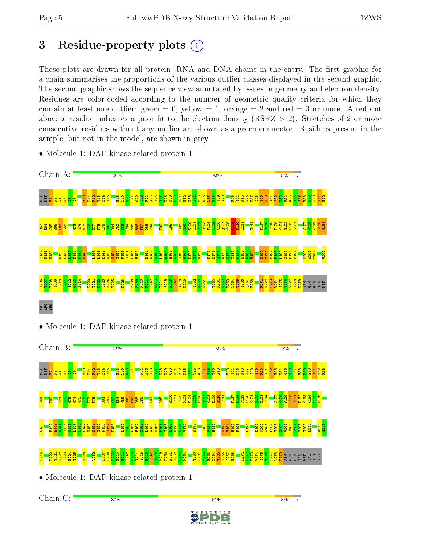Chain C:

37%

# 3 Residue-property plots  $(i)$

These plots are drawn for all protein, RNA and DNA chains in the entry. The first graphic for a chain summarises the proportions of the various outlier classes displayed in the second graphic. The second graphic shows the sequence view annotated by issues in geometry and electron density. Residues are color-coded according to the number of geometric quality criteria for which they contain at least one outlier: green  $= 0$ , yellow  $= 1$ , orange  $= 2$  and red  $= 3$  or more. A red dot above a residue indicates a poor fit to the electron density (RSRZ  $> 2$ ). Stretches of 2 or more consecutive residues without any outlier are shown as a green connector. Residues present in the sample, but not in the model, are shown in grey.



51%

D W I D E

8%

• Molecule 1: DAP-kinase related protein 1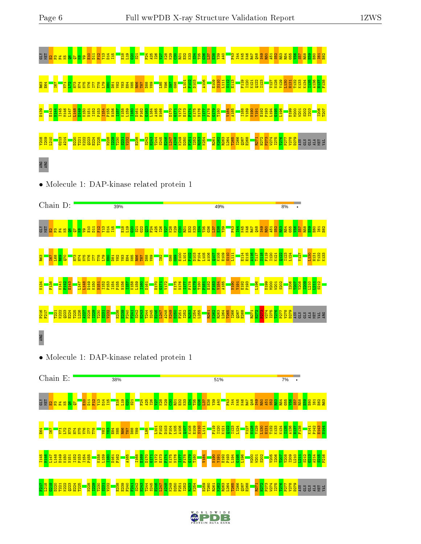

 $W$  I D E  $D_{\text{ATA}}$  bank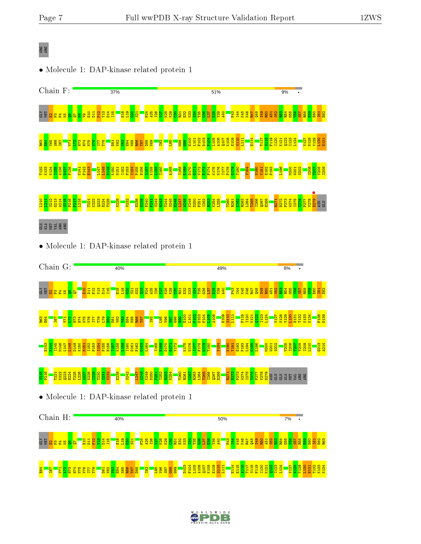## ARG ARG

E64 I67 V71  $\mathbb{E}$  . H73

a<br><mark>adaa</mark>a

D81  $\frac{82}{2}$ Y83 E84 N85 R86 T87  $\frac{88}{2}$  $\frac{192}{2}$ 

• Molecule 1: DAP-kinase related protein 1



 $\frac{8}{3}$  $\frac{8}{3}$  $\frac{8}{3}$  $\frac{8}{3}$  $\frac{8}{3}$ 

D103 F104 L105 A106 Q107 K108 E109 S110 L111 E114 E115 A116 T117 S118 F119 I120 K121  $\frac{122}{2}$ I123 L124 V127 N128 Y129 L130 H131 T132 K133 K134

W I D E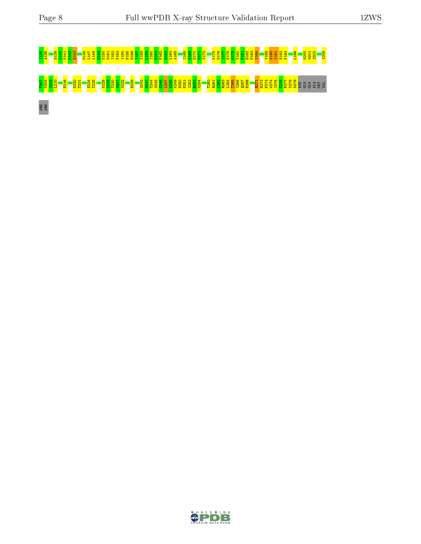# I135 A136 D139 L140 K141 P142 E143 M146 L147 L148 D149 K150 N151 I152 P153 I154 P155 H156 I157 K158 L159 I160 D161 F162 G163 L164 A165 I168 E169 D170 G171 V172 K175 N176 I177 F178 G179 T180 P181 E182 F183 V184 V189 N190 Y191 E192 P193 L196 M200 W201 S202 I206 T207 Y208 I209 L210 P216 D220 T221 E224 T225 N228 I229 T230 S231 V232 E238 S242 H243 T244 S245 E246 L247 A248 K249 D250 F251 I252 R253 K254 T260 R261 K262 R263 L264 T265 I266 Q267 E268 R271 H272 P273 W274 I275 T276 P277 V278 D279 ASN GLN GLN ALA MET VAL ARG ARG

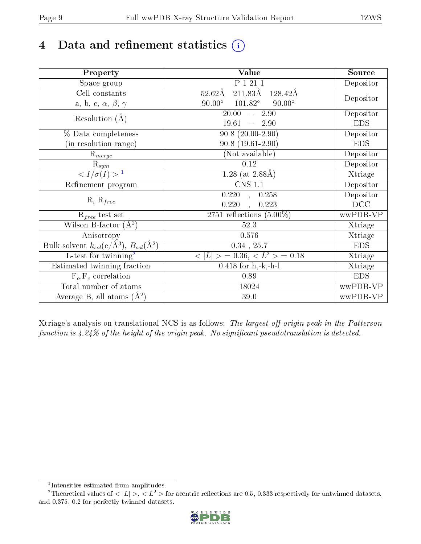# 4 Data and refinement statistics  $(i)$

| Property                                                             | <b>Value</b>                                       | Source     |
|----------------------------------------------------------------------|----------------------------------------------------|------------|
| Space group                                                          | P 1 21 1                                           | Depositor  |
| Cell constants                                                       | $211.83\text{\AA}$<br>$52.62\text{\AA}$<br>128.42Å |            |
| a, b, c, $\alpha$ , $\beta$ , $\gamma$                               | $90.00^\circ$<br>$101.82^\circ$<br>$90.00^\circ$   | Depositor  |
| Resolution $(A)$                                                     | 20.00<br>$-2.90$                                   | Depositor  |
|                                                                      | 19.61<br>2.90<br>$\equiv$                          | <b>EDS</b> |
| % Data completeness                                                  | $90.8(20.00-2.90)$                                 | Depositor  |
| (in resolution range)                                                | $90.8(19.61-2.90)$                                 | <b>EDS</b> |
| $R_{merge}$                                                          | (Not available)                                    | Depositor  |
| $\mathrm{R}_{sym}$                                                   | 0.12                                               | Depositor  |
| $\langle I/\sigma(I) \rangle^{-1}$                                   | 1.28 (at $2.88\text{\AA}$ )                        | Xtriage    |
| Refinement program                                                   | $\overline{\text{CNS} 1.1}$                        | Depositor  |
|                                                                      | 0.220<br>0.258<br>$\mathbf{A}$                     | Depositor  |
| $R, R_{free}$                                                        | 0.220<br>0.223                                     | DCC        |
| $R_{free}$ test set                                                  | 2751 reflections $(5.00\%)$                        | wwPDB-VP   |
| Wilson B-factor $(A^2)$                                              | 52.3                                               | Xtriage    |
| Anisotropy                                                           | 0.576                                              | Xtriage    |
| Bulk solvent $k_{sol}(e/\mathring{A}^3)$ , $B_{sol}(\mathring{A}^2)$ | $0.34$ , $25.7$                                    | <b>EDS</b> |
| L-test for twinning <sup>2</sup>                                     | $>$ = 0.36, < $L^2$ > = 0.18<br>< L                | Xtriage    |
| Estimated twinning fraction                                          | $0.418$ for h,-k,-h-l                              | Xtriage    |
| $F_o, F_c$ correlation                                               | 0.89                                               | <b>EDS</b> |
| Total number of atoms                                                | 18024                                              | wwPDB-VP   |
| Average B, all atoms $(A^2)$                                         | 39.0                                               | wwPDB-VP   |

Xtriage's analysis on translational NCS is as follows: The largest off-origin peak in the Patterson function is  $4.24\%$  of the height of the origin peak. No significant pseudotranslation is detected.

<sup>&</sup>lt;sup>2</sup>Theoretical values of  $\langle |L| \rangle$ ,  $\langle L^2 \rangle$  for acentric reflections are 0.5, 0.333 respectively for untwinned datasets, and 0.375, 0.2 for perfectly twinned datasets.



<span id="page-8-1"></span><span id="page-8-0"></span><sup>1</sup> Intensities estimated from amplitudes.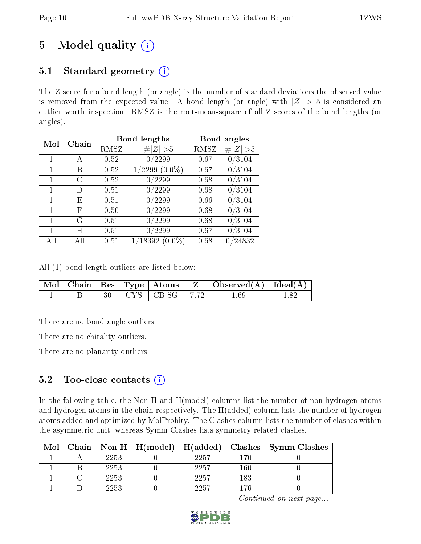# 5 Model quality  $(i)$

## 5.1 Standard geometry  $(i)$

The Z score for a bond length (or angle) is the number of standard deviations the observed value is removed from the expected value. A bond length (or angle) with  $|Z| > 5$  is considered an outlier worth inspection. RMSZ is the root-mean-square of all Z scores of the bond lengths (or angles).

| $\operatorname{Mol}$ | Chain |      | <b>Bond lengths</b>      | Bond angles |                  |
|----------------------|-------|------|--------------------------|-------------|------------------|
|                      |       | RMSZ | Z  > 5<br>$\#$           | RMSZ        | #<br> Z  > 5     |
| 1                    | А     | 0.52 | 0/2299                   | 0.67        | 0/3104           |
|                      | В     | 0.52 | $(0.0\%)$<br>2299        | 0.67        | 0/3104           |
| 1                    | C     | 0.52 | /2299<br>0               | 0.68        | 0/3104           |
| 1                    | D)    | 0.51 | 0/2299                   | 0.68        | 0/3104           |
| 1                    | E     | 0.51 | $^{\prime}2299$<br>0     | 0.66        | 0/3104           |
| 1                    | F     | 0.50 | $^\prime2299$<br>0       | 0.68        | 0/3104           |
| 1                    | G     | 0.51 | 0/2299                   | 0.68        | 0/3104           |
|                      | H     | 0.51 | $^{\prime}2299$<br>0     | 0.67        | 0/3104           |
| All                  | Аll   | 0.51 | $\langle 18392\ (0.0\%)$ | 0.68        | $^{\prime}24832$ |

All (1) bond length outliers are listed below:

|  |  |                              | $\mid$ Mol $\mid$ Chain $\mid$ Res $\mid$ Type $\mid$ Atoms $\mid$ $\mid$ Z $\mid$ Observed(Å) $\mid$ Ideal(Å) $\mid$ |  |
|--|--|------------------------------|-----------------------------------------------------------------------------------------------------------------------|--|
|  |  | $30$   CYS   CB-SG   $-7.72$ | 1.69                                                                                                                  |  |

There are no bond angle outliers.

There are no chirality outliers.

There are no planarity outliers.

## 5.2 Too-close contacts  $(i)$

In the following table, the Non-H and H(model) columns list the number of non-hydrogen atoms and hydrogen atoms in the chain respectively. The H(added) column lists the number of hydrogen atoms added and optimized by MolProbity. The Clashes column lists the number of clashes within the asymmetric unit, whereas Symm-Clashes lists symmetry related clashes.

| Mol | Chain |      | $\mid$ Non-H $\mid$ H(model) $\mid$ H(added) $\mid$ |      |     | Clashes   Symm-Clashes |
|-----|-------|------|-----------------------------------------------------|------|-----|------------------------|
|     |       | 2253 |                                                     | 2257 | 170 |                        |
|     |       | 2253 |                                                     | 2257 | 160 |                        |
|     |       | 2253 |                                                     | 2257 | 183 |                        |
|     |       | 2253 |                                                     | 2257 | 176 |                        |

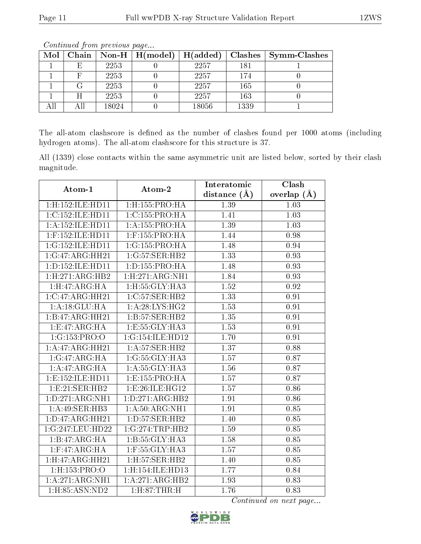| Mol | Chain |       | Non-H $\mid$ H(model) | H(added) | Clashes | <b>Symm-Clashes</b> |
|-----|-------|-------|-----------------------|----------|---------|---------------------|
|     | E     | 2253  |                       | 2257     | 181     |                     |
|     |       | 2253  |                       | 2257     | 174     |                     |
|     |       | 2253  |                       | 2257     | 165     |                     |
|     |       | 2253  |                       | 2257     | 163     |                     |
|     | All   | 18024 |                       | 18056    | 1339    |                     |

The all-atom clashscore is defined as the number of clashes found per 1000 atoms (including hydrogen atoms). The all-atom clashscore for this structure is 37.

All (1339) close contacts within the same asymmetric unit are listed below, sorted by their clash magnitude.

| Atom-1                | Atom-2                    | Interatomic       | Clash         |
|-----------------------|---------------------------|-------------------|---------------|
|                       |                           | distance $(A)$    | overlap $(A)$ |
| 1:H:152:ILE:HD11      | $1:$ H $:155:$ PRO $:$ HA | 1.39              | 1.03          |
| 1:C:152:ILE:HD11      | 1:C:155:PRO:HA            | 1.41              | 1.03          |
| 1:A:152:ILE:HD11      | 1:A:155:PRO:HA            | 1.39              | 1.03          |
| $1:$ F:152:ILE:HD11   | $1:$ F:155:PRO:HA         | 1.44              | 0.98          |
| 1:G:152:ILE:HD11      | 1:G:155:PRO:HA            | 1.48              | 0.94          |
| 1:G:47:ARG:HH21       | 1:G:57:SER:HB2            | 1.33              | 0.93          |
| 1: D: 152: ILE: HD11  | 1: D: 155: PRO: HA        | 1.48              | 0.93          |
| 1: H: 271: ARG: HB2   | 1: H:271: ARG:NH1         | 1.84              | 0.93          |
| 1: H:47: ARG: HA      | 1: H: 55: GLY: HA3        | 1.52              | 0.92          |
| 1:C:47:ARG:HH21       | 1:C:57:SER:HB2            | 1.33              | 0.91          |
| 1: A:18: GLU:HA       | 1: A:28: LYS: HG2         | 1.53              | 0.91          |
| 1:B:47:ARG:HH21       | 1:B:57:SER:HB2            | $\overline{1.35}$ | 0.91          |
| 1:E:47:ARG:HA         | 1:E:55:GLY:HA3            | 1.53              | 0.91          |
| 1:G:153:PRO:O         | 1:G:154:ILE:HD12          | 1.70              | 0.91          |
| 1:A:47:ARG:HH21       | 1: A:57: SER:HB2          | $\overline{1.37}$ | 0.88          |
| 1:G:47:ARG:HA         | 1:G:55:GLY:HA3            | 1.57              | 0.87          |
| 1:A:47:ARG:HA         | 1: A: 55: GLY: HA3        | 1.56              | 0.87          |
| 1: E: 152: ILE: HD11  | 1:E:155:PRO:HA            | 1.57              | 0.87          |
| 1: E:21: SER: HB2     | 1:E:26:ILE:HG12           | 1.57              | 0.86          |
| 1: D: 271: ARG: NH1   | 1: D:271: ARG:HB2         | 1.91              | 0.86          |
| 1:A:49:SER:HB3        | 1: A:50: ARG:NH1          | 1.91              | 0.85          |
| 1: D: 47: ARG: HH21   | 1: D: 57: SER: HB2        | 1.40              | 0.85          |
| 1:G:247:LEU:HD22      | 1:G:274:TRP:HB2           | 1.59              | 0.85          |
| 1:B:47:ARG:HA         | 1: B: 55: GLY: HA3        | 1.58              | 0.85          |
| $1:$ F:47:ARG:HA      | 1:F:55:GLY:HA3            | 1.57              | 0.85          |
| 1: H:47: ARG: HH21    | 1:H:57:SER:HB2            | 1.40              | 0.85          |
| $1:$ H:153:PRO:O      | 1:H:154:ILE:HD13          | 1.77              | 0.84          |
| 1:A:271:ARG:NH1       | 1:A:271:ARG:HB2           | 1.93              | 0.83          |
| $1:$ H $:85:$ ASN:ND2 | 1: H:87:THR:H             | 1.76              | 0.83          |

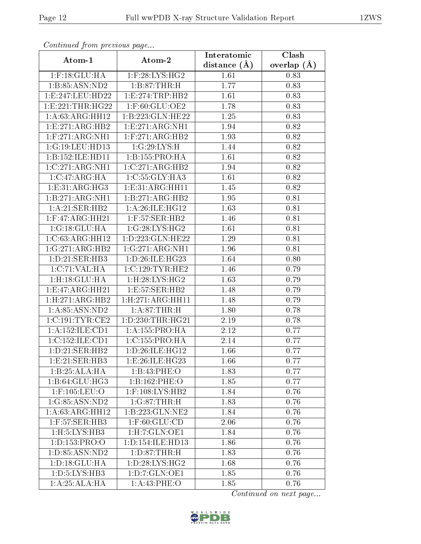| Continuatu from previous page |                                   | Interatomic    | Clash         |
|-------------------------------|-----------------------------------|----------------|---------------|
| Atom-1                        | Atom-2                            | distance $(A)$ | overlap $(A)$ |
| $1:$ F:18: $GLU:HA$           | $1:$ F:28:LYS:HG2                 | 1.61           | 0.83          |
| 1:B:85:ASN:ND2                | 1:B:87:THR:H                      | 1.77           | 0.83          |
| 1:E:247:LEU:HD22              | 1: E: 274: TRP: HB2               | 1.61           | 0.83          |
| 1: E: 221: THR: HG22          | $1:$ F:60:GLU:OE2                 | 1.78           | 0.83          |
| 1: A:63:ARG:HH12              | 1:B:223:GLN:HE22                  | 1.25           | 0.83          |
| 1:E:271:ARG:HB2               | 1:E:271:ARG:NH1                   | 1.94           | 0.82          |
| $1:$ F:271:ARG:NH1            | $1:$ F:271:ARG:HB2                | 1.93           | 0.82          |
| 1:G:19:LEU:HD13               | 1:G:29:LYS:H                      | 1.44           | 0.82          |
| 1:B:152:ILE:HD11              | 1:B:155:PRO:HA                    | 1.61           | 0.82          |
| 1:C:271:ARG:NH1               | 1:C:271:ARG:HB2                   | 1.94           | 0.82          |
| 1:C:47:ARG:HA                 | 1: C: 55: GLY: HA3                | 1.61           | 0.82          |
| 1: E: 31: ARG: HG3            | 1: E: 31: ARG: HH11               | 1.45           | 0.82          |
| 1:B:271:ARG:NH1               | 1:B:271:ARG:HB2                   | 1.95           | 0.81          |
| 1:A:21:SER:HB2                | 1:A:26:ILE:HG12                   | 1.63           | 0.81          |
| $1:$ F:47:ARG:HH21            | 1:F:57:SER:HB2                    | 1.46           | 0.81          |
| 1:G:18:GLU:HA                 | 1:G:28:LYS:HG2                    | 1.61           | 0.81          |
| 1:C:63:ARG:HH12               | 1:D:223:GLN:HE22                  | 1.29           | 0.81          |
| 1:G:271:ARG:HB2               | 1:G:271:ARG:NH1                   | 1.96           | 0.81          |
| 1:D:21:SER:HB3                | 1:D:26:ILE:HG23                   | 1.64           | 0.80          |
| 1:C:71:VAL:HA                 | 1:C:129:TYR:HE2                   | 1.46           | 0.79          |
| 1: H: 18: GLU: HA             | 1:H:28:LYS:HG2                    | 1.63           | 0.79          |
| 1:E:47:ARG:HH21               | 1:E:57:SER:HB2                    | 1.48           | 0.79          |
| 1:H:271:ARG:HB2               | 1: H: 271: ARG: HH11              | 1.48           | 0.79          |
| 1: A:85: ASN:ND2              | 1: A:87:THR:H                     | 1.80           | 0.78          |
| 1:C:191:TYR:CE2               | 1: D: 230: THR: HG21              | 2.19           | 0.78          |
| 1:A:152:ILE:CD1               | 1: A: 155: PRO: HA                | 2.12           | 0.77          |
| 1:C:152:ILE:CD1               | 1:C:155:PRO:HA                    | 2.14           | 0.77          |
| 1:D:21:SER:HB2                | 1: D:26: ILE: HG12                | 1.66           | 0.77          |
| 1: E:21: SER: HB3             | 1:E:26:ILE:HG23                   | 1.66           | 0.77          |
| 1:B:25:ALA:HA                 | 1:B:43:PHE:O                      | 1.83           | 0.77          |
| 1:B:64:GLU:HG3                | 1:B:162:PHE:O                     | 1.85           | 0.77          |
| 1:F:105:LEU:O                 | 1:F:108:LYS:HB2                   | 1.84           | 0.76          |
| 1:G:85:ASN:ND2                | $1:G:87: \overline{\text{THR:H}}$ | 1.83           | 0.76          |
| 1: A:63: ARG:HH12             | 1:B:223:GLN:NE2                   | 1.84           | 0.76          |
| $1:$ F:57:SER:HB3             | $1:$ F:60:GLU:CD                  | 2.06           | 0.76          |
| 1: H: 5: LYS: HB3             | 1:H:7:GLN:OE1                     | 1.84           | 0.76          |
| 1: D: 153: PRO: O             | 1: D: 154: ILE: HD13              | 1.86           | 0.76          |
| 1:D:85:ASN:ND2                | 1: D:87:THR:H                     | 1.83           | 0.76          |
| 1: D: 18: GLU: HA             | 1: D: 28: LYS: HG2                | 1.68           | 0.76          |
| 1:D:5:LYS:HB3                 | 1: D: 7: GLN: OE1                 | 1.85           | 0.76          |
| 1:A:25:ALA:HA                 | 1: A:43: PHE:O                    | 1.85           | 0.76          |

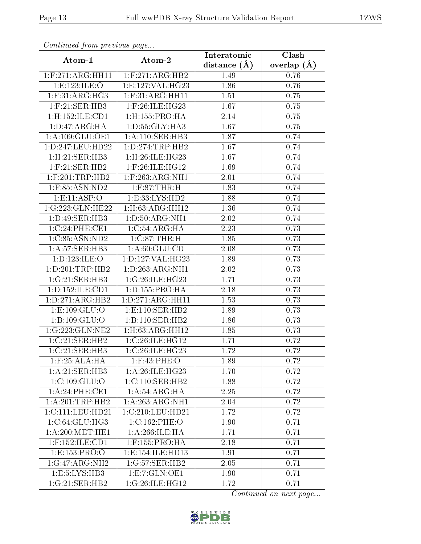| Continuea jioin pievivus page   |                                     | Interatomic    | Clash         |
|---------------------------------|-------------------------------------|----------------|---------------|
| Atom-1                          | Atom-2                              | distance $(A)$ | overlap $(A)$ |
| 1: F:271: ARG:HH11              | $1:$ F:271:ARG:HB2                  | 1.49           | 0.76          |
| 1:E:123:ILE:O                   | 1:E:127:VAL:HG23                    | 1.86           | 0.76          |
| $1:$ F:31: $ARG:HG3$            | 1: F:31: ARG:HH11                   | 1.51           | 0.75          |
| $1:$ F:21:SER:HB3               | 1:F:26:ILE:HG23                     | 1.67           | 0.75          |
| 1:H:152:ILE:CD1                 | $1:$ H $:155:$ PRO $:$ HA           | 2.14           | 0.75          |
| 1:D:47:ARG:HA                   | 1: D: 55: GLY: HA3                  | 1.67           | 0.75          |
| 1:A:109:GLU:OE1                 | $1:A:110:\overline{\text{SER:HB3}}$ | 1.87           | 0.74          |
| 1:D:247:LEU:HD22                | 1:D:274:TRP:HB2                     | 1.67           | 0.74          |
| $1:$ H $:21:$ SER $:$ HB $3$    | 1:H:26:ILE:HG23                     | 1.67           | 0.74          |
| $1:$ F:21:SER:HB2               | $1:$ F:26:ILE:HG12                  | 1.69           | 0.74          |
| $1:$ F:201:TRP:HB2              | $1:$ F:263:ARG:NH1                  | 2.01           | 0.74          |
| $1:$ F:85:ASN:ND2               | $1:$ F:87:THR:H                     | 1.83           | 0.74          |
| 1: E: 11: ASP: O                | 1:E:33:LYS:HD2                      | 1.88           | 0.74          |
| 1:G:223:GLN:HE22                | $1:$ H $:63:$ ARG:HH $12$           | 1.36           | 0.74          |
| 1:D:49:SER:HB3                  | 1: D:50: ARG: NH1                   | 2.02           | 0.74          |
| 1:C:24:PHE:CE1                  | 1:C:54:ARG:HA                       | 2.23           | 0.73          |
| 1:C:85:ASN:ND2                  | 1:C:87:THR:H                        | 1.85           | 0.73          |
| 1:A:57:SER:HB3                  | 1: A:60: GLU:CD                     | 2.08           | 0.73          |
| 1:D:123:ILE:O                   | 1:D:127:VAL:HG23                    | 1.89           | 0.73          |
| 1: D:201:TRP:HB2                | 1: D: 263: ARG: NH1                 | 2.02           | 0.73          |
| 1:G:21:SER:HB3                  | 1:G:26:ILE:HG23                     | 1.71           | 0.73          |
| 1:D:152:ILE:CD1                 | 1: D: 155: PRO:HA                   | 2.18           | 0.73          |
| 1:D:271:ARG:HB2                 | 1:D:271:ARG:HH11                    | 1.53           | 0.73          |
| 1: E: 109: GLU:O                | 1: E: 110: SER: HB2                 | 1.89           | 0.73          |
| 1:B:109:GLU:O                   | 1:B:110:SER:HB2                     | 1.86           | 0.73          |
| 1:G:223:GLN:NE2                 | $1:$ H $:63:$ ARG:HH $12$           | 1.85           | 0.73          |
| 1:C:21:SER:HB2                  | 1:C:26:ILE:HG12                     | 1.71           | 0.72          |
| 1:C:21:SER:HB3                  | 1:C:26:ILE:HG23                     | 1.72           | 0.72          |
| $1:$ F:25:AL $\overline{A:H}$ A | $1:$ F:43:PHE:O                     | 1.89           | 0.72          |
| 1:A:21:SER:HB3                  | 1: A:26: ILE: HG23                  | 1.70           | 0.72          |
| 1:C:109:GLU:O                   | 1:C:110:SER:HB2                     | 1.88           | 0.72          |
| 1: A:24:PHE:CE1                 | 1: A:54: ARG: HA                    | 2.25           | 0.72          |
| 1: A:201:TRP:HB2                | $1:A:263:AR\overline{G:NH1}$        | 2.04           | 0.72          |
| 1:C:111:LEU:HD21                | 1:C:210:LEU:HD21                    | 1.72           | 0.72          |
| 1:C:64:GLU:HG3                  | 1:C:162:PHE:O                       | 1.90           | 0.71          |
| 1: A:200:MET:HE1                | 1: A:266: ILE: HA                   | 1.71           | 0.71          |
| $1:$ F:152:ILE:CD1              | $1:$ F:155:PRO:HA                   | 2.18           | 0.71          |
| 1:E:153:PRO:O                   | 1:E:154:ILE:HD13                    | 1.91           | 0.71          |
| 1:G:47:ARG:NH2                  | 1:G:57:SER:HB2                      | 2.05           | 0.71          |
| 1: E: 5: LYS: HB3               | 1:E:7:GLN:OE1                       | 1.90           | 0.71          |
| 1:G:21:SER:HB2                  | 1:G:26:ILE:HG12                     | 1.72           | 0.71          |

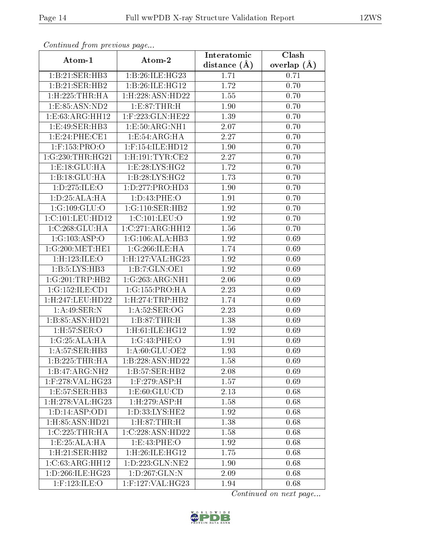| Continuatu from previous page |                               | Interatomic      | Clash             |
|-------------------------------|-------------------------------|------------------|-------------------|
| Atom-1                        | Atom-2                        | distance $(\AA)$ | overlap $(\AA)$   |
| 1:B:21:SER:HB3                | 1:B:26:ILE:HG23               | 1.71             | 0.71              |
| 1:B:21:SER:HB2                | 1:B:26:ILE:HG12               | 1.72             | 0.70              |
| $1:$ H $:225:$ THR $:$ HA     | 1:H:228:ASN:HD22              | 1.55             | 0.70              |
| 1: E: 85: ASN: ND2            | 1: E: 87: THR: H              | 1.90             | 0.70              |
| 1:E:63:ARG:HH12               | 1:F:223:GLN:HE22              | 1.39             | 0.70              |
| 1:E:49:SER:HB3                | 1:E:50:ARG:NH1                | 2.07             | 0.70              |
| 1:E:24:PHE:CE1                | 1: E: 54: ARG: HA             | 2.27             | 0.70              |
| $1:$ F:153:PRO:O              | $1:$ F:154:ILE:HD12           | 1.90             | 0.70              |
| 1:G:230:THR:HG21              | 1: H: 191: TYR: CE2           | 2.27             | 0.70              |
| 1:E:18:GLU:HA                 | 1:E:28:LYS:HG2                | 1.72             | 0.70              |
| 1:B:18:GLU:HA                 | 1:B:28:LYS:HG2                | 1.73             | 0.70              |
| 1: D: 275: ILE: O             | 1: D: 277: PRO: HD3           | 1.90             | $\overline{0}.70$ |
| 1: D: 25: ALA: HA             | 1: D: 43: PHE: O              | 1.91             | 0.70              |
| 1:G:109:GLU:O                 | $1: G: 110: SER: HB2$         | 1.92             | 0.70              |
| 1:C:101:LEU:HD12              | 1:C:101:LEU:O                 | 1.92             | 0.70              |
| 1:C:268:GLU:HA                | 1:C:271:ARG:HH12              | 1.56             | 0.70              |
| 1:G:103:ASP:O                 | 1:G:106:ALA:HB3               | 1.92             | 0.69              |
| 1:G:200:MET:HE1               | 1:G:266:ILE:HA                | 1.74             | 0.69              |
| 1:H:123:ILE:O                 | 1:H:127:VAL:HG23              | 1.92             | 0.69              |
| $1:B:5:LYS:H\overline{B3}$    | 1:B:7:GLN:OE1                 | 1.92             | 0.69              |
| 1:G:201:TRP:HB2               | 1:G:263:ARG:NH1               | 2.06             | 0.69              |
| 1:G:152:ILE:CD1               | 1:G:155:PRO:HA                | 2.23             | 0.69              |
| $1:$ H:247:LEU:HD22           | 1:H:274:TRP:HB2               | 1.74             | 0.69              |
| 1:A:49:SER:N                  | 1: A:52: SER:OG               | 2.23             | 0.69              |
| 1:B:85:ASN:HD21               | 1:B:87:THR:H                  | 1.38             | 0.69              |
| $1:$ H:57:SER:O               | $1:$ H $:61:$ ILE $:$ H $G12$ | 1.92             | 0.69              |
| 1:G:25:ALA:HA                 | 1:G:43:PHE:O                  | 1.91             | 0.69              |
| $1:A:57:\overline{SER}:HB3$   | 1:A:60:GLU:OE2                | 1.93             | 0.69              |
| 1:B:225:THR:HA                | 1:B:228:ASN:HD22              | 1.58             | 0.69              |
| 1:B:47:ARG:NH2                | 1:B:57:SER:HB2                | 2.08             | 0.69              |
| $1:$ F:278:VAL:HG23           | $1:$ F:279:ASP:H              | 1.57             | 0.69              |
| 1:E:57:SER:HB3                | 1: E:60: GLU:CD               | 2.13             | 0.68              |
| 1:H:278:VAL:HG23              | 1:H:279:ASP:H                 | 1.58             | 0.68              |
| 1:D:14:ASP:OD1                | 1: D: 33: LYS: HE2            | 1.92             | 0.68              |
| $1:$ H $:85:$ ASN $:$ HD $21$ | 1: H:87:THR:H                 | 1.38             | 0.68              |
| 1:C:225:THR:HA                | 1:C:228:ASN:HD22              | 1.58             | 0.68              |
| $1:E:25:ALA:H\overline{A}$    | 1:E:43:PHE:O                  | 1.92             | 0.68              |
| $1:$ H $:21:$ SER $:$ HB $2$  | $1:$ H $:26:$ ILE $:$ H $G12$ | 1.75             | 0.68              |
| 1:C:63:ARG:HH12               | 1:D:223:GLN:NE2               | 1.90             | 0.68              |
| 1: D: 266: ILE: HG23          | 1: D: 267: GLN:N              | 2.09             | 0.68              |
| $1:$ F:123:ILE:O              | $1:$ F:127:VAL:HG23           | 1.94             | 0.68              |

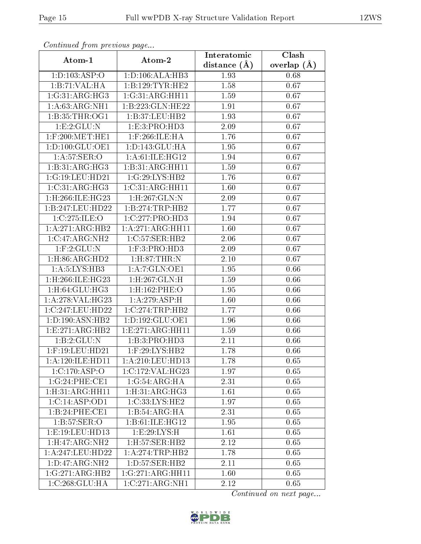| Communa from previous page |                              | Interatomic    | Clash           |
|----------------------------|------------------------------|----------------|-----------------|
| Atom-1                     | Atom-2                       | distance $(A)$ | overlap $(\AA)$ |
| 1: D: 103: ASP: O          | 1: D: 106: ALA: HB3          | 1.93           | 0.68            |
| 1:B:71:VAL:HA              | 1:B:129:TYR:HE2              | 1.58           | 0.67            |
| 1:G:31:ARG:HG3             | 1:G:31:ARG:HH11              | 1.59           | 0.67            |
| 1: A:63: ARG: NH1          | 1:B:223:GLN:HE22             | 1.91           | 0.67            |
| 1: B:35:THR:OG1            | 1:B:37:LEU:HB2               | 1.93           | 0.67            |
| 1:E:2:GLU:N                | 1: E: 3: PRO: HD3            | 2.09           | 0.67            |
| $1:$ F:200:MET:HE1         | $1:$ F:266:ILE:HA            | 1.76           | 0.67            |
| 1: D: 100: GLU: OE1        | 1:D:143:GLU:HA               | 1.95           | 0.67            |
| 1: A:57: SER:O             | 1: A:61: ILE: HG12           | 1.94           | 0.67            |
| 1:B:31:ARG:HG3             | 1:B:31:ARG:HH11              | 1.59           | 0.67            |
| 1:G:19:LEU:HD21            | 1:G:29:LYS:HB2               | 1.76           | 0.67            |
| 1:C:31:ARG:HG3             | 1:C:31:ARG:HH11              | 1.60           | 0.67            |
| 1:H:266:ILE:HG23           | 1:H:267:GLN:N                | 2.09           | 0.67            |
| 1:B:247:LEU:HD22           | 1:B:274:TRP:HB2              | 1.77           | 0.67            |
| 1:C:275:ILE:O              | 1:C:277:PRO:HD3              | 1.94           | 0.67            |
| 1:A:271:ARG:HB2            | 1:A:271:ARG:HH11             | 1.60           | 0.67            |
| 1:C:47:ARG:NH2             | 1:C:57:SER:HB2               | 2.06           | 0.67            |
| 1: F: 2: GLU: N            | 1: F:3: PRO:HD3              | 2.09           | 0.67            |
| 1:H:86:ARG:HD2             | 1: H:87:THR:N                | 2.10           | 0.67            |
| 1: A: 5: LYS: HB3          | 1:A:7:GLN:OE1                | 1.95           | 0.66            |
| 1:H:266:ILE:HG23           | 1:H:267:GLN:H                | 1.59           | 0.66            |
| 1:H:64:GLU:HG3             | 1:H:162:PHE:O                | 1.95           | 0.66            |
| 1:A:278:VAL:HG23           | 1: A:279: ASP:H              | 1.60           | 0.66            |
| 1:C:247:LEU:HD22           | 1:C:274:TRP:HB2              | 1.77           | 0.66            |
| 1:D:190:ASN:HB2            | 1:D:192:GLU:OE1              | 1.96           | 0.66            |
| 1:E:271:ARG:HB2            | 1: E: 271: ARG: HH11         | 1.59           | 0.66            |
| 1: B: 2: GLU: N            | 1:B:3:PRO:HD3                | 2.11           | 0.66            |
| $1:$ F:19:LEU:HD21         | $1:$ F:29:LYS:HB2            | 1.78           | 0.66            |
| 1: A:120: ILE: HD11        | 1:A:210:LEU:HD13             | 1.78           | 0.65            |
| 1:C:170:ASP:O              | 1:C:172:VAL:HG23             | 1.97           | 0.65            |
| 1:G:24:PHE:CE1             | 1:G:54:ARG:HA                | 2.31           | 0.65            |
| 1: H:31: ARG:HH11          | 1: H:31: ARG: HG3            | 1.61           | 0.65            |
| 1:C:14:ASP:OD1             | 1:C:33:LYS:HE2               | 1.97           | 0.65            |
| 1:B:24:PHE:CE1             | 1:B:54:ARG:HA                | 2.31           | 0.65            |
| 1: B:57: SER:O             | 1:B:61:ILE:HG12              | 1.95           | 0.65            |
| 1:E:19:LEU:HD13            | 1: E:29: LYS:H               | 1.61           | 0.65            |
| 1: H:47: ARG: NH2          | $1:$ H $:57:$ SER $:$ HB $2$ | 2.12           | 0.65            |
| 1:A:247:LEU:HD22           | 1:A:274:TRP:HB2              | 1.78           | 0.65            |
| 1: D: 47: ARG: NH2         | 1: D: 57: SER: HB2           | 2.11           | 0.65            |
| 1:G:271:ARG:HB2            | 1:G:271:ARG:HH11             | 1.60           | 0.65            |
| 1:C:268:GLU:HA             | 1:C:271:ARG:NH1              | 2.12           | 0.65            |

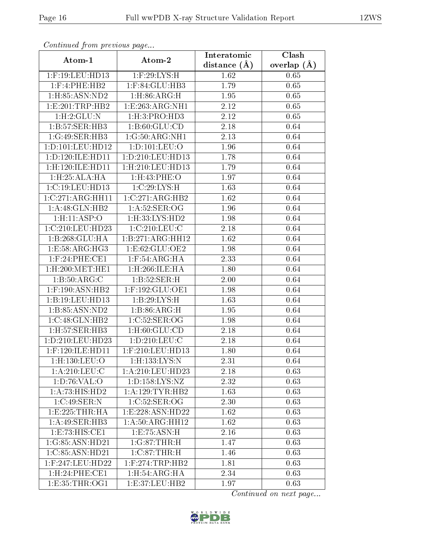| Continuata from previous page |                           | Interatomic    | Clash           |
|-------------------------------|---------------------------|----------------|-----------------|
| Atom-1                        | Atom-2                    | distance $(A)$ | overlap $(\AA)$ |
| $1:$ F:19:LEU:HD13            | $1:$ F:29:LYS:H           | 1.62           | 0.65            |
| $1:$ F:4:PHE:HB2              | $1:$ F:84:GLU:HB3         | 1.79           | 0.65            |
| 1:H:85:ASN:ND2                | 1: H:86: ARG:H            | 1.95           | 0.65            |
| 1: E: 201: TRP: HB2           | 1:E:263:ARG:NH1           | 2.12           | 0.65            |
| 1: H: 2: GLU: N               | 1: H:3: PRO:HD3           | 2.12           | 0.65            |
| 1:B:57:SER:HB3                | 1: B:60: GLU:CD           | 2.18           | 0.64            |
| 1:G:49:SER:HB3                | 1:G:50:ARG:NH1            | 2.13           | 0.64            |
| 1: D: 101: LEU: HD12          | 1: D: 101: LEU: O         | 1.96           | 0.64            |
| 1:D:120:ILE:HD11              | 1: D: 210: LEU: HD13      | 1.78           | 0.64            |
| 1:H:120:ILE:HD11              | 1: H:210: LEU: HD13       | 1.79           | 0.64            |
| 1: H: 25: ALA: HA             | 1:H:43:PHE:O              | 1.97           | 0.64            |
| 1:C:19:LEU:HD13               | 1:C:29:LYS:H              | 1.63           | 0.64            |
| 1:C:271:ARG:HH11              | 1:C:271:ARG:HB2           | 1.62           | 0.64            |
| 1: A:48: GLN: HB2             | 1: A:52: SER:OG           | 1.96           | 0.64            |
| 1:H:11:ASP:O                  | 1:H:33:LYS:HD2            | 1.98           | 0.64            |
| 1:C:210:LEU:HD23              | 1:C:210:LEU:C             | 2.18           | 0.64            |
| 1:B:268:GLU:HA                | 1:B:271:ARG:HH12          | 1.62           | 0.64            |
| 1:E:58:ARG:HG3                | 1: E:62: GLU:OE2          | 1.98           | 0.64            |
| $1:$ F:24:PHE:CE1             | $1:$ F:54:ARG:HA          | 2.33           | 0.64            |
| $1:$ H $:200:$ MET $:$ HE $1$ | 1:H:266:ILE:HA            | 1.80           | 0.64            |
| 1: B: 50: ARG:C               | 1:B:52:SER:H              | 2.00           | 0.64            |
| $1:$ F:190:ASN:HB2            | 1:F:192:GLU:OE1           | 1.98           | 0.64            |
| 1:B:19:LEU:HD13               | $1:B:29:LYS:\overline{H}$ | 1.63           | 0.64            |
| 1:B:85:ASN:ND2                | 1:B:86:ARG:H              | 1.95           | 0.64            |
| 1:C:48:GLN:HB2                | 1:C:52:SER:OG             | 1.98           | 0.64            |
| $1:$ H $:57:$ SER $:$ HB $3$  | 1: H:60: GLU:CD           | 2.18           | 0.64            |
| 1:D:210:LEU:HD23              | 1: D: 210: LEU: C         | 2.18           | 0.64            |
| $1:$ F:120:ILE:HD11           | $1:$ F:210:LEU:HD13       | 1.80           | 0.64            |
| 1:H:130:LEU:O                 | $1:$ H $:133:LYS:N$       | 2.31           | 0.64            |
| 1: A:210:LEU:C                | 1:A:210:LEU:HD23          | 2.18           | 0.63            |
| 1: D:76: VAL:O                | 1: D: 158: LYS: NZ        | 2.32           | 0.63            |
| 1:A:73:HIS:HD2                | 1: A: 129: TYR: HB2       | 1.63           | 0.63            |
| 1:C:49:SER:N                  | 1:C:52:SER:OG             | 2.30           | 0.63            |
| 1:E:225:THR:HA                | 1: E: 228: ASN: HD22      | 1.62           | 0.63            |
| 1:A:49:SER:HB3                | 1:A:50:ARG:HH12           | 1.62           | 0.63            |
| 1: E: 73: HIS: CE1            | 1:E:75:ASN:H              | 2.16           | 0.63            |
| 1:G:85:ASN:HD21               | 1:G:87:THR:H              | 1.47           | 0.63            |
| 1:C:85:ASN:HD21               | $1:C:87$ : THR: H         | 1.46           | 0.63            |
| 1:F:247:LEU:HD22              | $1:$ F:274:TRP:HB2        | 1.81           | 0.63            |
| 1:H:24:PHE:CE1                | 1:H:54:ARG:HA             | 2.34           | 0.63            |
| 1: E: 35: THR: OG1            | 1:E:37:LEU:HB2            | 1.97           | 0.63            |

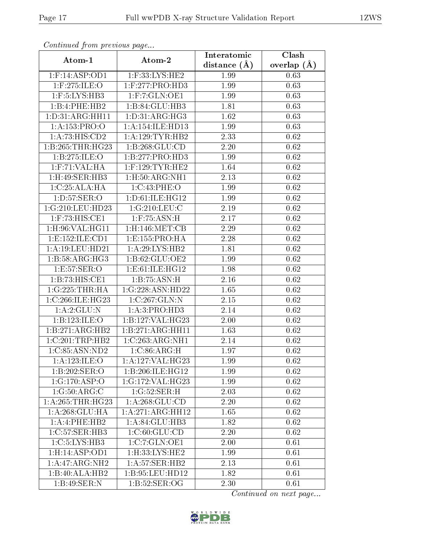| Commaca from previous page    |                                    | Interatomic    | Clash           |
|-------------------------------|------------------------------------|----------------|-----------------|
| Atom-1                        | Atom-2                             | distance $(A)$ | overlap $(\AA)$ |
| $1:$ F:14:ASP:OD1             | 1:F:33:LYS:HE2                     | 1.99           | 0.63            |
| $1:$ F:275:ILE:O              | $1:$ F:277:PRO:HD3                 | 1.99           | 0.63            |
| $1:$ F:5:LYS:HB3              | 1: F: 7: GLN: OE1                  | 1.99           | 0.63            |
| 1:B:4:PHE:HB2                 | 1:B:84:GLU:HB3                     | 1.81           | 0.63            |
| 1: D: 31: ARG: HH11           | 1: D: 31: ARG: HG3                 | 1.62           | 0.63            |
| 1:A:153:PRO:O                 | 1: A:154: ILE: HD13                | 1.99           | 0.63            |
| $1:A:73:HIS:\overline{CD2}$   | 1: A: 129: TYR: HB2                | 2.33           | 0.62            |
| 1: B:265:THR:HG23             | 1:1:268:GLU:CD                     | 2.20           | 0.62            |
| 1:B:275:ILE:O                 | 1:B:277:PRO:HD3                    | 1.99           | 0.62            |
| $1:$ F:71:VAL:HA              | $1:$ F:129:TYR:HE2                 | 1.64           | 0.62            |
| $1:$ H $:49:$ SER $:$ HB $3$  | 1:H:50:ARG:NH1                     | 2.13           | $0.62\,$        |
| 1:C:25:ALA:HA                 | 1:C:43:PHE:O                       | 1.99           | 0.62            |
| 1: D: 57: SER: O              | 1: D: 61: ILE: HG12                | 1.99           | 0.62            |
| 1:G:210:LEU:HD23              | 1:G:210:LEU:C                      | 2.19           | 0.62            |
| $1:$ F:73:HIS:CE1             | $1:$ F:75:ASN:H                    | 2.17           | 0.62            |
| $1:$ H $:96:$ VAL $:$ H $G11$ | $1:$ H $:146:$ MET $:$ CB          | 2.29           | 0.62            |
| 1: E: 152: ILE: CD1           | 1: E: 155: PRO: HA                 | 2.28           | 0.62            |
| 1:A:19:LEU:HD21               | 1: A:29: LYS: HB2                  | 1.81           | 0.62            |
| 1:B:58:ARG:HG3                | 1:B:62:GLU:OE2                     | 1.99           | 0.62            |
| 1:E:57:SER:O                  | 1:E:61:ILE:HG12                    | 1.98           | 0.62            |
| 1:B:73:HIS:CE1                | 1:B:75:ASN:H                       | 2.16           | 0.62            |
| 1:G:225:THR:HA                | 1:G:228:ASN:HD22                   | 1.65           | 0.62            |
| 1:C:266:ILE:HG23              | 1:C:267:GLN:N                      | 2.15           | 0.62            |
| 1: A:2: GLU:N                 | 1: A:3: PRO:HD3                    | 2.14           | 0.62            |
| 1:B:123:ILE:O                 | 1:B:127:VAL:HG23                   | 2.00           | 0.62            |
| 1:B:271:ARG:HB2               | 1:B:271:ARG:HH11                   | 1.63           | 0.62            |
| 1:C:201:TRP:HB2               | 1:C:263:ARG:NH1                    | 2.14           | 0.62            |
| 1:C:85:ASN:ND2                | $1:C:86:A\overline{\mathrm{RG:H}}$ | 1.97           | 0.62            |
| 1: A: 123: ILE: O             | 1:A:127:VAL:HG23                   | 1.99           | 0.62            |
| 1:B:202:SER:O                 | 1:B:206:ILE:HG12                   | 1.99           | 0.62            |
| 1:G:170:ASP:O                 | 1:G:172:VAL:HG23                   | 1.99           | 0.62            |
| 1:G:50:ARG:C                  | 1:G:52:SER:H                       | 2.03           | 0.62            |
| 1: A:265:THR:HG23             | 1: A:268: GLU:CD                   | 2.20           | 0.62            |
| 1: A:268: GLU:HA              | 1:A:271:ARG:HH12                   | 1.65           | 0.62            |
| 1:A:4:PHE:HB2                 | 1: A:84: GLU:HB3                   | 1.82           | 0.62            |
| 1:C:57:SER:HB3                | 1:C:60:GLU:CD                      | 2.20           | 0.62            |
| 1:C:5:LYS:HB3                 | $1:C:7:GLN:O\overline{E1}$         | 2.00           | 0.61            |
| 1:H:14:ASP:OD1                | 1:H:33:LYS:HE2                     | 1.99           | 0.61            |
| 1:A:47:ARG:NH2                | 1:A:57:SER:HB2                     | 2.13           | 0.61            |
| $1:B:40:A\overline{LA:HB2}$   | 1:B:95:LEU:HD12                    | 1.82           | 0.61            |
| 1:B:49:SER:N                  | 1:B:52:SER:OG                      | 2.30           | 0.61            |

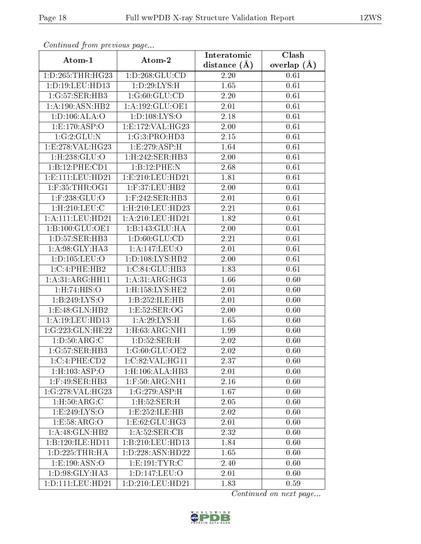| Continuea from previous page |                                      | Interatomic    | Clash         |
|------------------------------|--------------------------------------|----------------|---------------|
| Atom-1                       | Atom-2                               | distance $(A)$ | overlap $(A)$ |
| 1: D: 265: THR: HG23         | 1: D: 268: GLU: CD                   | 2.20           | 0.61          |
| 1:D:19:LEU:HD13              | 1: D: 29: LYS:H                      | 1.65           | 0.61          |
| 1:G:57:SER:HB3               | 1:G:60:GLU:CD                        | 2.20           | 0.61          |
| 1:A:190:ASN:HB2              | 1:A:192:GLU:OE1                      | 2.01           | 0.61          |
| 1:D:106:ALA:O                | 1: D: 108: LYS: O                    | 2.18           | 0.61          |
| 1: E: 170: ASP:O             | 1:E:172:VAL:HG23                     | 2.00           | 0.61          |
| 1:G:2:GLU:N                  | 1:G:3:PRO:HD3                        | 2.15           | 0.61          |
| 1:E:278:VAL:HG23             | $1:E:279:ASP:\overline{H}$           | 1.64           | 0.61          |
| $1:$ H $:238:$ GLU $:$ O     | 1:H:242:SER:HB3                      | 2.00           | 0.61          |
| 1:B:12:PHE:CD1               | 1:B:12:PHE:N                         | 2.68           | 0.61          |
| 1:E:111:LEU:HD21             | 1:E:210:LEU:HD21                     | 1.81           | 0.61          |
| $1:$ F:35:THR:OG1            | 1:F:37:LEU:HB2                       | 2.00           | 0.61          |
| 1:F:238:GLU:O                | $1:$ F:242:SER:HB3                   | 2.01           | 0.61          |
| 1: H: 210: LEU: C            | 1:H:210:LEU:HD23                     | 2.21           | 0.61          |
| 1:A:111:LEU:HD21             | $1:\overline{A}:210:\text{LEU}:HD21$ | 1.82           | 0.61          |
| 1:B:100:GLU:OE1              | 1:B:143:GLU:HA                       | 2.00           | 0.61          |
| 1:D:57:SER:HB3               | 1: D:60: GLU:CD                      | 2.21           | 0.61          |
| 1:A:98:GLY:HA3               | 1:A:147:LEU:O                        | 2.01           | 0.61          |
| 1:D:105:LEU:O                | 1:D:108:LYS:HB2                      | 2.00           | 0.61          |
| 1:C:4:PHE:HB2                | 1:C:84:GLU:HB3                       | 1.83           | 0.61          |
| 1: A:31: ARG:HH11            | 1: A:31: ARG:HG3                     | 1.66           | 0.60          |
| 1:H:74:HIS:O                 | 1:H:158:LYS:HE2                      | 2.01           | 0.60          |
| 1:B:249:LYS:O                | 1:B:252:ILE:HB                       | 2.01           | 0.60          |
| 1:E:48:GLN:HB2               | 1:E:52:SER:OG                        | 2.00           | 0.60          |
| 1:A:19:LEU:HD13              | 1: A:29: LYS:H                       | 1.65           | 0.60          |
| 1:G:223:GLN:HE22             | 1:H:63:ARG:NH1                       | 1.99           | 0.60          |
| 1: D:50: ARG:C               | 1: D: 52: SER:H                      | 2.02           | 0.60          |
| 1:G:57:SER:HB3               | 1:G:60:GLU:OE2                       | 2.02           | 0.60          |
| 1:C:4:PHE:CD2                | 1:C:82:VAL:HG11                      | 2.37           | 0.60          |
| $1:$ H:103:ASP:O             | 1:H:106:ALA:HB3                      | 2.01           | 0.60          |
| $1:$ F:49:SER:HB3            | 1:F:50:ARG:NH1                       | 2.16           | 0.60          |
| 1:G:278:VAL:HG23             | $1:G:279:ASP\cdot\overline{H}$       | 1.67           | 0.60          |
| 1: H:50: ARG:C               | 1:H:52:SER:H                         | 2.05           | 0.60          |
| 1:E:249:LYS:O                | 1:E:252:ILE:HB                       | 2.02           | 0.60          |
| 1:E:58:ARG:O                 | 1:E:62:GLU:HG3                       | 2.01           | 0.60          |
| 1:A:48:GLN:HB2               | 1: A:52: SER:CB                      | 2.32           | 0.60          |
| 1:B:120:ILE:HD11             | 1:B:210:LEU:HD13                     | 1.84           | 0.60          |
| 1:D:225:THR:HA               | 1:D:228:ASN:HD22                     | 1.65           | 0.60          |
| 1: E: 190: ASN: O            | 1: E: 191: TYR: C                    | 2.40           | 0.60          |
| 1:D:98:GLY:HA3               | 1: D: 147: LEU: O                    | 2.01           | 0.60          |
| 1:D:111:LEU:HD21             | 1:D:210:LEU:HD21                     | 1.83           | 0.59          |

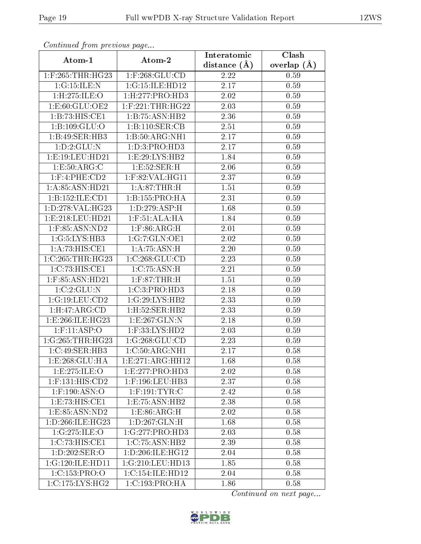| Continuea from previous page         |                             | Interatomic       | Clash         |
|--------------------------------------|-----------------------------|-------------------|---------------|
| Atom-1                               | Atom-2                      | distance $(A)$    | overlap $(A)$ |
| $1:$ F:265:THR:HG23                  | $1:$ F:268: $GLU$ :CD       | 2.22              | 0.59          |
| 1:G:15:ILE:N                         | 1:G:15:ILE:HD12             | $\overline{2.17}$ | 0.59          |
| 1:H:275:ILE:O                        | 1: H: 277: PRO: HD3         | 2.02              | 0.59          |
| 1:E:60:GLU:OE2                       | $1:$ F:221:THR:HG22         | 2.03              | 0.59          |
| 1:B:73:HIS:CE1                       | 1:B:75:ASN:HB2              | 2.36              | 0.59          |
| 1:B:109:GLU:O                        | 1:B:110:SER:CB              | 2.51              | 0.59          |
| 1:B:49:SER:HB3                       | 1:B:50:ARG:NH1              | 2.17              | 0.59          |
| 1: D: 2: GLU:N                       | 1: D:3: PRO:HD3             | 2.17              | 0.59          |
| 1: E: 19: LEU: HD21                  | 1: E:29: LYS: HB2           | 1.84              | 0.59          |
| 1:E:50:ARG:C                         | 1:E:52:SER:H                | 2.06              | 0.59          |
| $1:$ F:4:PHE:CD2                     | $1:$ F:82:VAL:HG11          | 2.37              | 0.59          |
| 1: A:85: ASN:HD21                    | 1: A:87:THR:H               | 1.51              | 0.59          |
| 1:B:152:ILE:CD1                      | 1:B:155:PRO:HA              | 2.31              | 0.59          |
| 1:D:278:VAL:HG23                     | 1:D:279:ASP:H               | 1.68              | 0.59          |
| 1: E: 218: LEU: HD21                 | 1: F: 51: ALA: HA           | 1.84              | 0.59          |
| 1:F:85:ASN:ND2                       | $1:$ F:86:ARG:H             | 2.01              | 0.59          |
| $1:G:5:\overline{\text{LYS:HB3}}$    | 1:G:7:GLN:OE1               | 2.02              | 0.59          |
| 1: A:73: HIS: CE1                    | 1: A:75: ASN:H              | 2.20              | 0.59          |
| 1:C:265:THR:HG23                     | 1:C:268:GLU:CD              | 2.23              | 0.59          |
| 1:C:73:HIS:CE1                       | 1:C:75:ASN:H                | 2.21              | 0.59          |
| 1:F:85:ASN:HD21                      | $1:$ F:87:THR:H             | 1.51              | 0.59          |
| 1:C:2:GLU:N                          | 1:C:3:PRO:HD3               | 2.18              | 0.59          |
| 1:G:19:LEU:CD2                       | 1:G:29:LYS:HB2              | 2.33              | 0.59          |
| 1: H: 47: ARG: CD                    | 1:H:52:SER:HB2              | 2.33              | 0.59          |
| 1:E:266:ILE:HG23                     | 1:E:267:GLN:N               | 2.18              | 0.59          |
| $1:$ F:11:ASP:O                      | $1:$ F:33:LYS:HD2           | 2.03              | 0.59          |
| 1:G:265:THR:HG23                     | 1:G:268:GLU:CD              | 2.23              | 0.59          |
| 1:C:49:SER:HB3                       | 1:C:50:ARG:NH1              | 2.17              | 0.58          |
| 1: E: 268: GLU: HA                   | 1: E:271: ARG: HH12         | 1.68              | 0.58          |
| 1:E:275:ILE:O                        | 1:E:277:PRO:HD3             | 2.02              | 0.58          |
| $1:$ F:131:HIS:CD2                   | $1:$ F:196:LEU:HB3          | 2.37              | 0.58          |
| $1:$ F:190:ASN:O                     | $1:$ F:191:TYR:C            | 2.42              | 0.58          |
| 1:E:73:HIS:CE1                       | 1: E: 75: ASN: HB2          | 2.38              | 0.58          |
| 1: E: 85: ASN: ND2                   | 1: E: 86: ARG: H            | 2.02              | 0.58          |
| 1: D: 266: ILE: HG23                 | 1: D: 267: GLN: H           | 1.68              | 0.58          |
| 1:G:275:ILE:O                        | 1:G:277:PRO:HD3             | 2.03              | 0.58          |
| 1:C:73:HIS:CE1                       | $1:C:75:ASN:H\overline{B2}$ | 2.39              | 0.58          |
| $1: D: 202: \overline{\text{SER}:O}$ | 1: D:206: ILE: HG12         | 2.04              | 0.58          |
| 1:G:120:ILE:HD11                     | 1:G:210:LEU:HD13            | 1.85              | 0.58          |
| 1:C:153:PRO:O                        | 1:C:154:ILE:HD12            | 2.04              | 0.58          |
| 1:C:175:LYS:HG2                      | 1:C:193:PRO:HA              | 1.86              | 0.58          |

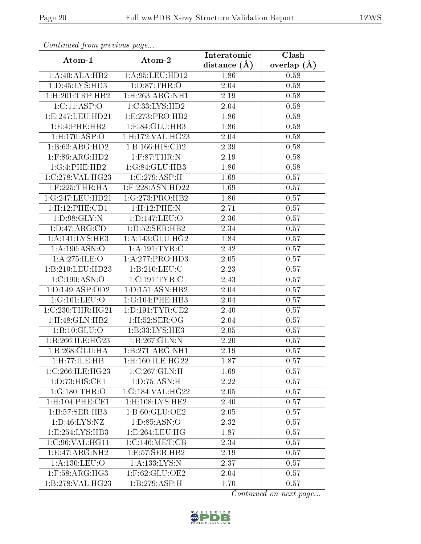| Comunaca jiom previous page     |                                   | Interatomic       | Clash           |
|---------------------------------|-----------------------------------|-------------------|-----------------|
| Atom-1                          | Atom-2                            | distance $(A)$    | overlap $(\AA)$ |
| 1:A:40:ALA:HB2                  | 1: A:95: LEU:HD12                 | 1.86              | 0.58            |
| 1: D: 45: LYS: HD3              | 1: D:87:THR:O                     | 2.04              | 0.58            |
| 1:H:201:TRP:HB2                 | $1:$ H:263:ARG:NH1                | 2.19              | 0.58            |
| 1:C:11:ASP:O                    | 1:C:33:LYS:HD2                    | 2.04              | 0.58            |
| 1:E:247:LEU:HD21                | 1:E:273:PRO:HB2                   | 1.86              | 0.58            |
| 1: E: 4: PHE: HB2               | 1:E:84:GLU:HB3                    | 1.86              | 0.58            |
| 1: H: 170: ASP:O                | 1:H:172:VAL:HG23                  | 2.04              | 0.58            |
| 1:B:63:ARG:HD2                  | 1:B:166:HIS:CD2                   | 2.39              | 0.58            |
| $1:$ F:86:ARG:HD2               | $1:$ F:87:THR:N                   | 2.19              | 0.58            |
| 1:G:4:PHE:HB2                   | 1:G:84:GLU:HB3                    | 1.86              | 0.58            |
| 1:C:278:VAL:HG23                | 1:C:279:ASP:H                     | 1.69              | 0.57            |
| $1:$ F:225:THR:HA               | 1:F:228:ASN:HD22                  | 1.69              | 0.57            |
| 1:G:247:LEU:HD21                | 1:G:273:PRO:HB2                   | 1.86              | 0.57            |
| 1:H:12:PHE:CD1                  | 1:H:12:PHE:N                      | 2.71              | 0.57            |
| 1: D:98: GLY:N                  | 1:D:147:LEU:O                     | 2.36              | 0.57            |
| 1: D: 47: ARG: CD               | 1: D: 52: SER: HB2                | 2.34              | 0.57            |
| 1:A:141:LYS:HE3                 | 1: A:143: GLU:HG2                 | 1.84              | 0.57            |
| 1:A:190:ASN:O                   | 1: A: 191: TYR: C                 | 2.42              | 0.57            |
| 1: A:275: ILE: O                | 1:A:277:PRO:HD3                   | $\overline{2.05}$ | 0.57            |
| 1:B:210:LEU:HD23                | 1:B:210:LEU:C                     | 2.23              | 0.57            |
| 1:C:190:ASN:O                   | $1:C:191:\overline{\text{TYR}:C}$ | 2.43              | 0.57            |
| 1: D: 149: ASP: OD2             | 1: D: 151: ASN: HB2               | 2.04              | 0.57            |
| 1:G:101:LEU:O                   | 1:G:104:PHE:HB3                   | 2.04              | 0.57            |
| 1:C:230:THR:HG21                | 1: D: 191: TYR: CE2               | 2.40              | 0.57            |
| $1:$ H:48:GLN:HB2               | 1: H:52: SER:OG                   | 2.04              | 0.57            |
| 1:B:10:GLU:O                    | 1:B:33:LYS:HE3                    | 2.05              | 0.57            |
| 1:B:266:ILE:HG23                | 1:B:267:GLN:N                     | 2.20              | 0.57            |
| 1:B:268:GLU:HA                  | 1:B:271:ARG:NH1                   | 2.19              | 0.57            |
| 1:H:77:ILE:HB                   | 1:H:160:ILE:HG22                  | 1.87              | 0.57            |
| 1:C:266:ILE:HG23                | 1:C:267:GLN:H                     | 1.69              | 0.57            |
| 1: D: 73: HIS: CE1              | 1: D: 75: ASN:H                   | 2.22              | 0.57            |
| 1:G:180:THR:O                   | 1:G:184:VAL:HG22                  | 2.05              | 0.57            |
| 1:H:104:PHE:CE1                 | $1:$ H $:108:LYS:$ HE $2$         | 2.40              | 0.57            |
| 1:B:57:SER:HB3                  | 1:B:60:GLU:OE2                    | 2.05              | 0.57            |
| 1: D: 46: LYS: NZ               | 1: D: 85: ASN: O                  | 2.32              | 0.57            |
| 1:E:254:LYS:HB3                 | 1: E: 264: LEU: HG                | 1.87              | 0.57            |
| 1:C:96:VAL:HG11                 | 1:C:146:MET:CB                    | 2.34              | 0.57            |
| $1: E: 47: ARG: \overline{NH2}$ | 1: E: 57: SER: HB2                | 2.19              | 0.57            |
| 1: A: 130: LEU: O               | 1:A:133:LYS:N                     | 2.37              | 0.57            |
| $1:$ F:58:ARG:HG3               | $1:$ F:62:GLU:OE2                 | 2.04              | 0.57            |
| 1:B:278:VAL:HG23                | $1:B:279.\overline{ASP:H}$        | 1.70              | 0.57            |

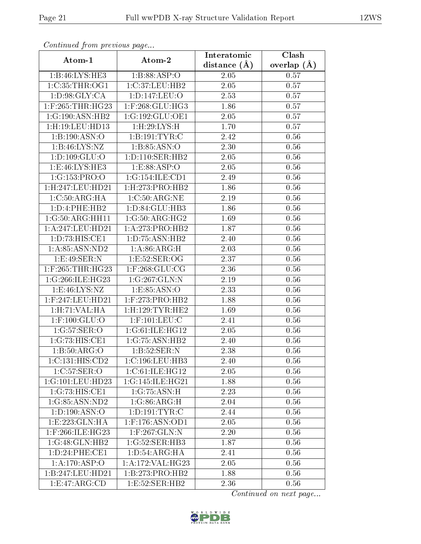| Commuca from previous page        |                                        | Interatomic       | Clash         |
|-----------------------------------|----------------------------------------|-------------------|---------------|
| Atom-1                            | Atom-2                                 | distance $(A)$    | overlap $(A)$ |
| 1:B:46:LYS:HE3                    | 1:B:88:ASP:O                           | 2.05              | 0.57          |
| 1:C:35:THR:OG1                    | 1:C:37:LEU:HB2                         | 2.05              | 0.57          |
| 1: D: 98: GLY: CA                 | 1: D: 147: LEU: O                      | 2.53              | 0.57          |
| 1:F:265:THR:HG23                  | $1:$ F:268:GLU:HG3                     | 1.86              | 0.57          |
| 1:G:190:ASN:HB2                   | 1:G:192:GLU:OE1                        | 2.05              | 0.57          |
| 1:H:19:LEU:HD13                   | 1:H:29:LYS:H                           | 1.70              | 0.57          |
| 1:B:190:ASN:O                     | 1:B:191:TYR:C                          | 2.42              | 0.56          |
| 1:B:46:LYS:NZ                     | 1:B:85:ASN:O                           | 2.30              | 0.56          |
| 1:D:109:GLU:O                     | 1: D: 110: SER: HB2                    | 2.05              | 0.56          |
| 1: E:46: LYS: HE3                 | 1:E:88:ASP:O                           | 2.05              | 0.56          |
| 1:G:153:PRO:O                     | 1:G:154:ILE:CD1                        | 2.49              | 0.56          |
| 1:H:247:LEU:HD21                  | $1:$ H $:273:$ PRO $:$ HB $2$          | 1.86              | 0.56          |
| 1: C: 50: ARG: HA                 | 1:C:50:ARG:NE                          | 2.19              | 0.56          |
| 1: D: 4: PHE: HB2                 | 1: D:84: GLU:HB3                       | 1.86              | 0.56          |
| 1:G:50:ARG:HH11                   | 1:G:50:ARG:HG2                         | 1.69              | 0.56          |
| $1:\overline{A}:247:\!LEU:\!HD21$ | 1:A:273:PRO:HB2                        | 1.87              | 0.56          |
| 1: D: 73: HIS: CE1                | 1:D:75:ASN:HB2                         | 2.40              | 0.56          |
| 1:A:85:ASN:ND2                    | 1: A:86: ARG:H                         | 2.03              | 0.56          |
| 1:E:49:SER:N                      | 1:E:52:SER:OG                          | 2.37              | 0.56          |
| $1:$ F:265:THR:HG23               | $1:$ F:268:GLU:CG                      | 2.36              | 0.56          |
| 1:G:266:ILE:HG23                  | 1:G:267:GLN:N                          | 2.19              | 0.56          |
| 1: E:46: LYS: NZ                  | 1:E:85:ASN:O                           | 2.33              | 0.56          |
| 1:F:247:LEU:HD21                  | 1:F:273:PRO:HB2                        | 1.88              | 0.56          |
| 1:H:71:VAL:HA                     | 1:H:129:TYR:HE2                        | 1.69              | 0.56          |
| $1:$ F:100:GLU:O                  | $1:$ F:101:LEU:C                       | 2.41              | 0.56          |
| 1:G:57:SER:O                      | 1:G:61:ILE:HG12                        | $\overline{2}.05$ | 0.56          |
| 1:G:73:HIS:CE1                    | 1:G:75:ASN:HB2                         | 2.40              | 0.56          |
| 1:B:50:ARG:O                      | 1:B:52:SER:N                           | 2.38              | 0.56          |
| 1:C:131:HIS:CD2                   | 1:C:196:LEU:HB3                        | 2.40              | 0.56          |
| 1:C:57:SER:O                      | 1:C:61:ILE:HG12                        | 2.05              | 0.56          |
| 1:G:101:LEU:HD23                  | 1:G:145:ILE:HG21                       | 1.88              | 0.56          |
| 1:G:73:HIS:CE1                    | 1:G:75:ASN:H                           | 2.23              | 0.56          |
| 1:G:85:ASN:ND2                    | 1:G:86:ARG:H                           | 2.04              | 0.56          |
| 1: D: 190: ASN:O                  | 1: D: 191: TYR: C                      | 2.44              | 0.56          |
| 1:E:223:GLN:HA                    | $1:$ F:176:ASN:OD1                     | 2.05              | 0.56          |
| $1:$ F:266:ILE:HG23               | $1:$ F:267: $\overline{\text{GLN}}$ :N | 2.20              | 0.56          |
| 1:G:48:GLN:HB2                    | 1:G:52:SER:HB3                         | 1.87              | 0.56          |
| 1: D: 24: PHE: CE1                | 1: D:54: ARG: HA                       | 2.41              | 0.56          |
| 1:A:170:ASP:O                     | 1:A:172:VAL:HG23                       | 2.05              | 0.56          |
| 1:B:247:LEU:HD21                  | 1:B:273:PRO:HB2                        | 1.88              | 0.56          |
| 1:E:47:ARG:CD                     | 1: E: 52: SER: HB2                     | 2.36              | 0.56          |

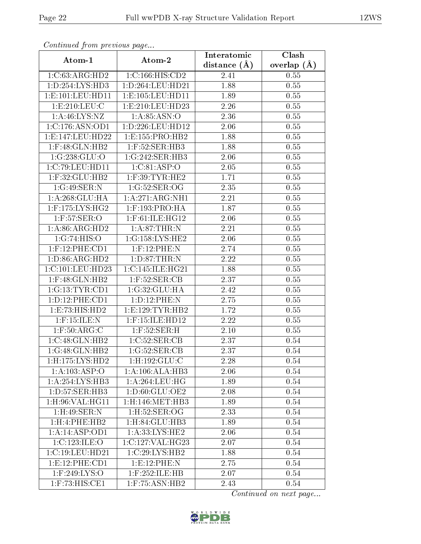| Communica from precious page  |                      | Interatomic    | Clash           |
|-------------------------------|----------------------|----------------|-----------------|
| Atom-1                        | Atom-2               | distance $(A)$ | overlap $(\AA)$ |
| 1:C:63:ARG:HD2                | 1:C:166:HIS:CD2      | 2.41           | 0.55            |
| 1: D: 254: LYS: HD3           | 1: D: 264: LEU: HD21 | 1.88           | 0.55            |
| 1: E: 101: LEU: HD11          | 1: E: 105: LEU: HD11 | 1.89           | 0.55            |
| 1:E:210:EU:C                  | 1: E: 210: LEU: HD23 | 2.26           | 0.55            |
| 1: A:46: LYS: NZ              | 1: A:85: ASN:O       | 2.36           | 0.55            |
| 1:C:176:ASN:OD1               | 1: D: 226: LEU: HD12 | 2.06           | 0.55            |
| 1:E:147:LEU:HD22              | 1:E:155:PRO:HB2      | 1.88           | 0.55            |
| $1:$ F:48: $GLN:$ HB2         | $1:$ F:52:SER:HB3    | 1.88           | 0.55            |
| 1:G:238:GLU:O                 | 1:G:242:SER:HB3      | 2.06           | 0.55            |
| 1:C:79:LEU:HD11               | 1:C:81:ASP:O         | 2.05           | 0.55            |
| 1:F:32:GLU:HB2                | $1:$ F:39:TYR:HE2    | 1.71           | 0.55            |
| 1:G:49:SER:N                  | 1:G:52:SER:OG        | 2.35           | 0.55            |
| 1:A:268:GLU:HA                | 1:A:271:ARG:NH1      | 2.21           | 0.55            |
| 1:F:175:LYS:HG2               | $1:$ F:193:PRO:HA    | 1.87           | 0.55            |
| 1:F:57:SER:O                  | 1:F:61:ILE:HG12      | 2.06           | 0.55            |
| 1:A:86:ARG:HD2                | $1:$ A:87:THR:N      | 2.21           | 0.55            |
| 1:G:74:HIS:O                  | 1:G:158:LYS:HE2      | 2.06           | 0.55            |
| $1:$ F:12:PHE:CD1             | $1:$ F:12:PHE:N      | 2.74           | 0.55            |
| 1:D:86:ARG:HD2                | 1: D:87:THR:N        | 2.22           | 0.55            |
| 1:C:101:LEU:HD23              | 1:C:145:ILE:HG21     | 1.88           | 0.55            |
| 1:F:48:GLN:HB2                | $1:$ F:52:SER:CB     | 2.37           | 0.55            |
| 1:G:13:TYR:CD1                | 1:G:32:GLU:HA        | 2.42           | 0.55            |
| 1:D:12:PHE:CD1                | 1:D:12:PHE:N         | 2.75           | 0.55            |
| 1:E:73:HIS:HD2                | 1: E: 129: TYR: HB2  | 1.72           | 0.55            |
| $1:$ F:15:ILE:N               | 1:F:15:ILE:HD12      | 2.22           | 0.55            |
| $1:$ F:50:ARG:C               | $1:$ F:52:SER:H      | 2.10           | 0.55            |
| 1:C:48:GLN:HB2                | 1:C:52:SER:CB        | 2.37           | 0.54            |
| 1:G:48:GLN:HB2                | 1:G:52:SER:CB        | 2.37           | 0.54            |
| 1:H:175:LYS:HD2               | 1:H:192:GLU:C        | 2.28           | 0.54            |
| 1:A:103:ASP:O                 | 1: A:106:ALA:HB3     | 2.06           | 0.54            |
| 1: A:254:LYS:HB3              | 1: A:264:LEU:HG      | 1.89           | 0.54            |
| 1:D:57:SER:HB3                | 1:D:60:GLU:OE2       | 2.08           | 0.54            |
| $1:$ H $:96:$ VAL $:$ H $G11$ | 1:H:146:MET:HB3      | 1.89           | 0.54            |
| 1:H:49:SER:N                  | 1: H:52: SER:OG      | 2.33           | 0.54            |
| 1:H:4:PHE:HB2                 | 1: H:84: GLU:HB3     | 1.89           | 0.54            |
| 1:A:14:ASP:OD1                | 1: A:33: LYS: HE2    | 2.06           | 0.54            |
| 1:C:123:ILE:O                 | 1:C:127:VAL:HG23     | 2.07           | 0.54            |
| 1:C:19:LEU:HD21               | 1:C:29:LYS:HB2       | 1.88           | 0.54            |
| 1: E: 12: PHE: CD1            | 1:E:12:PHE:N         | 2.75           | 0.54            |
| $1:$ F:249:LYS:O              | $1:$ F:252:ILE:HB    | 2.07           | 0.54            |
| $1:$ F:73:HIS:CE1             | 1:F:75:ASN:HB2       | 2.43           | 0.54            |

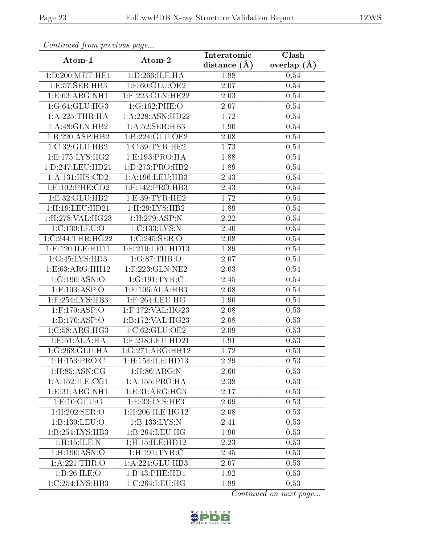| Continued from previous page |                                         | Interatomic    | Clash         |
|------------------------------|-----------------------------------------|----------------|---------------|
| Atom-1                       | Atom-2                                  | distance $(A)$ | overlap $(A)$ |
| 1:D:200:MET:HE1              | 1: D:266: ILE: HA                       | 1.88           | 0.54          |
| 1:E:57:SER:HB3               | 1:E:60:GLU:OE2                          | 2.07           | 0.54          |
| 1: E: 63: ARG: NH1           | 1:F:223:GLN:HE22                        | 2.03           | 0.54          |
| 1:G:64:GLU:HG3               | 1:G:162:PHE:O                           | 2.07           | 0.54          |
| 1: A:225:THR:HA              | 1:A:228:ASN:HD22                        | 1.72           | 0.54          |
| 1: A:48: GLN: HB2            | 1: A:52: SER:HB3                        | 1.90           | 0.54          |
| 1:B:220:ASP:HB2              | 1:B:224:GLU:OE2                         | 2.08           | 0.54          |
| 1:C:32:GLU:HB2               | 1:C:39:TYR:HE2                          | 1.73           | 0.54          |
| 1: E: 175: LYS: HG2          | 1:E:193:PRO:HA                          | 1.88           | 0.54          |
| 1:D:247:LEU:HD21             | 1: D: 273: PRO: HB2                     | 1.89           | 0.54          |
| 1: A: 131: HIS: CD2          | 1: A: 196: LEU: HB3                     | 2.43           | 0.54          |
| 1: E: 102: PHE: CD2          | 1: E: 142: PRO: HB3                     | 2.43           | 0.54          |
| 1:E:32:GLU:HB2               | 1: E:39: TYR: HE2                       | 1.72           | 0.54          |
| 1:H:19:LEU:HD21              | $1:$ H $:29:LYS:HB2$                    | 1.89           | 0.54          |
| 1:H:278:VAL:HG23             | 1:H:279:ASP:N                           | 2.22           | 0.54          |
| 1:C:130:LEU:O                | 1:C:133:LYS:N                           | 2.40           | 0.54          |
| 1:C:244:THR:HG22             | 1:C:245:SER:O                           | 2.08           | 0.54          |
| 1: E: 120: ILE: HD11         | 1: E: 210: LEU: HD13                    | 1.89           | 0.54          |
| 1:G:45:LYS:HD3               | 1:G:87:THR:O                            | 2.07           | 0.54          |
| 1:E:63:ARG:HH12              | $1:$ F:223:GLN: $\overline{\text{NE2}}$ | 2.03           | 0.54          |
| 1:G:190:ASN:O                | 1:G:191:TYR:C                           | 2.45           | 0.54          |
| $1:$ F:103:ASP:O             | $1:$ F:106:ALA:HB3                      | 2.08           | 0.54          |
| 1:F:254:LYS:HB3              | $1:$ F:264:LEU:HG                       | 1.90           | 0.54          |
| $1:$ F:170:ASP:O             | 1:F:172:VAL:HG23                        | 2.08           | 0.53          |
| 1:B:170:ASP:O                | 1:B:172:VAL:HG23                        | 2.08           | 0.53          |
| 1:C:58:ARG:HG3               | 1:C:62:GLU:OE2                          | 2.09           | 0.53          |
| 1:E:51:ALA:HA                | 1:F:218:LEU:HD21                        | 1.91           | 0.53          |
| 1:G:268:GLU:HA               | 1:G:271:ARG:HH12                        | 1.72           | 0.53          |
| 1:H:153:PRO:C                | 1:H:154:ILE:HD13                        | 2.29           | 0.53          |
| $1:$ H $:85:$ ASN $:$ CG     | $1:$ H $:86:$ ARG:N                     | 2.60           | 0.53          |
| 1:A:152:ILE:CG1              | 1:A:155:PRO:HA                          | 2.38           | 0.53          |
| 1: E: 31: ARG: NH1           | 1: E: 31: ARG: HG3                      | 2.17           | 0.53          |
| 1: E: 10: GLU:O              | 1:E:33:LYS:HE3                          | 2.09           | 0.53          |
| 1:H:202:SER:O                | 1:H:206:ILE:HG12                        | 2.08           | 0.53          |
| 1:B:130:LEU:O                | 1:B:133:LYS:N                           | 2.41           | 0.53          |
| 1:B:254:LYS:HB3              | 1:B:264:LEU:HG                          | 1.90           | 0.53          |
| 1:H:15:ILE:N                 | 1:H:15:ILE:HD12                         | 2.23           | 0.53          |
| $1:$ H $:190:$ ASN $:$ O     | $1:$ H $:191:TYR:$ C                    | 2.45           | 0.53          |
| 1:A:221:THR:O                | 1:A:224:GLU:HB3                         | 2.07           | 0.53          |
| 1:B:26:ILE:O                 | 1:B:43:PHE:HD1                          | 1.92           | 0.53          |
| 1:C:254:LYS:HB3              | 1:C:264:LEU:HG                          | 1.89           | 0.53          |

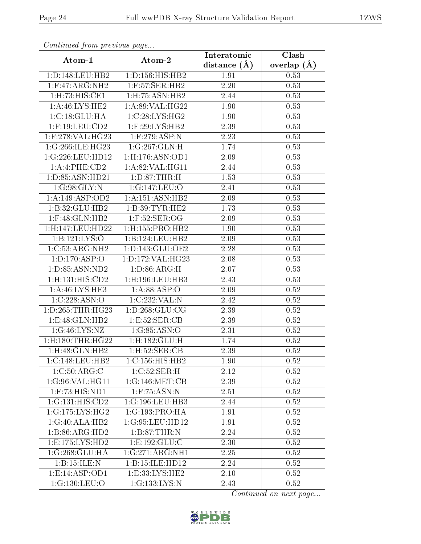| Communica from precious page   |                                 | Interatomic       | Clash           |
|--------------------------------|---------------------------------|-------------------|-----------------|
| Atom-1                         | Atom-2                          | distance $(A)$    | overlap $(\AA)$ |
| 1: D: 148: LEU: HB2            | 1:D:156:HIS:HB2                 | 1.91              | 0.53            |
| $1:$ F:47:ARG:NH2              | $1:$ F:57:SER:HB2               | $2.20\,$          | 0.53            |
| 1: H: 73: HIS: CE1             | $1:$ H:75:ASN:H $\overline{B2}$ | 2.44              | 0.53            |
| 1: A:46: LYS:HE2               | 1: A:89: VAL: HG22              | 1.90              | 0.53            |
| 1:C:18:GLU:HA                  | 1:C:28:LYS:HG2                  | 1.90              | 0.53            |
| $1:$ F:19:LEU: $CD2$           | $1:$ F:29:LYS:HB2               | 2.39              | 0.53            |
| $1:$ F:278:VAL:HG23            | $1:$ F:279:ASP:N                | 2.23              | 0.53            |
| 1:G:266:ILE:HG23               | 1:G:267:GLN:H                   | 1.74              | 0.53            |
| 1:G:226:LEU:HD12               | $1:$ H:176:ASN:OD1              | 2.09              | 0.53            |
| 1:A:4:PHE:CD2                  | 1:A:82:VAL:HG11                 | 2.44              | 0.53            |
| 1:D:85:ASN:HD21                | 1: D:87:THR:H                   | 1.53              | 0.53            |
| 1:G:98:GLY:N                   | 1:G:147:LEU:O                   | 2.41              | 0.53            |
| 1: A:149: ASP:OD2              | 1: A: 151: ASN: HB2             | 2.09              | 0.53            |
| 1:B:32:GLU:HB2                 | 1: B:39: TYR: HE2               | 1.73              | 0.53            |
| $1:$ F:48:GLN:HB2              | $1:$ F:52:SER:OG                | 2.09              | 0.53            |
| 1:H:147:LEU:HD22               | 1: H: 155: PRO: HB2             | 1.90              | 0.53            |
| 1:B:121:LYS:O                  | 1:B:124:LEU:HB2                 | 2.09              | 0.53            |
| 1:C:53:ARG:NH2                 | 1: D: 143: GLU: OE2             | 2.28              | 0.53            |
| 1: D: 170: ASP: O              | 1:D:172:VAL:HG23                | $\overline{2.08}$ | 0.53            |
| 1:D:85:ASN:ND2                 | 1: D: 86: ARG:H                 | 2.07              | 0.53            |
| $1:$ H $:131:$ HIS $:$ CD $2$  | $1:$ H $:196:$ LEU $:$ HB $3$   | 2.43              | 0.53            |
| 1: A:46: LYS: HE3              | 1: A:88: ASP:O                  | 2.09              | 0.52            |
| 1:C:228:ASN:O                  | 1:C:232:VAL:N                   | 2.42              | 0.52            |
| 1: D: 265: THR: HG23           | 1: D:268: GLU:CG                | 2.39              | $0.52\,$        |
| 1: E: 48: GLN: HB2             | 1:E:52:SER:CB                   | 2.39              | 0.52            |
| 1:G:46:LYS:NZ                  | 1:G:85:ASN:O                    | 2.31              | $0.52\,$        |
| $1:$ H $:180:$ THR $:$ H $G22$ | $1:$ H $:182:$ GLU $:$ H        | 1.74              | 0.52            |
| $1:$ H $:48:$ GLN $:$ HB $2$   | 1: H:52: SER: CB                | 2.39              | 0.52            |
| 1:C:148:LEU:HB2                | 1:C:156:HIS:HB2                 | 1.90              | 0.52            |
| 1:C:50:ARG:C                   | 1:C:52:SER:H                    | 2.12              | 0.52            |
| 1:G:96:VAL:HG11                | 1:G:146:MET:CB                  | 2.39              | 0.52            |
| $1:$ F:73:HIS:ND1              | $1:$ F:75:ASN:N                 | 2.51              | 0.52            |
| 1:G:131:HIS:CD2                | 1:G:196:LEU:HB3                 | 2.44              | 0.52            |
| 1:G:175:LYS:HG2                | 1:G:193:PRO:HA                  | 1.91              | 0.52            |
| 1:G:40:ALA:HB2                 | 1:G:95:LEU:HD12                 | 1.91              | 0.52            |
| 1:B:86:ARG:HD2                 | 1:B:87:THR:N                    | 2.24              | 0.52            |
| 1:E:175:LYS:HD2                | 1:E:192:GLU:C                   | 2.30              | 0.52            |
| 1:G:268:GLU:HA                 | 1:G:271:ARG:NH1                 | 2.25              | 0.52            |
| 1:B:15:ILE:N                   | 1:B:15:ILE:HD12                 | 2.24              | 0.52            |
| 1: E: 14: ASP: OD1             | 1: E:33: LYS: HE2               | $2.10\,$          | 0.52            |
| 1:G:130:LEU:O                  | 1:G:133:LYS:N                   | 2.43              | 0.52            |

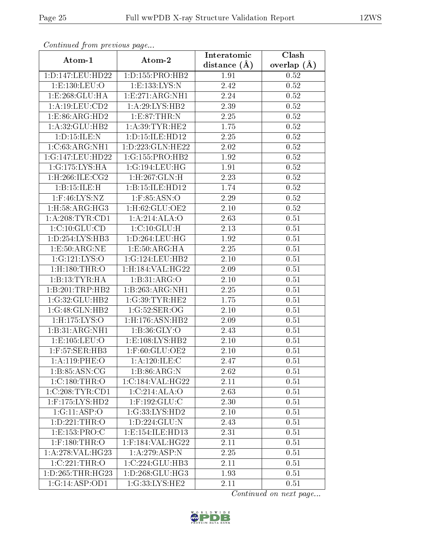| Continuea from previous page |                               | Interatomic    | Clash           |
|------------------------------|-------------------------------|----------------|-----------------|
| Atom-1                       | Atom-2                        | distance $(A)$ | overlap $(\AA)$ |
| 1:D:147:LEU:HD22             | 1: D: 155: PRO: HB2           | 1.91           | 0.52            |
| 1: E: 130: LEU: O            | 1: E: 133: LYS: N             | 2.42           | 0.52            |
| 1:E:268:GLU:HA               | 1:E:271:ARG:NH1               | 2.24           | 0.52            |
| 1: A: 19: LEU: CD2           | 1: A:29: LYS: HB2             | 2.39           | 0.52            |
| 1:ES:86:ARG:HD2              | 1:E:87:THR:N                  | 2.25           | 0.52            |
| 1:A:32:GLU:HB2               | 1: A:39: TYR: HE2             | 1.75           | 0.52            |
| 1: D: 15: ILE:N              | 1:D:15:ILE:HD12               | 2.25           | 0.52            |
| 1:C:63:ARG:NH1               | 1: D: 223: GLN: HE22          | 2.02           | 0.52            |
| 1:G:147:LEU:HD22             | 1:G:155:PRO:HB2               | 1.92           | 0.52            |
| 1:G:175:LYS:HA               | 1:G:194:LEU:HG                | 1.91           | 0.52            |
| 1:H:266:ILE:CG2              | 1:H:267:GLN:H                 | 2.23           | 0.52            |
| 1:B:15:ILE:H                 | 1:B:15:ILE:HD12               | 1.74           | 0.52            |
| $1:$ F:46:LYS:NZ             | $1:$ F:85:ASN:O               | 2.29           | 0.52            |
| $1:$ H $:58:$ ARG $:$ H $G3$ | 1:H:62:GLU:OE2                | 2.10           | 0.52            |
| 1: A:208:TYR:CD1             | 1:A:214:ALA:O                 | 2.63           | 0.51            |
| 1:C:10:GLU:CD                | 1:C:10:GLU:H                  | 2.13           | 0.51            |
| 1:D:254:LYS:HB3              | 1:D:264:LEU:HG                | 1.92           | 0.51            |
| 1: E:50: ARG:NE              | 1:E:50:ARG:HA                 | 2.25           | 0.51            |
| 1:G:121:LYS:O                | 1:G:124:LEU:HB2               | 2.10           | 0.51            |
| $1:$ H $:180:$ THR $:$ O     | 1:H:184:VAL:HG22              | $2.09\,$       | 0.51            |
| 1:B:13:TYR:HA                | 1:B:31:ARG:O                  | 2.10           | 0.51            |
| 1:B:201:TRP:HB2              | 1:B:263:ARG:NH1               | 2.25           | 0.51            |
| 1:G:32:GLU:HB2               | 1:G:39:TYR:HE2                | 1.75           | 0.51            |
| 1:G:48:GLN:HB2               | 1:G:52:SER:OG                 | 2.10           | 0.51            |
| 1:H:175:LYS:O                | $1:$ H $:176:$ ASN $:$ HB $2$ | 2.09           | 0.51            |
| 1:B:31:ARG:NH1               | 1: B:36: GLY:O                | 2.43           | 0.51            |
| 1:E:105:LEU:O                | 1:E:108:LYS:HB2               | 2.10           | 0.51            |
| $1:$ F:57:SER:HB3            | 1:F:60:GLU:OE2                | 2.10           | 0.51            |
| 1: A: 119: PHE: O            | 1:A:120:ILE:C                 | 2.47           | 0.51            |
| 1: B: 85: ASN: CG            | 1:B:86:ARG:N                  | 2.62           | 0.51            |
| 1:C:180:THR:O                | 1:C:184:VAL:HG22              | 2.11           | 0.51            |
| 1:C:208:TYR:CD1              | 1:C:214:ALA:O                 | 2.63           | 0.51            |
| $1:$ F:175:LYS:HD2           | $1:$ F:192:GLU:C              | 2.30           | 0.51            |
| 1:G:11:ASP:O                 | 1:G:33:LYS:HD2                | 2.10           | 0.51            |
| 1: D: 221: THR:O             | 1: D: 224: GLU: N             | 2.43           | 0.51            |
| 1:E:153:PRO:C                | 1:E:154:ILE:HD13              | 2.31           | 0.51            |
| $1:$ F:180:THR:O             | 1:F:184:VAL:HG22              | 2.11           | 0.51            |
| 1:A:278:VAL:HG23             | 1: A:279: ASP:N               | 2.25           | 0.51            |
| 1:C:221:THR:O                | 1:C:224:GLU:HB3               | 2.11           | 0.51            |
| 1: D: 265: THR: HG23         | 1: D: 268: GLU: HG3           | 1.93           | 0.51            |
| 1:G:14:ASP:OD1               | 1:G:33:LYS:HE2                | 2.11           | 0.51            |

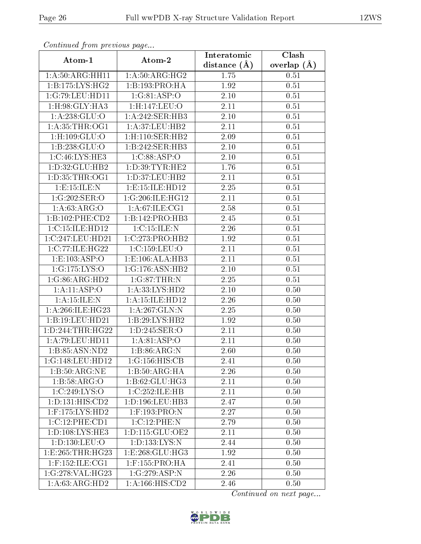| сонинией јтот ртеvиоиз раде |                               | Interatomic    | Clash         |
|-----------------------------|-------------------------------|----------------|---------------|
| Atom-1                      | Atom-2                        | distance $(A)$ | overlap $(A)$ |
| 1: A:50: ARG: HH11          | 1: A:50: ARG: HG2             | 1.75           | 0.51          |
| 1: B: 175: LYS: HG2         | 1:B:193:PRO:HA                | 1.92           | $0.51\,$      |
| 1:G:79:LEU:HD11             | 1:G:81:ASP:O                  | 2.10           | 0.51          |
| 1:H:98:GLY:HA3              | 1:H:147:LEU:O                 | 2.11           | 0.51          |
| 1: A:238: GLU:O             | 1:A:242:SER:HB3               | 2.10           | 0.51          |
| 1: A:35:THR:OG1             | 1:A:37:LEU:HB2                | 2.11           | 0.51          |
| $1:$ H:109: $GLU:$ O        | $1:$ H $:110:$ SER $:$ HB $2$ | 2.09           | 0.51          |
| 1:B:238:GLU:O               | 1:B:242:SER:HB3               | $2.10\,$       | 0.51          |
| 1:C:46:LYS:HE3              | 1:C:88:ASP:O                  | $2.10\,$       | 0.51          |
| 1:D:32:GLU:HB2              | 1: D: 39: TYR: HE2            | 1.76           | 0.51          |
| 1: D: 35: THR: OG1          | 1: D: 37: LEU: HB2            | 2.11           | 0.51          |
| 1: E: 15: ILE:N             | 1:E:15:ILE:HD12               | 2.25           | 0.51          |
| 1:G:202:SER:O               | 1:G:206:ILE:HG12              | 2.11           | 0.51          |
| 1: A:63: ARG:O              | 1: A:67: ILE:CG1              | 2.58           | 0.51          |
| 1:B:102:PHE:CD2             | 1:B:142:PRO:HB3               | 2.45           | 0.51          |
| 1:C:15:ILE:HD12             | 1: C:15: ILE:N                | 2.26           | 0.51          |
| 1:C:247:LEU:HD21            | 1:C:273:PRO:HB2               | 1.92           | 0.51          |
| 1:C:77:ILE:HG22             | 1:C:159:LEU:O                 | 2.11           | 0.51          |
| $1: \overline{E:103:ASP:O}$ | 1:E:106:ALA:HB3               | 2.11           | 0.51          |
| 1:G:175:LYS:O               | 1:G:176:ASN:HB2               | 2.10           | 0.51          |
| 1:G:86:ARG:HD2              | $1:G:87:THR:$ N               | 2.25           | 0.51          |
| 1:A:11:ASP:O                | 1:A:33:LYS:HD2                | 2.10           | 0.50          |
| 1: A: 15: ILE:N             | 1:A:15:ILE:HD12               | 2.26           | 0.50          |
| 1:A:266:ILE:HG23            | 1:A:267:GLN:N                 | 2.25           | 0.50          |
| 1:B:19:LEU:HD21             | 1:B:29:LYS:HB2                | 1.92           | 0.50          |
| 1:D:244:THR:HG22            | 1:D:245:SER:O                 | 2.11           | 0.50          |
| 1: A:79: LEU: HD11          | 1:A:81:ASP:O                  | 2.11           | 0.50          |
| 1:B:85:ASN:ND2              | 1:B:86:ARG:N                  | 2.60           | 0.50          |
| 1:G:148:LEU:HD12            | $1:G:156:\overline{HIS:CB}$   | 2.41           | 0.50          |
| 1:B:50:ARG:NE               | 1:B:50:ARG:HA                 | 2.26           | 0.50          |
| 1:B:58:ARG:O                | 1: B:62: GLU: HG3             | 2.11           | 0.50          |
| 1:C:249:LYS:O               | 1:C:252:ILE:HB                | 2.11           | 0.50          |
| 1: D: 131: HIS: CD2         | 1: D: 196: LEU: HB3           | 2.47           | 0.50          |
| $1:$ F:175:LYS:HD2          | $1:$ F:193:PRO:N              | 2.27           | 0.50          |
| 1:C:12:PHE:CD1              | 1:C:12:PHE:N                  | 2.79           | 0.50          |
| 1: D: 108: LYS: HE3         | 1: D: 115: GLU: OE2           | 2.11           | 0.50          |
| 1:D:130:LEU:O               | 1: D: 133: LYS:N              | 2.44           | 0.50          |
| 1:E:265:THR:HG23            | 1: E: 268: GLU: HG3           | 1.92           | 0.50          |
| $1:$ F:152:ILE:CG1          | $1:$ F:155:PRO:HA             | 2.41           | 0.50          |
| 1:G:278:VAL:HG23            | 1:G:279:ASP:N                 | 2.26           | 0.50          |
| 1:A:63:ARG:HD2              | 1:A:166:HIS:CD2               | 2.46           | 0.50          |

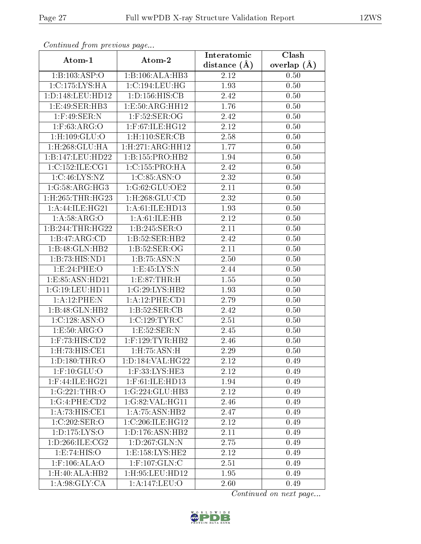| Continuea from previous page |                                     | Interatomic       | Clash           |
|------------------------------|-------------------------------------|-------------------|-----------------|
| Atom-1                       | Atom-2                              | distance $(A)$    | overlap $(\AA)$ |
| 1:B:103:ASP:O                | 1:B:106:ALA:HB3                     | 2.12              | 0.50            |
| 1:C:175:LYS:HA               | 1:C:194:LEU:HG                      | 1.93              | 0.50            |
| 1: D: 148: LEU: HD12         | 1: D: 156: HIS: CB                  | 2.42              | 0.50            |
| 1: E:49: SER:HB3             | 1: E:50: ARG:HH12                   | 1.76              | 0.50            |
| $1:$ F:49:SER:N              | $1:$ F:52:SER:OG                    | 2.42              | 0.50            |
| $1:$ F:63:ARG:O              | $1:$ F:67:ILE:HG12                  | 2.12              | 0.50            |
| $1:$ H:109:GLU:O             | $1:$ H:110:SER:CB                   | 2.58              | 0.50            |
| $1:$ H $:268:$ GLU $:$ HA    | 1: H: 271: ARG: HH12                | 1.77              | 0.50            |
| 1:B:147:LEU:HD22             | 1:B:155:PRO:HB2                     | 1.94              | 0.50            |
| 1:C:152:ILE:CG1              | 1:C:155:PRO:HA                      | 2.42              | 0.50            |
| 1:C:46:LYS:NZ                | 1:C:85:ASN:O                        | 2.32              | 0.50            |
| 1:G:58:ARG:HG3               | 1:G:62:GLU:OE2                      | 2.11              | 0.50            |
| 1:H:265:THR:HG23             | $1:$ H $:268:$ GLU $:$ CD           | 2.32              | 0.50            |
| 1:A:44:ILE:HG21              | 1: A:61: ILE: HD13                  | 1.93              | 0.50            |
| 1: A:58: ARG:O               | 1: A: 61: ILE: HB                   | 2.12              | 0.50            |
| 1:B:244:THR:HG22             | 1:B:245:SER:O                       | 2.11              | 0.50            |
| 1:B:47:ARG:CD                | 1:B:52:SER:HB2                      | 2.42              | 0.50            |
| 1:B:48:GLN:HB2               | 1:B:52:SER:OG                       | 2.11              | 0.50            |
| 1:B:73:HIS:ND1               | 1:B:75:ASN:N                        | $\overline{2.50}$ | 0.50            |
| 1:E:24:PHE:O                 | 1:E:45:LYS:N                        | 2.44              | 0.50            |
| 1:E:85:ASN:HD21              | 1:E:87:THR:H                        | 1.55              | 0.50            |
| 1:G:19:LEU:HD11              | 1:G:29:LYS:HB2                      | 1.93              | 0.50            |
| 1: A:12:PHE:N                | 1:A:12:PHE:CD1                      | 2.79              | 0.50            |
| 1:B:48:GLN:HB2               | 1:B:52:SER:CB                       | 2.42              | 0.50            |
| 1:C:128:ASN:O                | 1:C:129:TYR:C                       | 2.51              | 0.50            |
| 1: E: 50: ARG: O             | 1:E:52:SER:N                        | 2.45              | 0.50            |
| 1:F:73:HIS:CD2               | $1:$ F:129:TYR:HB2                  | 2.46              | 0.50            |
| 1:H:73:HIS:CE1               | 1: H: 75: ASN:H                     | 2.29              | 0.50            |
| 1: D: 180: THR:O             | 1:D:184:VAL:HG22                    | 2.12              | 0.49            |
| $1:$ F:10:GLU:O              | 1:F:33:LYS:HE3                      | 2.12              | 0.49            |
| 1:F:44:ILE:HG21              | $1:$ F:61:ILE:HD13                  | 1.94              | 0.49            |
| 1:G:221:THR:O                | 1:G:224:GLU:HB3                     | 2.12              | 0.49            |
| 1:G:4:PHE:CD2                | 1:G:82:VAL:HG11                     | 2.46              | 0.49            |
| 1:A:73:HIS:CE1               | $1:A:75:A\overline{SN:H}B2$         | 2.47              | 0.49            |
| 1:C:202:SER:O                | 1:C:206:ILE:HG12                    | 2.12              | 0.49            |
| 1: D: 175: LYS: O            | 1: D: 176: ASN: HB2                 | 2.11              | 0.49            |
| 1: D: 266: ILE: CG2          | 1: D: 267: GLN:N                    | 2.75              | 0.49            |
| 1: E: 74: HIS: O             | 1:E:158:LYS:HE2                     | 2.12              | 0.49            |
| $1:$ F:106:ALA:O             | $1:$ F:107: $GLN$ :C                | 2.51              | 0.49            |
| 1:H:40:ALA:HB2               | 1:H:95:LEU:HD12                     | 1.95              | 0.49            |
| 1: A:98: GLY:CA              | $1: A:147: \overline{\text{LEU:O}}$ | 2.60              | 0.49            |

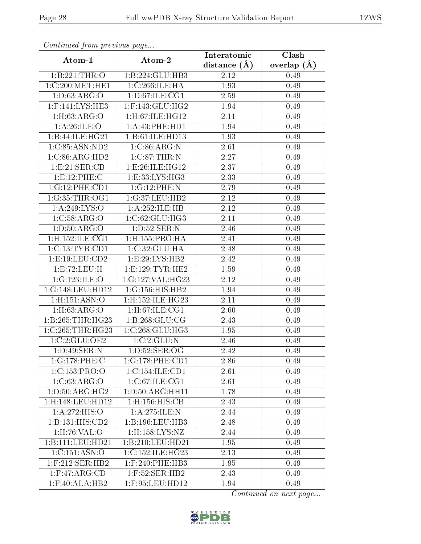| Continua from pretious page                |                               | Interatomic       | Clash           |
|--------------------------------------------|-------------------------------|-------------------|-----------------|
| Atom-1                                     | Atom-2                        | distance $(A)$    | overlap $(\AA)$ |
| 1:B:221:THR:O                              | 1:B:224:GLU:HB3               | 2.12              | 0.49            |
| $1:C:200:\overline{\text{MET}:\text{HE1}}$ | 1:C:266:ILE:HA                | 1.93              | 0.49            |
| 1: D: 63: ARG: O                           | 1: D:67: ILE: CG1             | 2.59              | 0.49            |
| $1:$ F:141:LYS:HE3                         | $1:$ F:143:GLU:HG2            | 1.94              | 0.49            |
| 1: H: 63: ARG: O                           | $1:$ H $:$ 67:ILE $:$ H $G12$ | 2.11              | 0.49            |
| 1: A:26: ILE:O                             | 1: A: 43: PHE: HD1            | 1.94              | 0.49            |
| 1:B:44:ILE:HG21                            | 1:B:61:ILE:HD13               | 1.93              | 0.49            |
| 1:C:85:ASN:ND2                             | 1:C:86:ARG:N                  | 2.61              | 0.49            |
| 1:C:86:ARG:HD2                             | $1:C:87$ : THR:N              | $\overline{2.27}$ | 0.49            |
| 1:E:21:SER:CB                              | 1: E:26: ILE: HG12            | 2.37              | 0.49            |
| 1:E:12:PHE:C                               | 1:E:33:LYS:HG3                | 2.33              | 0.49            |
| 1:G:12:PHE:CD1                             | 1:G:12:PHE:N                  | 2.79              | 0.49            |
| 1:G:35:THR:OG1                             | 1:G:37:LEU:HB2                | 2.12              | 0.49            |
| 1: A:249: LYS:O                            | 1:A:252:ILE:HB                | 2.12              | 0.49            |
| 1:C:58:ARG:O                               | 1:C:62:GLU:HG3                | 2.11              | 0.49            |
| 1: D: 50: ARG: O                           | 1: D: 52: SER: N              | 2.46              | 0.49            |
| 1:H:152:ILE:CG1                            | 1:H:155:PRO:HA                | 2.41              | 0.49            |
| 1:C:13:TYR:CD1                             | 1:C:32:GLU:HA                 | 2.48              | 0.49            |
| 1: E: 19: LEU: CD2                         | 1:E:29:LYS:HB2                | 2.42              | 0.49            |
| 1:E:72:LEU:H                               | 1: E: 129: TYR: HE2           | 1.59              | 0.49            |
| 1:G:123:ILE:O                              | 1:G:127:VAL:HG23              | 2.12              | 0.49            |
| 1:G:148:LEU:HD12                           | 1:G:156:HIS:HB2               | 1.94              | 0.49            |
| $1:$ H $:151:$ ASN $:$ O                   | 1:H:152:ILE:HG23              | 2.11              | 0.49            |
| 1: H:63: ARG:O                             | 1:H:67:ILE:CG1                | 2.60              | 0.49            |
| 1:B:265:THR:HG23                           | 1:B:268:GLU:CG                | 2.43              | 0.49            |
| $1:C:265$ : THR: HG23                      | 1:C:268:GLU:HG3               | 1.95              | 0.49            |
| 1:C:2:GLU:OE2                              | 1:C:2:GLU:N                   | 2.46              | 0.49            |
| 1: D:49: SER: N                            | 1: D:52: SER:OG               | 2.42              | 0.49            |
| 1:G:178:PHE:C                              | 1:G:178:PHE:CD1               | 2.86              | 0.49            |
| 1:C:153:PRO:O                              | 1:C:154:ILE:CD1               | 2.61              | 0.49            |
| 1:C:63:ARG:O                               | 1:C:67:ILE:CG1                | 2.61              | 0.49            |
| $1: D:50: \overline{\text{RG:HG2}}$        | 1:D:50:ARG:HH11               | 1.78              | 0.49            |
| 1:H:148:LEU:HD12                           | $1:$ H $:156:$ HIS $:$ CB     | 2.43              | 0.49            |
| 1:A:272:HIS:O                              | 1:A:275:ILE:N                 | 2.44              | 0.49            |
| 1:B:131:HIS:CD2                            | 1:B:196:LEU:HB3               | 2.48              | 0.49            |
| 1:H:76:VAL:O                               | $1:$ H $:158:LYS:NZ$          | 2.44              | 0.49            |
| 1:B:111:LEU:HD21                           | 1:B:210:LEU:HD21              | 1.95              | 0.49            |
| 1:C:151:ASN:O                              | 1:C:152:ILE:HG23              | 2.13              | 0.49            |
| $1:$ F:212:SER:HB2                         | $1:$ F:240:PHE:HB3            | 1.95              | 0.49            |
| $1:$ F:47:ARG:CD                           | $1:$ F:52:SER:HB2             | 2.43              | 0.49            |
| $1:$ F:40:ALA:HB2                          | 1:F:95:LEU:HD12               | 1.94              | 0.49            |

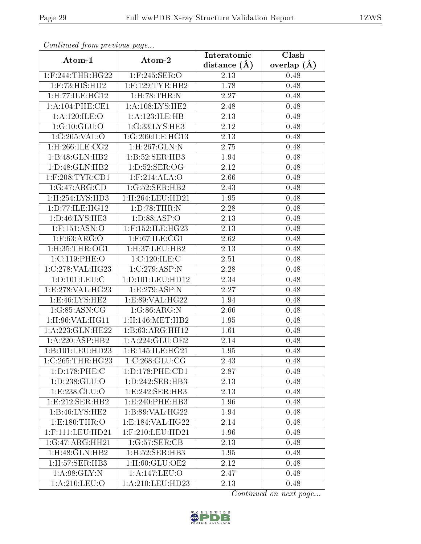| Continued from previous page  |                         | Interatomic      | Clash         |
|-------------------------------|-------------------------|------------------|---------------|
| Atom-1                        | Atom-2                  | distance $(\AA)$ | overlap $(A)$ |
| $1:$ F:244:THR:HG22           | $1:$ F:245:SER:O        | 2.13             | 0.48          |
| $1:$ F:73:HIS:HD2             | $1:$ F:129:TYR:HB2      | 1.78             | 0.48          |
| 1: H: 77: ILE: HG12           | $1:$ H $:78:$ THR $:$ N | 2.27             | 0.48          |
| 1:A:104:PHE:CE1               | 1: A:108:LYS:HE2        | 2.48             | 0.48          |
| 1: A:120: ILE: O              | 1:A:123:ILE:HB          | 2.13             | 0.48          |
| 1:G:10:GLU:O                  | 1:G:33:LYS:HE3          | 2.12             | 0.48          |
| 1:G:205:VAL:O                 | 1:G:209:ILE:HG13        | 2.13             | 0.48          |
| $1:$ H $:266:$ ILE $:$ CG2    | 1:H:267:GLN:N           | 2.75             | 0.48          |
| 1:B:48:GLN:HB2                | 1:B:52:SER:HB3          | 1.94             | 0.48          |
| 1:D:48:GLN:HB2                | 1: D:52: SER:OG         | 2.12             | 0.48          |
| 1:F:208:TYR:CD1               | $1:$ F:214:ALA:O        | 2.66             | 0.48          |
| 1:G:47:ARG:CD                 | 1:G:52:SER:HB2          | 2.43             | 0.48          |
| 1:H:254:LYS:HD3               | 1: H:264: LEU: HD21     | 1.95             | 0.48          |
| 1: D: 77: ILE: HG12           | 1: D:78:THR:N           | 2.28             | 0.48          |
| 1:D:46:LYS:HE3                | 1: D:88: ASP:O          | 2.13             | 0.48          |
| 1:F:151:ASN:O                 | 1:F:152:ILE:HG23        | 2.13             | 0.48          |
| $1:$ F:63:ARG:O               | $1:$ F:67:ILE:CG1       | 2.62             | 0.48          |
| 1: H:35: THR:OG1              | 1: H:37: LEU: HB2       | 2.13             | 0.48          |
| 1:C:119:PHE:O                 | 1:C:120:ILE:C           | 2.51             | 0.48          |
| 1:C:278:VAL:HG23              | 1:C:279:ASP:N           | 2.28             | 0.48          |
| 1: D: 101: LEU: C             | 1: D: 101: LEU: HD12    | 2.34             | 0.48          |
| 1:E:278:VAL:HG23              | 1:E:279:ASP:N           | 2.27             | 0.48          |
| 1: E:46: LYS: HE2             | 1:E:89:VAL:HG22         | 1.94             | 0.48          |
| 1:G:85:ASN:CG                 | 1:G:86:ARG:N            | 2.66             | 0.48          |
| $1:$ H $:96:$ VAL $:$ H $G11$ | 1:H:146:MET:HB2         | 1.95             | 0.48          |
| 1:A:223:GLN:HE22              | 1:B:63:ARG:HH12         | 1.61             | 0.48          |
| 1:A:220:ASP:HB2               | 1: A:224: GLU:OE2       | 2.14             | 0.48          |
| 1:B:101:LEU:HD23              | 1:B:145:ILE:HG21        | 1.95             | 0.48          |
| 1:C:265:THR:HG23              | 1:C:268:GLU:CG          | 2.43             | 0.48          |
| 1:D:178:PHE:C                 | 1:D:178:PHE:CD1         | 2.87             | 0.48          |
| 1: D: 238: GLU: O             | 1: D: 242: SER: HB3     | 2.13             | 0.48          |
| 1:E:238:GLU:O                 | 1:E:242:SER:HB3         | 2.13             | 0.48          |
| 1: E: 212: SER: HB2           | 1:E:240:PHE:HB3         | 1.96             | 0.48          |
| 1:B:46:LYS:HE2                | 1:B:89:VAL:HG22         | 1.94             | 0.48          |
| 1: E: 180: THR:O              | 1:E:184:VAL:HG22        | 2.14             | 0.48          |
| $1:$ F:111:LEU:HD21           | $1:$ F:210:LEU:HD21     | 1.96             | 0.48          |
| 1:G:47:ARG:HH21               | 1:G:57:SER:CB           | 2.13             | 0.48          |
| $1:$ H $:48:$ GLN $:$ HB $2$  | 1:H:52:SER:HB3          | 1.95             | 0.48          |
| 1: H: 57: SER: HB3            | 1:H:60:GLU:OE2          | 2.12             | 0.48          |
| 1: A:98: GLY:N                | 1:A:147:LEU:O           | 2.47             | 0.48          |
| 1: A:210:LEU:O                | 1:A:210:LEU:HD23        | 2.13             | 0.48          |

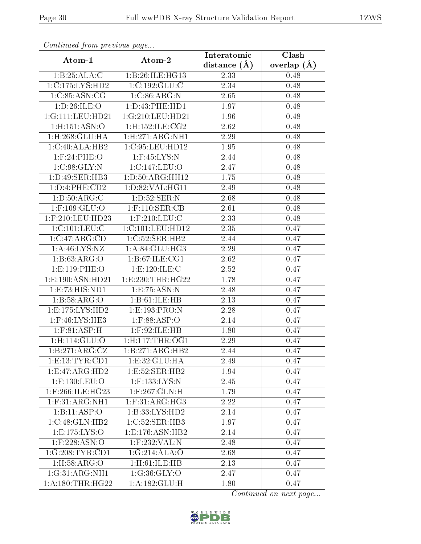| contentava promo procto ao pago |                             | Interatomic    | $\overline{\text{Clash}}$ |
|---------------------------------|-----------------------------|----------------|---------------------------|
| Atom-1                          | Atom-2                      | distance $(A)$ | overlap $(\AA)$           |
| 1:B:25:ALA:C                    | 1:B:26:ILE:HG13             | 2.33           | 0.48                      |
| 1:C:175:LYS:HD2                 | 1:C:192:GLU:C               | 2.34           | 0.48                      |
| 1:C:85:ASN:CG                   | 1:C:86:ARG:N                | 2.65           | 0.48                      |
| 1:D:26:ILE:O                    | 1: D: 43: PHE: HD1          | 1.97           | 0.48                      |
| 1:G:111:LEU:HD21                | 1:G:210:LEU:HD21            | 1.96           | 0.48                      |
| 1:H:151:ASN:O                   | $1:$ H:152:ILE:CG2          | 2.62           | 0.48                      |
| 1:H:268:GLU:HA                  | 1: H:271: ARG:NH1           | 2.29           | 0.48                      |
| 1:C:40:ALA:HB2                  | 1:C:95:LEU:HD12             | 1.95           | 0.48                      |
| $1:$ F:24:PHE:O                 | $1:$ F:45:LYS:N             | 2.44           | 0.48                      |
| 1:C:98:GLY:N                    | 1:C:147:LEU:O               | 2.47           | 0.48                      |
| 1:D:49:SER:HB3                  | 1: D:50: ARG: HH12          | 1.75           | 0.48                      |
| 1:D:4:PHE:CD2                   | 1: D:82: VAL:HGI1           | 2.49           | 0.48                      |
| 1: D: 50: ARG: C                | 1: D: 52: SER: N            | 2.68           | 0.48                      |
| 1:F:109:GLU:O                   | $1:$ F:110:SER:CB           | 2.61           | 0.48                      |
| 1:F:210:LEU:HD23                | $1:$ F:210:LEU:C            | 2.33           | 0.48                      |
| 1:C:101:LEU:C                   | 1:C:101:LEU:HD12            | 2.35           | 0.47                      |
| 1:C:47:ARG:CD                   | 1:C:52:SER:HB2              | 2.44           | 0.47                      |
| 1: A:46: LYS: NZ                | 1:A:84:GLU:HG3              | 2.29           | 0.47                      |
| 1: B: 63: ARG: O                | $1:B:\overline{67:ILE:CG1}$ | 2.62           | 0.47                      |
| 1: E: 119: PHE: O               | 1:E:120:ILE:C               | 2.52           | 0.47                      |
| 1:E:190:ASN:HD21                | 1: E: 230: THR: HG22        | 1.78           | 0.47                      |
| 1:E:73:HIS:ND1                  | 1:E:75:ASN:N                | 2.48           | 0.47                      |
| 1:B:58:ARG:O                    | 1:B:61:ILE:HB               | 2.13           | 0.47                      |
| 1: E: 175: LYS: HD2             | 1:E:193:PRO:N               | 2.28           | 0.47                      |
| 1:F:46:LYS:HE3                  | $1:$ F:88:ASP:O             | 2.14           | 0.47                      |
| 1: F:81:ASP:H                   | $1:$ F:92:ILE:HB            | 1.80           | 0.47                      |
| 1:H:114:GLU:O                   | 1: H: 117: THR: OG1         | 2.29           | 0.47                      |
| 1:B:271:ARG:CZ                  | 1:B:271:ARG:HB2             | 2.44           | 0.47                      |
| 1: E: 13: TYR: CD1              | 1: E:32: GLU: HA            | 2.49           | 0.47                      |
| 1:E:47:ARG:HD2                  | 1:E:52:SER:HB2              | 1.94           | 0.47                      |
| $1:$ F:130:LEU:O                | 1:F:133:LYS:N               | 2.45           | 0.47                      |
| $1:$ F:266:ILE:HG23             | $1:$ $F:267:$ GLN: H        | 1.79           | 0.47                      |
| $1:$ F:31:ARG:NH1               | $1:$ F:31:ARG:HG3           | 2.22           | 0.47                      |
| 1:B:11:ASP:O                    | 1:B:33:LYS:HD2              | 2.14           | 0.47                      |
| 1:C:48:GLN:HB2                  | 1:C:52:SER:HB3              | 1.97           | 0.47                      |
| 1: E: 175: LYS: O               | 1: E: 176: ASN: HB2         | 2.14           | 0.47                      |
| $1:$ F:228:ASN:O                | $1:$ F:232:VAL:N            | 2.48           | 0.47                      |
| 1:G:208:TYR:CD1                 | 1:G:214:ALA:O               | 2.68           | 0.47                      |
| 1: H:58: ARG:O                  | 1:H:61:ILE:HB               | 2.13           | 0.47                      |
| 1:G:31:ARG:NH1                  | 1:G:36:GLY:O                | 2.47           | 0.47                      |
| 1: A: 180: THR: HG22            | 1: A: 182: GLU: H           | 1.80           | 0.47                      |

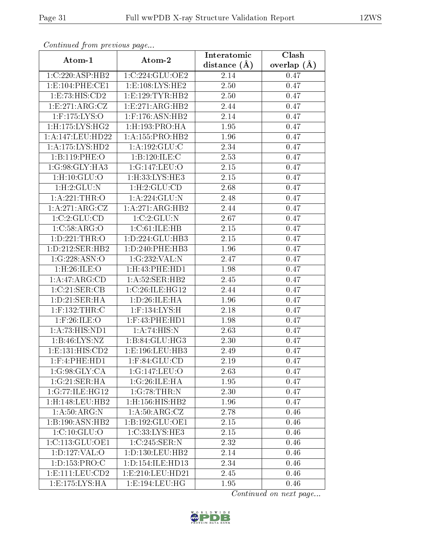| Communa from previous page    |                                  | Interatomic    | Clash           |
|-------------------------------|----------------------------------|----------------|-----------------|
| Atom-1                        | Atom-2                           | distance $(A)$ | overlap $(\AA)$ |
| 1:C:220:ASP:HB2               | 1:C:224:GLU:OE2                  | 2.14           | 0.47            |
| 1:E:104:PHE:CE1               | 1: E: 108: LYS: HE2              | 2.50           | 0.47            |
| 1:E:73:HIS:CD2                | 1: E: 129: TYR: HB2              | $2.50\,$       | 0.47            |
| 1: E:271: ARG: CZ             | 1: E: 271: ARG: HB2              | 2.44           | 0.47            |
| $1:$ F:175:LYS:O              | $1:$ F:176:ASN: $\overline{H}B2$ | 2.14           | 0.47            |
| $1:$ H $:175:$ LYS $:$ H $G2$ | 1:H:193:PRO:HA                   | 1.95           | 0.47            |
| 1:A:147:LEU:HD22              | 1: A: 155: PRO: HB2              | 1.96           | 0.47            |
| 1: A: 175: LYS: HD2           | 1:A:192:GLU:C                    | 2.34           | 0.47            |
| 1:B:119:PHE:O                 | 1:B:120:ILE:C                    | 2.53           | 0.47            |
| 1:G:98:GLY:HA3                | 1:G:147:LEU:O                    | 2.15           | 0.47            |
| 1: H: 10: GLU: O              | 1:H:33:LYS:HE3                   | 2.15           | 0.47            |
| 1:H:2:GLU:N                   | 1: H: 2: GLU: CD                 | 2.68           | 0.47            |
| 1:A:221:THR:O                 | 1: A:224: GLU:N                  | 2.48           | 0.47            |
| 1:A:271:ARG:CZ                | 1:A:271:ARG:HB2                  | 2.44           | 0.47            |
| 1:C:2:CLU:CD                  | 1:C:2:GLU:N                      | 2.67           | 0.47            |
| 1:C:58:ARG:O                  | 1:C:61:ILE:HB                    | 2.15           | 0.47            |
| 1:D:221:THR:O                 | 1: D: 224: GLU: HB3              | 2.15           | 0.47            |
| 1: D: 212: SER: HB2           | 1: D: 240: PHE: HB3              | 1.96           | 0.47            |
| 1:G:228:ASN:O                 | 1:G:232:VAL:N                    | 2.47           | 0.47            |
| 1:H:26:ILE:O                  | 1:H:43:PHE:HD1                   | 1.98           | 0.47            |
| 1:A:47:ARG:CD                 | 1: A:52: SER:HB2                 | 2.45           | 0.47            |
| 1:C:21:SER:CB                 | 1:C:26:ILE:HG12                  | 2.44           | 0.47            |
| 1: D: 21: SER: HA             | 1: D:26: ILE: HA                 | 1.96           | 0.47            |
| $1:$ F:132:THR:C              | $1:$ F:134:LYS:H                 | 2.18           | 0.47            |
| $1:$ F:26:ILE:O               | $1:$ F:43:PHE:HD1                | 1.98           | 0.47            |
| 1:A:73:HIS:ND1                | 1:A:74:HIS:N                     | 2.63           | 0.47            |
| 1:B:46:LYS:NZ                 | 1:B:84:GLU:HG3                   | 2.30           | 0.47            |
| 1: E: 131: HIS: CD2           | 1:E:196:LEU:HB3                  | 2.49           | 0.47            |
| $1:$ F:4:PHE:HD1              | $1:$ F:84:GLU:CD                 | 2.19           | 0.47            |
| 1:G:98:GLY:CA                 | 1:G:147:LEU:O                    | 2.63           | 0.47            |
| 1:G:21:SER:HA                 | 1:G:26:ILE:HA                    | 1.95           | 0.47            |
| 1:G:77:ILE:HG12               | 1:G:78:THR:N                     | 2.30           | 0.47            |
| 1:H:148:LEU:HB2               | 1:H:156:HIS:HB2                  | 1.96           | 0.47            |
| 1:A:50:ARG:N                  | 1: A:50:ARG:CZ                   | 2.78           | 0.46            |
| 1:B:190:ASN:HB2               | 1:B:192:GLU:OE1                  | 2.15           | 0.46            |
| 1:C:10:GLU:O                  | 1:C:33:LYS:HE3                   | 2.15           | 0.46            |
| 1:C:113:GLU:OE1               | 1:C:245:SER:N                    | 2.32           | 0.46            |
| 1:D:127:VAL:O                 | 1: D: 130: LEU: HB2              | 2.14           | 0.46            |
| 1: D: 153: PRO: C             | 1: D: 154: ILE: HD13             | 2.34           | 0.46            |
| 1: E: 111: LEU: CD2           | 1:E:210:LEU:HD21                 | 2.45           | 0.46            |
| 1: E: 175: LYS: HA            | 1:E:194:LEU:HG                   | 1.95           | 0.46            |

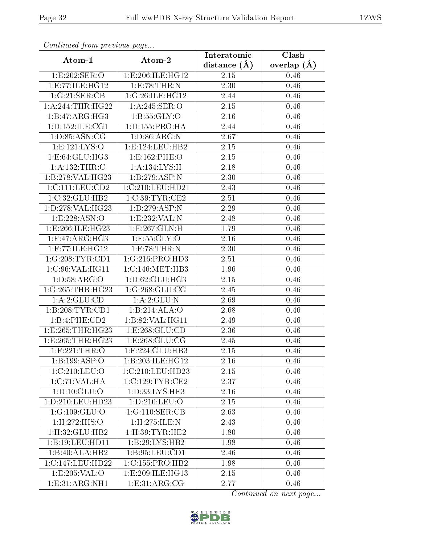| Continuea from previous page           |                              | Interatomic       | Clash           |
|----------------------------------------|------------------------------|-------------------|-----------------|
| Atom-1                                 | Atom-2                       | distance $(\AA)$  | overlap $(\AA)$ |
| 1:E:202:SER:O                          | 1: E: 206: ILE: HG12         | 2.15              | 0.46            |
| 1:E:77:ILE:HG12                        | 1:E:78:THR:N                 | 2.30              | 0.46            |
| 1:G:21:SER:CB                          | 1:G:26:ILE:HG12              | 2.44              | 0.46            |
| $1: A:244: \overline{\text{HIR}:HG22}$ | 1:A:245:SER:O                | 2.15              | 0.46            |
| 1:B:47:ARG:HG3                         | 1: B: 55: GLY: O             | 2.16              | 0.46            |
| 1:D:152:ILE:CG1                        | 1:D:155:PRO:HA               | 2.44              | 0.46            |
| 1: D: 85: ASN: CG                      | 1: D:86: ARG: N              | 2.67              | 0.46            |
| 1: E: 121: LYS: O                      | 1: E: 124: LEU: HB2          | 2.15              | 0.46            |
| 1: E:64: GLU: HG3                      | 1: E: 162: PHE: O            | 2.15              | 0.46            |
| 1:A:132:THR:C                          | 1: A: 134: LYS:H             | 2.18              | 0.46            |
| 1:B:278:VAL:H G23                      | 1:B:279:ASP:N                | 2.30              | 0.46            |
| 1:C:111:LEU:CD2                        | 1:C:210:LEU:HD21             | 2.43              | 0.46            |
| 1:C:32:GLU:HB2                         | 1:C:39:TYR:CE2               | 2.51              | 0.46            |
| 1:D:278:VAL:HG23                       | 1:D:279:ASP:N                | 2.29              | 0.46            |
| 1:E:228:ASN:O                          | 1:E:232:VAL:N                | 2.48              | 0.46            |
| 1:E:266:ILE:HG23                       | 1:E:267:GLN:H                | 1.79              | 0.46            |
| $1:$ F:47:ARG:HG3                      | $1:$ F:55:GLY:O              | 2.16              | 0.46            |
| $1:$ F:77:ILE: $HG12$                  | $1:$ F:78:THR:N              | 2.30              | 0.46            |
| 1:G:208:TYR:CD1                        | 1:G:216:PRO:HD3              | 2.51              | 0.46            |
| 1:C:96:VAL:HG11                        | 1:C:146:MET:HB3              | 1.96              | 0.46            |
| 1: D: 58: ARG: O                       | 1:D:62:GLU:HG3               | 2.15              | 0.46            |
| 1:G:265:THR:HG23                       | 1:G:268:GLU:CG               | 2.45              | 0.46            |
| 1:A:2:GLU:CD                           | 1:A:2:GLU:N                  | 2.69              | 0.46            |
| 1:B:208:TYR:CD1                        | 1:B:214:ALA:O                | 2.68              | 0.46            |
| 1:B:4:PHE:CD2                          | 1:B:82:VAL:HG11              | 2.49              | 0.46            |
| 1:E:265:THR:HG23                       | 1:E:268:GLU:CD               | 2.36              | 0.46            |
| 1:E:265:THR:HG23                       | 1: E: 268: GLU: CG           | 2.45              | 0.46            |
| $1:$ F:221:THR:O                       | 1:F:224:GLU:HB3              | 2.15              | 0.46            |
| 1:B:199:ASP:O                          | 1:B:203:ILE:HG12             | 2.16              | 0.46            |
| 1:C:210:LEU:O                          | 1:C:210:LEU:HD23             | 2.15              | 0.46            |
| 1:C:71:VAL:HA                          | 1:C:129:TYR:CE2              | 2.37              | 0.46            |
| 1: D: 10: GLU: O                       | 1: D: 33: LYS: HE3           | 2.16              | 0.46            |
| 1:D:210:LEU:HD23                       | 1: D: 210: LEU: O            | $\overline{2.15}$ | 0.46            |
| 1:G:109:GLU:O                          | 1:G:110:SER:CB               | 2.63              | 0.46            |
| 1:H:272:HIS:O                          | 1:H:275:ILE:N                | 2.43              | 0.46            |
| $1:$ H $:32:$ GLU $:$ HB $2$           | $1:$ H $:39:$ TYR $:$ HE $2$ | 1.80              | 0.46            |
| 1:B:19:LEU:HDI1                        | 1:B:29:LYS:HB2               | 1.98              | 0.46            |
| 1:B:40:ALA:HB2                         | 1:B:95:LEU:CD1               | 2.46              | 0.46            |
| 1:C:147:LEU:HD22                       | 1:C:155:PRO:HB2              | 1.98              | 0.46            |
| 1:E:205:VAL:O                          | 1:E:209:ILE:HG13             | 2.15              | 0.46            |
| 1: E: 31: ARG: NH1                     | 1: E:31: ARG:CG              | 2.77              | 0.46            |

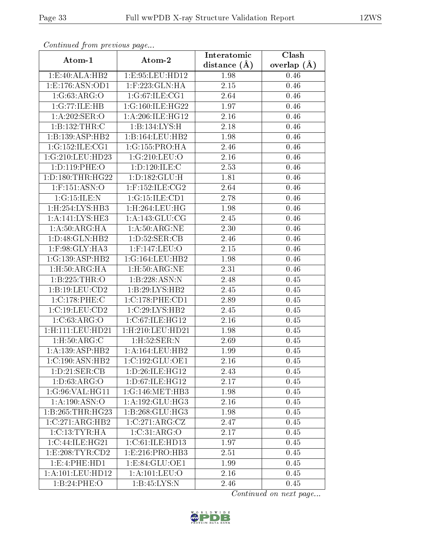| Continuati pom previous page |                             | Interatomic       | Clash         |
|------------------------------|-----------------------------|-------------------|---------------|
| Atom-1                       | Atom-2                      | distance $(A)$    | overlap $(A)$ |
| 1:E:40:ALA:HB2               | 1:E:95:LEU:HD12             | 1.98              | 0.46          |
| 1: E: 176: ASN: OD1          | $1:$ F:223:GLN:HA           | $\overline{2.15}$ | 0.46          |
| 1:G:63:ARG:O                 | 1:G:67:ILE:CG1              | 2.64              | 0.46          |
| 1:G:77:ILE:HB                | 1:G:160:ILE:HG22            | 1.97              | 0.46          |
| 1: A:202: SER:O              | 1: A:206: ILE: HG12         | 2.16              | 0.46          |
| 1:B:132:THR:C                | 1:B:134:LYS:H               | 2.18              | 0.46          |
| 1:B:139:ASP:HB2              | 1:B:164:LEU:HB2             | 1.98              | 0.46          |
| 1:G:152:ILE:CG1              | $1:G:155:PRO:\overline{HA}$ | 2.46              | 0.46          |
| 1:G:210:LEU:HD23             | 1:G:210:LEU:O               | 2.16              | 0.46          |
| 1:D:119:PHE:O                | 1: D: 120: ILE:C            | 2.53              | 0.46          |
| 1: D: 180: THR: HG22         | 1: D: 182: GLU: H           | 1.81              | 0.46          |
| 1:F:151:ASN:O                | $1:$ F:152:ILE:CG2          | 2.64              | 0.46          |
| 1:G:15:ILE:N                 | 1:G:15:ILE:CD1              | 2.78              | 0.46          |
| 1:H:254:LYS:HB3              | $1:$ H $:264:$ LEU $:$ HG   | 1.98              | 0.46          |
| 1:A:141:LYS:HE3              | 1: A:143: GLU:CG            | 2.45              | 0.46          |
| 1:A:50:ARG:HA                | 1: A:50: ARG: NE            | 2.30              | 0.46          |
| 1:D:48:GLN:HB2               | 1: D: 52: SER: CB           | 2.46              | 0.46          |
| 1:F:98:GLY:HA3               | $1:$ F:147:LEU:O            | 2.15              | 0.46          |
| 1:G:139:ASP:HB2              | 1:G:164:LEU:HB2             | 1.98              | 0.46          |
| 1: H:50: ARG:HA              | 1:H:50:ARG:NE               | 2.31              | 0.46          |
| 1:B:225:THR:O                | 1:B:228:ASN:N               | 2.48              | 0.45          |
| 1: B: 19: LEU: CD2           | 1:B:29:LYS:HB2              | 2.45              | 0.45          |
| 1:C:178:PHE:C                | 1:C:178:PHE:CD1             | 2.89              | 0.45          |
| 1:C:19:LEU:CD2               | 1:C:29:LYS:HB2              | 2.45              | 0.45          |
| 1: C:63:ARG:O                | 1:C:67:ILE:HG12             | 2.16              | 0.45          |
| 1:H:111:LEU:HD21             | 1:H:210:LEU:HD21            | 1.98              | 0.45          |
| 1: H:50: ARG: C              | 1:H:52:SER:N                | 2.69              | 0.45          |
| 1:A:139:ASP:HB2              | 1: A: 164: LEU: HB2         | 1.99              | 0.45          |
| $1:C:190:A\overline{SN:H}B2$ | 1:C:192:GLU:OE1             | 2.16              | 0.45          |
| 1: D: 21: SER: CB            | 1:D:26:ILE:HG12             | 2.43              | $0.45\,$      |
| 1: D:63: ARG:O               | 1: D: 67: ILE: HG12         | 2.17              | 0.45          |
| 1:G:96:VAL:HG11              | 1:G:146:MET:HB3             | 1.98              | $0.45\,$      |
| 1: A: 190: ASN: O            | 1: A: 192: GLU: HG3         | 2.16              | 0.45          |
| 1:B:265:THR:HG23             | 1:B:268:GLU:HG3             | 1.98              | 0.45          |
| 1:C:271:ARG:HB2              | 1:C:271:ARG:CZ              | 2.47              | 0.45          |
| 1:C:13:TYR:HA                | 1:C:31:ARG:O                | 2.17              | 0.45          |
| 1:C:44:ILE:HG21              | 1:C:61:ILE:HD13             | 1.97              | 0.45          |
| 1:E:208:TYR:CD2              | 1:E:216:PRO:HB3             | 2.51              | 0.45          |
| 1: E: 4: PHE: HD1            | 1:E:84:GLU:OE1              | 1.99              | 0.45          |
| 1:A:101:LEU:HD12             | 1:A:101:LEU:O               | 2.16              | 0.45          |
| 1:B:24:PHE:O                 | 1:B:45:LYS:N                | 2.46              | 0.45          |

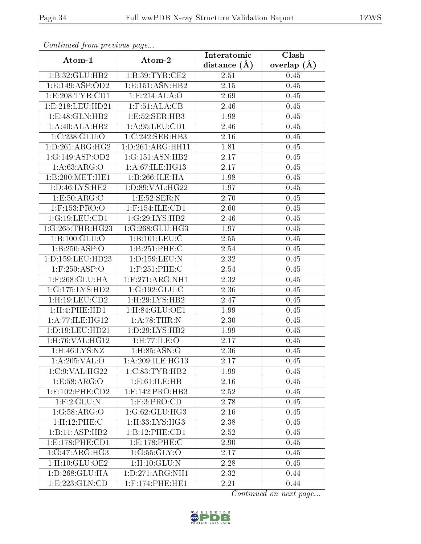| Continued from previous page  |                     | Interatomic    | Clash           |
|-------------------------------|---------------------|----------------|-----------------|
| Atom-1                        | Atom-2              | distance $(A)$ | overlap $(\AA)$ |
| 1: B: 32: GLU: HB2            | 1:B:39:TYR:CE2      | 2.51           | 0.45            |
| 1: E: 149: ASP: OD2           | 1: E: 151: ASN: HB2 | 2.15           | 0.45            |
| 1:E:208:TYR:CD1               | 1:E:214:ALA:O       | 2.69           | 0.45            |
| 1:E:218:LEU:HD21              | 1: F: 51: ALA: CB   | 2.46           | 0.45            |
| 1: E: 48: GLN: HB2            | 1:E:52:SER:HB3      | 1.98           | 0.45            |
| 1:A:40:ALA:HB2                | 1: A:95:LEU:CD1     | 2.46           | 0.45            |
| 1:C:238:GLU:O                 | 1:C:242:SER:HB3     | 2.16           | 0.45            |
| 1: D:261: ARG: HG2            | 1:D:261:ARG:HH11    | 1.81           | 0.45            |
| 1:G:149:ASP:OD2               | 1:G:151:ASN:HB2     | 2.17           | 0.45            |
| 1: A:63: ARG:O                | 1:A:67:ILE:HG13     | 2.17           | 0.45            |
| 1:B:200:MET:HE1               | 1:B:266:ILE:HA      | 1.98           | 0.45            |
| 1: D: 46: LYS: HE2            | 1:D:89:VAL:HG22     | 1.97           | 0.45            |
| 1:E:50:ARG:C                  | 1:E:52:SER:N        | 2.70           | 0.45            |
| 1:F:153:PRO:O                 | 1:F:154:ILE:CD1     | 2.60           | 0.45            |
| 1:G:19:LEU:CD1                | 1:G:29:LYS:HB2      | 2.46           | 0.45            |
| 1:G:265:THR:HG23              | 1:G:268:GLU:HG3     | 1.97           | 0.45            |
| 1:B:100:GLU:O                 | 1: B: 101: LEU: C   | 2.55           | 0.45            |
| 1:B:250:ASP:O                 | 1:B:251:PHE:C       | $2.54\,$       | 0.45            |
| 1:D:159:LEU:HD23              | 1:D:159:LEU:N       | 2.32           | 0.45            |
| $1:$ F:250:ASP:O              | $1:$ F:251:PHE:C    | 2.54           | 0.45            |
| $1:$ F:268: $GLU:HA$          | $1:$ F:271:ARG:NH1  | 2.32           | 0.45            |
| 1:G:175:LYS:HD2               | 1:G:192:GLU:C       | 2.36           | 0.45            |
| $1:$ H $:19:$ LEU $:$ CD $2$  | 1:H:29:LYS:HB2      | 2.47           | 0.45            |
| 1: H:4: PHE: HD1              | 1: H:84: GLU:OE1    | 1.99           | 0.45            |
| 1: A:77: ILE: HG12            | 1: A:78:THR:N       | 2.30           | 0.45            |
| 1: D: 19: LEU: HD21           | 1:D:29:LYS:HB2      | 1.99           | 0.45            |
| $1:$ H $:76:$ VAL $:$ H $G12$ | 1: H: 77: ILE: O    | 2.17           | 0.45            |
| $1:$ H $:46:LYS:NZ$           | 1: H: 85: ASN: O    | 2.36           | 0.45            |
| 1:A:205:VAL:O                 | 1:A:209:ILE:HG13    | 2.17           | 0.45            |
| 1:C:9:VAL:HG22                | 1:C:83:TYR:HB2      | 1.99           | 0.45            |
| 1:E:58:ARG:O                  | 1:E:61:ILE:HB       | 2.16           | 0.45            |
| $1:$ F:102:PHE:CD2            | $1:$ F:142:PRO:HB3  | 2.52           | 0.45            |
| $1:$ F: $2:$ GLU:N            | 1: F:3: PRO:CD      | 2.78           | 0.45            |
| 1:G:58:ARG:O                  | 1:G:62:GLU:HG3      | 2.16           | 0.45            |
| 1:H:12:PHE:C                  | 1:H:33:LYS:HG3      | 2.38           | 0.45            |
| 1:B:11:ASP:HB2                | 1:B:12:PHE:CD1      | 2.52           | 0.45            |
| 1: E: 178: PHE: CD1           | 1:E:178:PHE:C       | 2.90           | 0.45            |
| 1:G:47:ARG:HG3                | 1:G:55:GLY:O        | 2.17           | 0.45            |
| $1:$ H: $10:$ GLU: $OE2$      | 1: H: 10: GLU: N    | 2.28           | 0.45            |
| 1: D: 268: GLU: HA            | 1: D: 271: ARG: NH1 | 2.32           | 0.44            |
| 1:E:223:GLN:CD                | $1:$ F:174:PHE:HE1  | 2.21           | 0.44            |

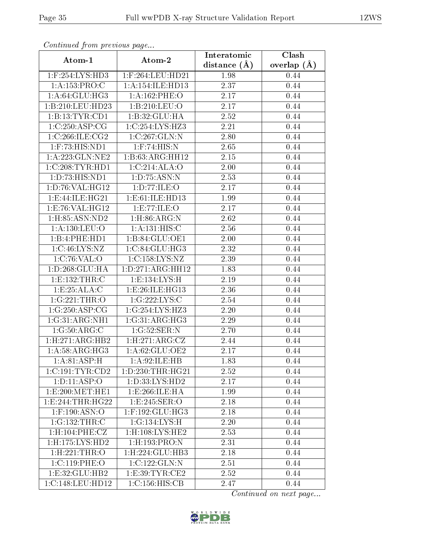| Continuati pom previous page |                                    | Interatomic       | Clash<br>overlap $(\AA)$ |  |
|------------------------------|------------------------------------|-------------------|--------------------------|--|
| Atom-1                       | Atom-2                             | distance $(A)$    |                          |  |
| 1:F:254:LYS:HD3              | 1:F:264:LEU:HD21                   | 1.98              | 0.44                     |  |
| 1: A: 153: PRO: C            | 1: A:154: ILE: HD13                | $\overline{2.37}$ | 0.44                     |  |
| 1: A:64: GLU:HG3             | 1:A:162:PHE:O                      | 2.17              | 0.44                     |  |
| 1:B:210:LEU:HD23             | 1:B:210:LEU:O                      | 2.17              | 0.44                     |  |
| 1:B:13:TYR:CD1               | 1:B:32:GLU:HA                      | 2.52              | 0.44                     |  |
| 1:C:250:ASP:CG               | 1:C:254:LYS:HZ3                    | 2.21              | 0.44                     |  |
| 1:C:266:ILE:CG2              | 1:C:267:GLN:N                      | 2.80              | 0.44                     |  |
| $1:$ F:73:HIS:ND1            | $1:$ F:74:HIS:N                    | 2.65              | 0.44                     |  |
| 1:A:223:GLN:NE2              | 1:B:63:ARG:HH12                    | $\overline{2.15}$ | 0.44                     |  |
| 1:C:208:TYR:HD1              | 1:C:214:ALA:O                      | 2.00              | 0.44                     |  |
| 1:D:73:HIS:ND1               | 1: D: 75: ASN: N                   | 2.53              | 0.44                     |  |
| 1: D:76: VAL:HG12            | 1:D:77:ILE:O                       | 2.17              | 0.44                     |  |
| 1:E:44:ILE:HG21              | 1:E:61:ILE:HD13                    | 1.99              | 0.44                     |  |
| 1:E:76:VAL:HG12              | 1:E:77:ILE:O                       | 2.17              | 0.44                     |  |
| 1:H:85:ASN:ND2               | 1: H:86: ARG: N                    | 2.62              | 0.44                     |  |
| 1: A: 130: LEU: O            | 1: A:131: HIS:C                    | 2.56              | 0.44                     |  |
| 1:B:4:PHE:HD1                | 1:B:84:GLU:OE1                     | 2.00              | 0.44                     |  |
| 1:C:46:LYS:NZ                | 1:C:84:GLU:HG3                     | 2.32              | 0.44                     |  |
| 1:C:76:VAL:O                 | 1:C:158:LYS:NZ                     | 2.39              | 0.44                     |  |
| 1: D: 268: GLU: HA           | 1: D: 271: ARG: HH12               | 1.83              | 0.44                     |  |
| 1:E:132:THR:C                | 1: E: 134: LYS: H                  | 2.19              | 0.44                     |  |
| 1:E:25:ALA:C                 | 1: E:26: ILE: HG13                 | 2.36              | 0.44                     |  |
| 1:G:221:THR:O                | 1:G:222:LYS:C                      | 2.54              | 0.44                     |  |
| 1:G:250:ASP:CG               | 1:G:254:LYS:HZ3                    | 2.20              | 0.44                     |  |
| 1:G:31:ARG:NH1               | 1:G:31:ARG:HG3                     | 2.29              | 0.44                     |  |
| 1:G:50:ARG:C                 | 1:G:52:SER:N                       | 2.70              | 0.44                     |  |
| 1: H: 271: ARG: HB2          | 1: H:271: ARG: CZ                  | 2.44              | 0.44                     |  |
| 1: A:58: ARG: HG3            | 1:A:62:GLU:OE2                     | 2.17              | 0.44                     |  |
| 1: A:81: ASP:H               | 1:A:92:ILE:HB                      | 1.83              | 0.44                     |  |
| 1:C:191:TYR:CD2              | 1:D:230:THR:HG21                   | 2.52              | 0.44                     |  |
| $1: D: 11: \overline{ASP:O}$ | 1: D: 33: L <sub>Y</sub> S: HD2    | 2.17              | 0.44                     |  |
| 1: E:200: MET:HE1            | 1:E:266:ILE:HA                     | 1.99              | 0.44                     |  |
| 1: E: 244: THR: HG22         | 1:E:245:SER:O                      | 2.18              | 0.44                     |  |
| 1:F:190:ASN:O                | 1:F:192:GLU:HG3                    | 2.18              | 0.44                     |  |
| 1:G:132:THR:C                | $1:$ G:134:LYS: $\overline{\rm H}$ | 2.20              | 0.44                     |  |
| 1:H:104:PHE:CZ               | $1:$ H:108:LYS:HE2                 | 2.53              | 0.44                     |  |
| 1:H:175:LYS:HD2              | $1:$ H $:193:$ PRO $:$ N           | 2.31              | 0.44                     |  |
| 1:H:221:THR:O                | 1:H:224:GLU:HB3                    | 2.18              | 0.44                     |  |
| 1:C:119:PHE:O                | 1:C:122:GLN:N                      | 2.51              | 0.44                     |  |
| 1:E:32:GLU:HB2               | 1: E: 39: TYR: CE2                 | 2.52              | 0.44                     |  |
| 1:C:148:LEU:HD12             | 1:C:156:HIS:CB                     | 2.47              | 0.44                     |  |

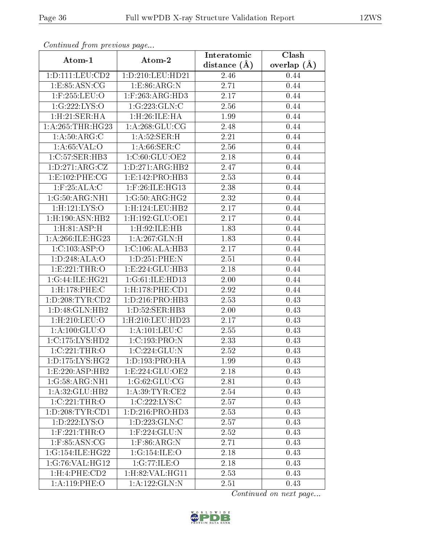| Comunaca jiom previous page       |                                              | Interatomic       | Clash         |  |
|-----------------------------------|----------------------------------------------|-------------------|---------------|--|
| Atom-1                            | Atom-2                                       | distance $(A)$    | overlap $(A)$ |  |
| 1: D: 111: LEU: CD2               | 1:D:210:LEU:HD21                             | 2.46              | 0.44          |  |
| 1:E:85:ASN:CG                     | 1: E: 86: ARG: N                             | $\overline{2}.71$ | 0.44          |  |
| $1:$ F:255:LEU:O                  | $1:$ F:263:ARG:HD3                           | 2.17              | 0.44          |  |
| 1:G:222:LYS:O                     | 1:G:223:GLN:C                                | 2.56              | 0.44          |  |
| 1:H:21:SER:HA                     | 1:H:26:ILE:HA                                | 1.99              | 0.44          |  |
| 1: A:265:THR:HG23                 | 1: A:268: GLU:CG                             | 2.48              | 0.44          |  |
| 1: A:50: ARG: C                   | 1: A:52:SER:H                                | 2.21              | 0.44          |  |
| 1: A:65:VAL:O                     | 1: A:66:SER:C                                | 2.56              | 0.44          |  |
| 1:C:57:SER:HB3                    | 1:C:60:GLU:OE2                               | 2.18              | 0.44          |  |
| 1: D: 271: ARG: CZ                | 1: D:271: ARG:HB2                            | 2.47              | 0.44          |  |
| 1:E:102:PHE:CG                    | 1:E:142:PRO:HB3                              | 2.53              | 0.44          |  |
| $1:$ F:25:ALA:C                   | 1:F:26:ILE:HG13                              | 2.38              | 0.44          |  |
| 1:G:50:ARG:NH1                    | 1:G:50:ARG:HG2                               | 2.32              | 0.44          |  |
| 1: H: 121: LYS: O                 | 1:H:124:LEU:HB2                              | 2.17              | 0.44          |  |
| $1:$ H $:190:$ ASN $:$ HB $2$     | 1:H:192:GLU:OE1                              | 2.17              | 0.44          |  |
| 1: H:81:ASP:H                     | 1:H:92:ILE:HB                                | 1.83              | 0.44          |  |
| 1: A:266: ILE: HG23               | 1: A:267: GLN:H                              | 1.83              | 0.44          |  |
| 1:C:103:ASP:O                     | 1:C:106:ALA:HB3                              | 2.17              | 0.44          |  |
| 1:D:248:ALA:O                     | $1: D: 251: \overline{PHE: N}$               | 2.51              | 0.44          |  |
| 1:E:221:THR:O                     | 1:E:224:GLU:HB3                              | 2.18              | 0.44          |  |
| 1:G:44:ILE:HG21                   | 1:G:61:ILE:HD13                              | 2.00              | 0.44          |  |
| $1:$ H:178:PHE:C                  | $1:$ H:178:PHE:CD1                           | 2.92              | 0.44          |  |
| 1: D: 208: TYR: CD2               | 1: D: 216: PRO: HB3                          | 2.53              | 0.43          |  |
| 1:D:48:GLN:HB2                    | 1:D:52:SER:HB3                               | 2.00              | 0.43          |  |
| 1:H:210:LEU:O                     | 1:H:210:LEU:HD23                             | 2.17              | 0.43          |  |
| 1: A:100: GLU:O                   | 1: A: 101: LEU: C                            | 2.55              | 0.43          |  |
| $1:C:175:LYS:H\overline{D2}$      | 1:C:193:PRO:N                                | 2.33              | 0.43          |  |
| $1:C:221:\overline{\text{THR}:O}$ | $1:C:224:\overline{\mathrm{GLU}:\mathrm{N}}$ | 2.52              | 0.43          |  |
| 1: D: 175: LYS: HG2               | 1: D: 193: PRO: HA                           | 1.99              | 0.43          |  |
| 1:E:220:ASP:HB2                   | 1: E: 224: GLU: OE2                          | 2.18              | 0.43          |  |
| $1:G:58:A\overline{RG:NH1}$       | 1:G:62:GLU:CG                                | 2.81              | 0.43          |  |
| 1:A:32:GLU:HB2                    | 1: A:39: TYR: CE2                            | 2.54              | 0.43          |  |
| 1:C:221:THR:O                     | $1:C:222:LYS:\overline{C}$                   | 2.57              | 0.43          |  |
| 1:D:208:TYR:CD1                   | 1: D: 216: PRO: HD3                          | 2.53              | 0.43          |  |
| 1: D: 222: LYS: O                 | 1: D: 223: GLN: C                            | 2.57              | 0.43          |  |
| $1:$ F:221:THR:O                  | 1:F:224:GLU:N                                | 2.52              | 0.43          |  |
| $1:$ F:85:ASN:CG                  | $1:$ F:86:ARG:N                              | 2.71              | 0.43          |  |
| 1:G:154:ILE:HG22                  | 1:G:154:ILE:O                                | 2.18              | 0.43          |  |
| 1:G:76:VAL:HG12                   | 1:G:77:ILE:O                                 | 2.18              | 0.43          |  |
| 1:H:4:PHE:CD2                     | 1: H:82: VAL:HGI1                            | 2.53              | 0.43          |  |
| 1:A:119:PHE:O                     | 1:A:122:GLN:N                                | 2.51              | 0.43          |  |

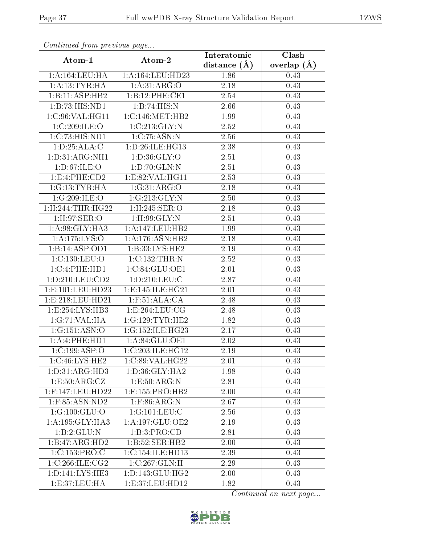| Continued from previous page |                              | Interatomic    | Clash         |  |
|------------------------------|------------------------------|----------------|---------------|--|
| Atom-1                       | Atom-2                       | distance $(A)$ | overlap $(A)$ |  |
| 1:A:164:LEU:HA               | 1:A:164:LEU:HD23             | 1.86           | 0.43          |  |
| 1: A: 13: TYR: HA            | 1:A:31:ARG:O                 | 2.18           | 0.43          |  |
| 1:B:11:ASP:HB2               | 1:B:12:PHE:CE1               | 2.54           | 0.43          |  |
| 1:B:73:HIS:ND1               | 1:B:74:HIS:N                 | 2.66           | 0.43          |  |
| 1:C:96:VAL:HG11              | 1:C:146:MET:HB2              | 1.99           | 0.43          |  |
| 1:C:209:ILE:O                | 1:C:213:GLY:N                | 2.52           | 0.43          |  |
| 1:C:73:HIS:ND1               | 1:C:75:ASN:N                 | 2.56           | 0.43          |  |
| 1: D:25: ALA: C              | 1: D: 26: ILE: HG13          | 2.38           | 0.43          |  |
| 1:D:31:ARG:NH1               | 1: D:36: GLY:O               | 2.51           | 0.43          |  |
| 1:D:67:ILE:O                 | 1:D:70:GLN:N                 | 2.51           | 0.43          |  |
| 1:E:4:PHE:CD2                | 1:E:82:VAL:HG11              | 2.53           | 0.43          |  |
| 1:G:13:TYR:HA                | 1:G:31:ARG:O                 | 2.18           | 0.43          |  |
| 1:G:209:ILE:O                | 1:G:213:GLY:N                | 2.50           | 0.43          |  |
| 1:H:244:THR:HG22             | 1:H:245:SER:O                | 2.18           | 0.43          |  |
| 1:H:97:SER:O                 | $1:$ H $:99:$ GLY $:$ N      | 2.51           | 0.43          |  |
| 1:A:98:GLY:HA3               | 1:A:147:LEU:HB2              | 1.99           | 0.43          |  |
| 1: A: 175: LYS: O            | 1:A:176:ASN:HB2              | 2.18           | 0.43          |  |
| 1:B:14:ASP:OD1               | 1:B:33:LYS:HE2               | $2.19\,$       | 0.43          |  |
| 1:C:130:LEU:O                | 1:C:132:THR:N                | 2.52           | 0.43          |  |
| 1:C:4:PHE:HD1                | 1:C:84:GLU:OE1               | 2.01           | 0.43          |  |
| 1: D: 210: LEU: CD2          | 1: D: 210: LEU: C            | 2.87           | 0.43          |  |
| 1:E:101:LEU:HD23             | 1: E: 145: ILE: HG21         | 2.01           | 0.43          |  |
| 1: E: 218: LEU: HD21         | $1:$ F:51:ALA:CA             | 2.48           | 0.43          |  |
| 1:E:254:LYS:HB3              | 1:E:264:LEU:CG               | 2.48           | 0.43          |  |
| 1:G:71:VAL:HA                | 1:G:129:TYR:HE2              | 1.82           | 0.43          |  |
| 1:G:151:ASN:O                | 1:G:152:ILE:HG23             | 2.17           | 0.43          |  |
| 1:A:4:PHE:HD1                | 1:A:84:GLU:OE1               | 2.02           | 0.43          |  |
| 1:C:199:ASP:O                | 1:C:203:ILE:HG12             | 2.19           | 0.43          |  |
| 1:C:46:LYS:HE2               | 1:C:89:VAL:HG22              | 2.01           | 0.43          |  |
| 1:D:31:ARG:HD3               | 1:D:36:GLY:HA2               | 1.98           | 0.43          |  |
| 1:E:50:ARG:CZ                | 1:E:50:ARG:N                 | 2.81           | 0.43          |  |
| $1:$ F:147:LEU:HD22          | $1:$ F:155:PRO:HB2           | 2.00           | 0.43          |  |
| 1:F:85:ASN:ND2               | $1:$ F:86:ARG:N              | 2.67           | 0.43          |  |
| 1:G:100:GLU:O                | 1:G:101:LEU:C                | 2.56           | 0.43          |  |
| 1: A:195: GLY:HA3            | $1:A:197:GLU:O\overline{E2}$ | 2.19           | 0.43          |  |
| 1:B:2:GLU:N                  | 1:B:3:PRO:CD                 | 2.81           | 0.43          |  |
| 1:B:47:ARG:HD2               | 1:B:52:SER:HB2               | 2.00           | 0.43          |  |
| 1:C:153:PRO:C                | 1:C:154:ILE:HD13             | 2.39           | 0.43          |  |
| 1:C:266:ILE:CG2              | 1:C:267:GLN:H                | 2.29           | 0.43          |  |
| 1: D: 141: LYS: HE3          | 1: D: 143: GLU: HG2          | 2.00           | 0.43          |  |
| 1: E:37: LEU: HA             | 1: E: 37: LEU: HD12          | 1.82           | 0.43          |  |

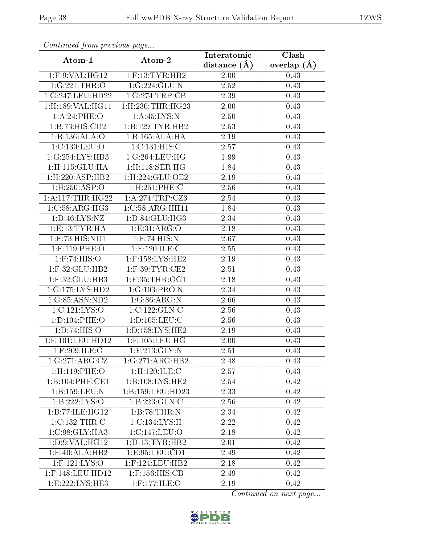| Continuatu from previous page      |                                | Interatomic      | Clash           |  |
|------------------------------------|--------------------------------|------------------|-----------------|--|
| Atom-1                             | Atom-2                         | distance $(\AA)$ | overlap $(\AA)$ |  |
| 1:F:9:VAL:HG12                     | $1:$ F:13:TYR:HB2              | 2.00             | 0.43            |  |
| 1:G:221:THR:O                      | 1:G:224:GLU:N                  | 2.52             | 0.43            |  |
| 1:G:247:LEU:HD22                   | 1:G:274:TRP:CB                 | 2.39             | 0.43            |  |
| 1: H: 189: VAL: HG11               | $1:$ H $:230:$ THR $:$ H $G23$ | 2.00             | 0.43            |  |
| 1:A:24:PHE:O                       | 1:A:45:LYS:N                   | 2.50             | 0.43            |  |
| 1:B:73:HIS:CD2                     | 1:B:129:TYR:HB2                | 2.53             | 0.43            |  |
| 1:B:136:ALA:O                      | 1:B:165:ALA:HA                 | 2.19             | 0.43            |  |
| 1:C:130:LEU:O                      | 1:C:131:HIS:C                  | 2.57             | 0.43            |  |
| 1:G:254:LYS:HB3                    | 1:G:264:LEU:HG                 | 1.99             | 0.43            |  |
| 1:H:115:GLU:HA                     | $1:$ H $:118:$ SER $:$ HG      | 1.84             | 0.43            |  |
| 1: H: 220: ASP: HB2                | 1:H:224:GLU:OE2                | 2.19             | 0.43            |  |
| 1:H:250:ASP:O                      | $1:$ H $:251:$ PHE $:$ C       | 2.56             | 0.43            |  |
| 1: A:117:THR:HG22                  | 1:A:274:TRP:CZ3                | 2.54             | 0.43            |  |
| 1:C:58:ARG:HG3                     | 1:C:58:ARG:HH11                | 1.84             | 0.43            |  |
| 1: D: 46: LYS: NZ                  | 1:D:84:GLU:HG3                 | 2.34             | 0.43            |  |
| 1: E: 13: TYR: HA                  | 1:E:31:ARG:O                   | 2.18             | 0.43            |  |
| 1: E: 73: HIS: ND1                 | 1:E:74:HIS:N                   | 2.67             | 0.43            |  |
| $1:$ F:119:PHE:O                   | $1:$ F:120:ILE:C               | 2.55             | 0.43            |  |
| $1:$ F:74:HIS:O                    | $1:$ F:158:LYS:HE2             | 2.19             | 0.43            |  |
| $1:$ F:32:GLU:HB2                  | $1:$ F:39:TYR:CE2              | 2.51             | 0.43            |  |
| $1:$ F:32: $GLU:$ HB3              | $1:$ F:35:THR:OG1              | 2.18             | 0.43            |  |
| 1:G:175:LYS:HD2                    | 1:G:193:PRO:N                  | 2.34             | 0.43            |  |
| $1:G:85:ASN:\overline{\text{ND2}}$ | 1:G:86:ARG:N                   | 2.66             | 0.43            |  |
| 1:C:121:LYS:O                      | 1:C:122:GLN:C                  | 2.56             | 0.43            |  |
| 1: D: 104: PHE: O                  | 1: D: 105: LEU: C              | 2.56             | 0.43            |  |
| 1:D:74:HIS:O                       | 1:D:158:LYS:HE2                | 2.19             | 0.43            |  |
| 1: E: 101: LEU: HD12               | 1: E: 105: LEU: HG             | 2.00             | 0.43            |  |
| $1:$ F:209:ILE:O                   | $1:$ F:213:GLY:N               | 2.51             | 0.43            |  |
| 1:G:271:ARG:CZ                     | 1:G:271:ARG:HB2                | 2.48             | 0.43            |  |
| 1:H:119:PHE:O                      | 1:H:120:ILE:C                  | 2.57             | 0.43            |  |
| 1:B:104:PHE:CE1                    | 1:B:108:LYS:HE2                | 2.54             | 0.42            |  |
| 1:B:159:LEU:N                      | 1:B:159:LEU:HD23               | 2.33             | 0.42            |  |
| 1:B:222:LYS:O                      | 1:B:223:GLN:C                  | 2.56             | 0.42            |  |
| 1:B:77:ILE:HG12                    | 1:B:78:THR:N                   | 2.34             | 0.42            |  |
| 1:C:132:THR:C                      | 1:C:134:LYS:H                  | 2.22             | 0.42            |  |
| 1:C:98:GLY:HA3                     | 1:C:147:LEU:O                  | 2.18             | 0.42            |  |
| 1:D:9:VAL:HG12                     | 1: D: 13: TYR: HB2             | 2.01             | 0.42            |  |
| 1:E:40:ALA:HB2                     | 1:E:95:LEU:CD1                 | 2.49             | 0.42            |  |
| $1:$ F:121:LYS:O                   | $1:$ F:124:LEU:HB2             | 2.18             | 0.42            |  |
| $1:$ F:148:LEU:HD12                | $1:$ F:156:HIS:CB              | 2.49             | 0.42            |  |
| 1:E:222:LYS:HE3                    | $1:$ F:177:ILE:O               | 2.19             | 0.42            |  |

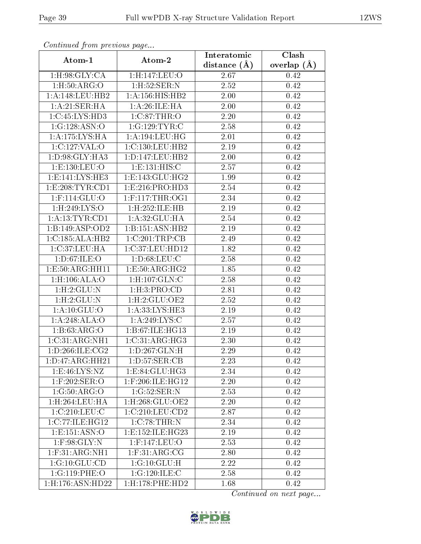| Comunaca jiom previous page     |                               | Interatomic    | Clash<br>overlap $(\AA)$ |  |
|---------------------------------|-------------------------------|----------------|--------------------------|--|
| Atom-1                          | Atom-2                        | distance $(A)$ |                          |  |
| 1: H:98: GLY: CA                | 1:H:147:LEU:O                 | 2.67           | 0.42                     |  |
| 1: H:50: ARG:O                  | 1:H:52:SER:N                  | 2.52           | 0.42                     |  |
| 1:A:148:LEU:HB2                 | 1: A: 156: HIS: HB2           | 2.00           | 0.42                     |  |
| 1:A:21:SER:HA                   | 1: A:26: ILE: HA              | 2.00           | 0.42                     |  |
| 1:C:45:LYS:HD3                  | 1:C:87:THR:O                  | 2.20           | 0.42                     |  |
| 1:G:128:ASN:O                   | 1:G:129:TYR:C                 | 2.58           | 0.42                     |  |
| 1: A:175:LYS:HA                 | 1:A:194:LEU:HG                | $2.01\,$       | 0.42                     |  |
| 1:C:127:VAL:O                   | 1:C:130:LEU:HB2               | 2.19           | 0.42                     |  |
| 1: D:98: GLY: HA3               | 1: D: 147: LEU: HB2           | 2.00           | 0.42                     |  |
| 1:E:130:LEU:O                   | 1: E: 131: HIS:C              | 2.57           | 0.42                     |  |
| 1:E:141:LYS:HE3                 | 1:E:143:GLU:HG2               | 1.99           | 0.42                     |  |
| 1:E:208:TYR:CD1                 | 1:E:216:PRO:HD3               | 2.54           | 0.42                     |  |
| $1:$ F:114:GLU:O                | $1:$ F:117:THR:OG1            | 2.34           | 0.42                     |  |
| 1:H:249:LYS:O                   | 1:H:252:ILE:HB                | 2.19           | 0.42                     |  |
| 1:A:13:TYR:CD1                  | 1:A:32:GLU:HA                 | 2.54           | 0.42                     |  |
| 1:B:149:ASP:OD2                 | 1:B:151:ASN:HB2               | 2.19           | 0.42                     |  |
| 1:C:185:ALA:HB2                 | 1:C:201:TRP:CB                | 2.49           | 0.42                     |  |
| 1:C:37:LEU:HA                   | 1:C:37:LEU:HD12               | 1.82           | 0.42                     |  |
| 1:D:67:ILE:O                    | 1: D:68: LEU: C               | 2.58           | 0.42                     |  |
| 1:E:50:ARG:HH11                 | 1:E:50:ARG:HG2                | 1.85           | 0.42                     |  |
| $1:$ H $:106:$ ALA $:$ O        | $1:$ H $:107:$ GLN $:$ C      | 2.58           | 0.42                     |  |
| 1: H: 2: GLU: N                 | 1: H:3: PRO:CD                | 2.81           | 0.42                     |  |
| 1:H:2:GLU:N                     | 1:H:2:GLU:OE2                 | 2.52           | 0.42                     |  |
| 1: A: 10: GLU:O                 | 1:A:33:LYS:HE3                | 2.19           | 0.42                     |  |
| 1:A:248:ALA:O                   | 1:A:249:LYS:C                 | 2.57           | 0.42                     |  |
| 1:B:63:ARG:O                    | 1:B:67:ILE:HG13               | 2.19           | 0.42                     |  |
| 1:C:31:ARG:NH1                  | 1:C:31:ARG:HG3                | 2.30           | 0.42                     |  |
| 1: D: 266: ILE: C <sub>G2</sub> | 1: D: 267: GLN: H             | 2.29           | 0.42                     |  |
| 1: D: 47: ARG: HH21             | 1: D: 57: SER: CB             | 2.23           | 0.42                     |  |
| 1: E:46: LYS: NZ                | 1:E:84:GLU:HG3                | 2.34           | 0.42                     |  |
| $1:$ F:202:SER:O                | 1:F:206:ILE:HG12              | 2.20           | 0.42                     |  |
| 1:G:50:ARG:O                    | 1:G:52:SER:N                  | 2.53           | 0.42                     |  |
| 1:H:264:LEU:HA                  | $1:$ H $:268:$ GLU $:$ OE $2$ | 2.20           | 0.42                     |  |
| 1:C:210:LEU:C                   | 1:C:210:LEU:CD2               | 2.87           | 0.42                     |  |
| 1:C:77:ILE:HG12                 | 1:C:78:THR:N                  | 2.34           | 0.42                     |  |
| 1:E:151:ASN:O                   | 1:E:152:ILE:HG23              | 2.19           | 0.42                     |  |
| $1:$ F:98:GLY:N                 | 1:F:147:LEU:O                 | 2.53           | 0.42                     |  |
| $1:$ F:31:ARG:NH1               | $1:$ F:31:ARG:CG              | 2.80           | 0.42                     |  |
| 1:G:10:GLU:CD                   | 1:G:10:GLU:H                  | 2.22           | 0.42                     |  |
| 1:G:119:PHE:O                   | 1:G:120:ILE:C                 | 2.58           | 0.42                     |  |
| 1:H:176:ASN:HD22                | 1:H:178:PHE:HD2               | 1.68           | 0.42                     |  |

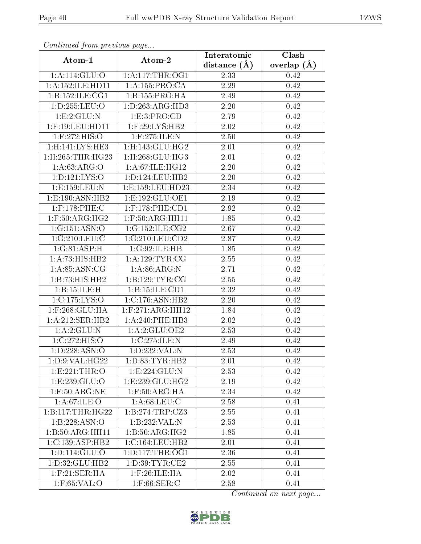| Continuati pom previous page |                                    | Interatomic    | Clash           |  |
|------------------------------|------------------------------------|----------------|-----------------|--|
| Atom-1                       | Atom-2                             | distance $(A)$ | overlap $(\AA)$ |  |
| 1: A:114: GLU:O              | 1: A:117:THR:OG1                   | 2.33           | 0.42            |  |
| 1: A: 152: ILE: HD11         | 1:A:155:PRO:CA                     | 2.29           | 0.42            |  |
| 1: B: 152: ILE: CG1          | 1: B: 155: PRO:HA                  | 2.49           | 0.42            |  |
| 1: D: 255: LEU: O            | 1:D:263:ARG:HD3                    | 2.20           | 0.42            |  |
| 1:E:2:GLU:N                  | 1: E: 3: PRO: CD                   | 2.79           | 0.42            |  |
| $1:$ F:19:LEU:HD11           | 1:F:29:LYS:HB2                     | 2.02           | 0.42            |  |
| $1:$ F:272:HIS:O             | 1:F:275:ILE:N                      | 2.50           | 0.42            |  |
| 1:H:141:LYS:HE3              | 1: H: 143: GLU: HG2                | 2.01           | 0.42            |  |
| 1:H:265:THR:HG23             | $1:$ H $:268:$ GLU $:$ HG3         | 2.01           | 0.42            |  |
| 1: A:63: ARG:O               | 1:A:67:ILE:HG12                    | 2.20           | 0.42            |  |
| 1: D: 121: LYS: O            | 1: D: 124: LEU: HB2                | 2.20           | 0.42            |  |
| 1:E:159:LEU:N                | 1:E:159:LEU:HD23                   | 2.34           | 0.42            |  |
| 1:E:190:ASN:HB2              | 1:E:192:GLU:OE1                    | 2.19           | 0.42            |  |
| 1:F:178:PHE:C                | $1:$ F:178:PHE:CD1                 | 2.92           | 0.42            |  |
| $1:$ F:50:ARG:HG2            | 1:F:50:ARG:HH11                    | 1.85           | 0.42            |  |
| 1:G:151:ASN:O                | 1:G:152:ILE:CG2                    | 2.67           | 0.42            |  |
| 1:G:210:LEU:C                | 1:G:210:LEU:CD2                    | 2.87           | 0.42            |  |
| 1:G:81:ASP:H                 | 1:G:92:ILE:HB                      | 1.85           | 0.42            |  |
| 1:A:73:HIS:HB2               | 1: A: 129: TYR: CG                 | 2.55           | 0.42            |  |
| 1: A:85: ASN:CG              | 1: A:86: ARG: N                    | 2.71           | 0.42            |  |
| 1:B:73:HIS:HB2               | 1:B:129:TYR:CG                     | 2.55           | 0.42            |  |
| 1:B:15:ILE:H                 | 1: B: 15: ILE: CD1                 | 2.32           | 0.42            |  |
| 1:C:175:LYS:O                | 1:C:176:ASN:HB2                    | 2.20           | 0.42            |  |
| 1:F:268:GLU:HA               | $1:$ F:271:ARG:HH12                | 1.84           | 0.42            |  |
| 1:A:212:SER:HB2              | 1:A:240:PHE:HB3                    | 2.02           | 0.42            |  |
| 1:A:2:GLU:N                  | 1: A:2: GLU:OE2                    | 2.53           | 0.42            |  |
| 1:C:272:HIS:O                | 1:C:275:ILE:N                      | 2.49           | 0.42            |  |
| 1: D: 228: ASN:O             | 1: D: 232: VAL: N                  | 2.53           | 0.42            |  |
| 1:D:9:VAL:HG22               | 1: D: 83: TYR: HB2                 | 2.01           | 0.42            |  |
| 1:E:221:THR:O                | 1:E:224:GLU:N                      | 2.53           | 0.42            |  |
| 1:E:239:GLU:O                | 1:E:239:GLU:HG2                    | 2.19           | 0.42            |  |
| $1:$ F:50:ARG:NE             | $1:$ F:50:AR $\overline{G:HA}$     | 2.34           | 0.42            |  |
| 1: A:67: ILE: O              | 1: A:68:LEU:C                      | 2.58           | 0.41            |  |
| 1:B:117:THR:HG22             | 1:B:274:TRP:CZ3                    | 2.55           | 0.41            |  |
| 1:B:228:ASN:O                | $1:B:232:VAL: \overline{N}$        | 2.53           | 0.41            |  |
| 1:B:50:ARG:HH11              | $1:B:50:\overline{\text{ARG:HG2}}$ | 1.85           | 0.41            |  |
| 1:C:139:ASP:HB2              | 1:C:164:LEU:HB2                    | 2.01           | 0.41            |  |
| 1: D: 114: GLU: O            | 1: D: 117: THR: OG1                | 2.36           | 0.41            |  |
| 1: D: 32: GLU: HB2           | 1: D:39: TYR: CE2                  | 2.55           | 0.41            |  |
| $1:$ F:21:SER:HA             | $1:$ F:26:ILE:HA                   | 2.02           | 0.41            |  |
| $1:$ F:65:VAL:O              | $1:$ F:66:SER:C                    | 2.58           | 0.41            |  |

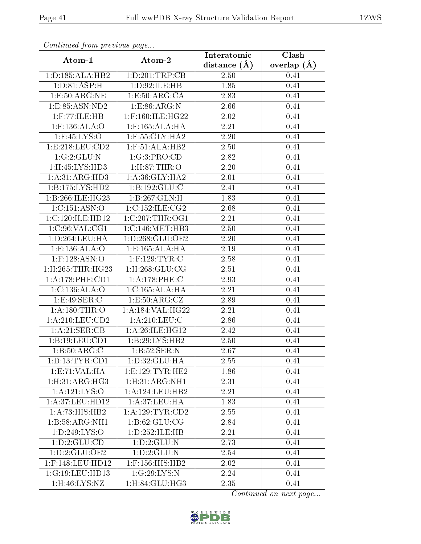| Continuati prom pretious page |                                     | Interatomic       | Clash           |  |
|-------------------------------|-------------------------------------|-------------------|-----------------|--|
| Atom-1                        | Atom-2                              | distance $(A)$    | overlap $(\AA)$ |  |
| 1: D: 185: ALA: HB2           | 1:D:201:TRP:CB                      | 2.50              | 0.41            |  |
| 1: D:81: ASP:H                | 1:D:92:ILE:HB                       | 1.85              | 0.41            |  |
| 1: E:50: ARG:NE               | 1: E:50: ARG:CA                     | 2.83              | 0.41            |  |
| 1: E: 85: ASN: ND2            | 1:E:86:ARG:N                        | 2.66              | 0.41            |  |
| $1:$ F:77:ILE:HB              | $1:$ F:160:ILE:HG22                 | 2.02              | 0.41            |  |
| 1:F:136:ALA:O                 | $1:$ F:165:ALA:HA                   | 2.21              | 0.41            |  |
| $1:$ F:45:LYS:O               | $1:$ F:55:GLY:HA2                   | 2.20              | 0.41            |  |
| 1: E: 218: LEU: CD2           | 1:F:51:ALA:HB2                      | 2.50              | 0.41            |  |
| 1:G:2:GLU:N                   | 1:G:3:PRO:CD                        | 2.82              | 0.41            |  |
| 1:H:45:LYS:HD3                | 1: H:87: THR:O                      | 2.20              | 0.41            |  |
| 1:A:31:ARG:HD3                | 1: A:36: GLY: HA2                   | 2.01              | 0.41            |  |
| 1:B:175:LYS:HD2               | 1:B:192:GLU:C                       | 2.41              | 0.41            |  |
| 1:B:266:ILE:HG23              | 1:B:267:GLN:H                       | 1.83              | 0.41            |  |
| 1:C:151:ASN:O                 | 1:C:152:ILE:CG2                     | 2.68              | 0.41            |  |
| 1:C:120:ILE:HD12              | $1:C:207$ : THR: OG1                | 2.21              | 0.41            |  |
| 1:C:96:VAL:CG1                | 1:C:146:MET:HB3                     | 2.50              | 0.41            |  |
| 1:D:264:LEU:HA                | 1: D: 268: GLU: OE2                 | 2.20              | 0.41            |  |
| 1: E: 136: ALA: O             | 1:E:165:ALA:HA                      | 2.19              | 0.41            |  |
| 1:F:128:ASN:O                 | $1:$ F:129:TYR:C                    | 2.58              | 0.41            |  |
| 1:H:265:THR:HG23              | $1:$ H $:268:$ GLU $:$ CG           | 2.51              | 0.41            |  |
| 1: A:178: PHE:CD1             | 1: A:178: PHE: C                    | 2.93              | 0.41            |  |
| 1:C:136:ALA:O                 | 1:C:165:ALA:HA                      | 2.21              | 0.41            |  |
| 1:E:49:SER:C                  | 1: E:50: ARG: CZ                    | 2.89              | 0.41            |  |
| 1:A:180:THR:O                 | 1:A:184:VAL:HG22                    | $\overline{2.21}$ | 0.41            |  |
| 1: A:210:LEU:CD2              | $1:$ A:210:LEU:C                    | 2.86              | 0.41            |  |
| 1:A:21:SER:CB                 | 1:A:26:ILE:HG12                     | 2.42              | 0.41            |  |
| 1:B:19:LEU:CD1                | 1:B:29:LYS:HB2                      | 2.50              | 0.41            |  |
| 1:B:50:ARG:C                  | 1:B:52:SER:N                        | 2.67              | 0.41            |  |
| 1: D: 13: TYR: CD1            | 1: D:32: GLU: HA                    | 2.55              | 0.41            |  |
| 1: E: 71: VAL:HA              | 1:E:129:TYR:HE2                     | 1.86              | 0.41            |  |
| 1: H:31: ARG:HG3              | 1: H:31: ARG:NH1                    | 2.31              | 0.41            |  |
| 1: A: 121: LYS: O             | $1:\overline{A}:124:\text{LEU}:HB2$ | 2.21              | 0.41            |  |
| 1:A:37:LEU:HD12               | 1:A:37:LEU:HA                       | 1.83              | 0.41            |  |
| 1:A:73:HIS:HB2                | 1:A:129:TYR:CD2                     | 2.55              | 0.41            |  |
| 1:B:58:ARG:NH1                | 1: B:62: GLU:CG                     | 2.84              | 0.41            |  |
| 1: D: 249: LYS: O             | 1:D:252:ILE:HB                      | 2.21              | 0.41            |  |
| 1:D:2:GLU:CD                  | 1:D:2:GLU:N                         | 2.73              | 0.41            |  |
| 1: D: 2: GLU: OE2             | 1:D:2:GLU:N                         | 2.54              | 0.41            |  |
| $1:$ F:148:LEU:HD12           | $1:$ F:156:HIS:HB2                  | 2.02              | 0.41            |  |
| 1:G:19:LEU:HD13               | 1:G:29:LYS:N                        | 2.24              | 0.41            |  |
| 1:H:46:LYS:NZ                 | 1:H:84:GLU:HG3                      | 2.35              | 0.41            |  |

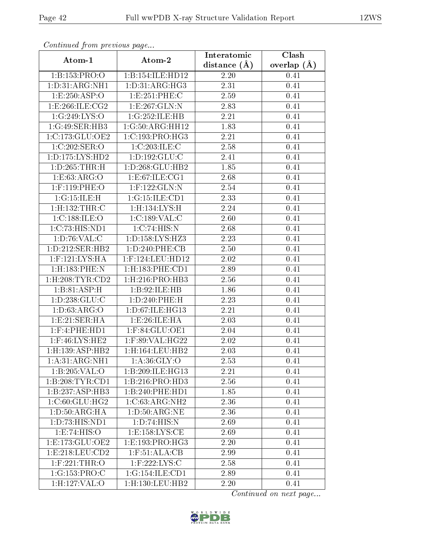| оонынаса јтот ртсоюаз раде |                               | Interatomic       | Clash<br>overlap $(\AA)$ |  |
|----------------------------|-------------------------------|-------------------|--------------------------|--|
| Atom-1                     | Atom-2                        | distance $(A)$    |                          |  |
| 1:B:153:PRO:O              | 1:B:154:ILE:HD12              | 2.20              | 0.41                     |  |
| 1:D:31:ARG:NH1             | 1: D: 31: ARG: HG3            | $\overline{2.31}$ | 0.41                     |  |
| 1:E:250:ASP:O              | 1:E:251:PHE:C                 | 2.59              | 0.41                     |  |
| 1:E:266:ILE:CG2            | 1:E:267:GLN:N                 | 2.83              | 0.41                     |  |
| 1:G:249:LYS:O              | 1:G:252:ILE:HB                | 2.21              | 0.41                     |  |
| 1:G:49:SER:HB3             | 1:G:50:ARG:HH12               | 1.83              | 0.41                     |  |
| 1:C:173:GLU:OE2            | 1:C:193:PRO:HG3               | 2.21              | 0.41                     |  |
| 1:C:202:SER:O              | 1:C:203:ILE:C                 | 2.58              | 0.41                     |  |
| 1: D: 175: LYS: HD2        | 1:D:192:GLU:C                 | 2.41              | 0.41                     |  |
| 1: D: 265: THR:H           | 1:D:268:GLU:HB2               | 1.85              | 0.41                     |  |
| 1:E:63:ARG:O               | 1: E:67: ILE: C <sub>G1</sub> | 2.68              | 0.41                     |  |
| 1:F:119:PHE:O              | $1:$ F:122:GLN:N              | 2.54              | 0.41                     |  |
| 1:G:15:ILE:H               | 1:G:15:ILE:CD1                | 2.33              | 0.41                     |  |
| 1:H:132:THR:C              | 1:H:134:LYS:H                 | 2.24              | 0.41                     |  |
| 1:C:188:ILE:O              | 1:C:189:VAL:CC                | 2.60              | 0.41                     |  |
| 1:C:73:HIS:ND1             | 1:C:74:HIS:N                  | 2.68              | 0.41                     |  |
| 1: D:76: VAL:C             | 1:D:158:LYS:HZ3               | 2.23              | 0.41                     |  |
| 1: D: 212: SER: HB2        | 1: D: 240: PHE: CB            | 2.50              | 0.41                     |  |
| $1:$ F:121:LYS:HA          | 1:F:124:LEU:HD12              | 2.02              | 0.41                     |  |
| $1:$ H $:183:$ PHE $:$ N   | $1:$ H $:183:$ PHE $:$ CD $1$ | 2.89              | 0.41                     |  |
| $1:$ H:208:TYR:CD2         | 1:H:216:PRO:HB3               | 2.56              | 0.41                     |  |
| 1:B:81:ASP:H               | 1:B:92:ILE:HB                 | 1.86              | 0.41                     |  |
| 1: D: 238: GLU: C          | 1:D:240:PHE:H                 | 2.23              | 0.41                     |  |
| 1: D: 63: ARG: O           | 1:D:67:ILE:HG13               | 2.21              | 0.41                     |  |
| 1:E:21:SER:HA              | 1: E:26: ILE: HA              | 2.03              | 0.41                     |  |
| $1:$ F:4:PHE:HD1           | 1:F:84:GLU:OE1                | 2.04              | 0.41                     |  |
| 1:F:46:LYS:HE2             | 1:F:89:VAL:HG22               | 2.02              | 0.41                     |  |
| $1:$ H:139:ASP:HB2         | 1: H: 164: LEU: HB2           | 2.03              | 0.41                     |  |
| 1: A:31: ARG:NH1           | 1: A:36: GLY:O                | 2.53              | 0.41                     |  |
| 1:B:205:VAL:O              | 1:B:209:ILE:HG13              | 2.21              | 0.41                     |  |
| 1:B:208:TYR:CD1            | 1:B:216:PRO:HD3               | 2.56              | 0.41                     |  |
| 1:B:237:ASP:HB3            | 1:B:240:PHE:HD1               | 1.85              | 0.41                     |  |
| 1:C:60:GLU:HG2             | 1:C:63:ARG:NH2                | 2.36              | 0.41                     |  |
| 1: D:50: ARG:HA            | 1: D:50: ARG:NE               | 2.36              | 0.41                     |  |
| 1:D:73:HIS:ND1             | 1:D:74:HIS:N                  | 2.69              | 0.41                     |  |
| 1:E:74:HIS:O               | 1: E: 158: LYS: CE            | 2.69              | 0.41                     |  |
| 1: E: 173: GLU: OE2        | 1:E:193:PRO:HG3               | 2.20              | 0.41                     |  |
| 1:E:218:LEU:CD2            | $1:$ F:51:ALA:CB              | 2.99              | 0.41                     |  |
| $1:$ F:221:THR:O           | $1:$ F:222:LYS:C              | 2.58              | 0.41                     |  |
| 1:G:153:PRO:C              | 1:G:154:ILE:CD1               | 2.89              | 0.41                     |  |
| 1:H:127:VAL:O              | $1:$ H $:130:$ LEU $:$ HB $2$ | 2.20              | 0.41                     |  |

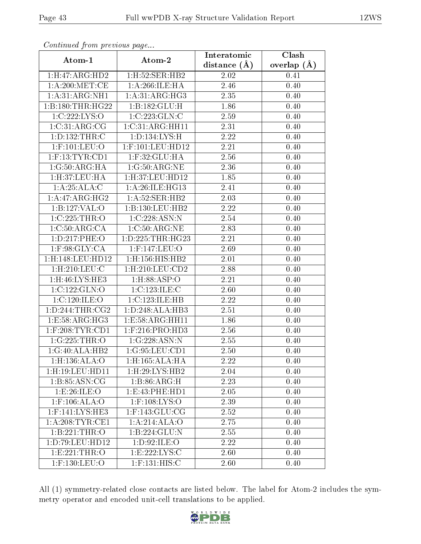| Continuation providuo puga |                               | Interatomic    | Clash           |  |
|----------------------------|-------------------------------|----------------|-----------------|--|
| Atom-1                     | Atom-2                        | distance $(A)$ | overlap $(\AA)$ |  |
| 1: H:47: ARG: HD2          | 1:H:52:SER:HB2                | 2.02           | 0.41            |  |
| 1: A:200:MET:CE            | 1: A:266: ILE: HA             | 2.46           | 0.40            |  |
| 1: A:31: ARG:NH1           | 1:A:31:ARG:HG3                | 2.35           | 0.40            |  |
| 1:B:180:THR:HG22           | 1:B:182:GLU:H                 | 1.86           | 0.40            |  |
| 1:C:222:LYS:O              | 1:C:223:GLN:C                 | 2.59           | 0.40            |  |
| 1:C:31:ARG:CG              | 1:C:31:ARG:HH11               | 2.31           | 0.40            |  |
| 1: D: 132: THR: C          | 1: D: 134: LYS: H             | 2.22           | 0.40            |  |
| $1:$ F:101:LEU:O           | $1:$ F:101:LEU:HD12           | 2.21           | 0.40            |  |
| $1:$ F:13:TYR:CD1          | $1:$ F:32:GLU:HA              | 2.56           | 0.40            |  |
| 1:G:50:ARG:HA              | 1:G:50:ARG:NE                 | 2.36           | 0.40            |  |
| 1: H:37: LEU: HA           | 1:H:37:LEU:HD12               | 1.85           | 0.40            |  |
| 1:A:25:ALA:C               | 1: A:26: ILE: HG13            | 2.41           | 0.40            |  |
| 1: A:47: ARG:HG2           | 1: A:52: SER:HB2              | 2.03           | 0.40            |  |
| 1:B:127:VAL:O              | 1:B:130:LEU:HB2               | 2.22           | 0.40            |  |
| 1:C:225:THR:O              | 1:C:228:ASN:N                 | 2.54           | 0.40            |  |
| 1:C:50:ARG:CA              | 1:C:50:ARG:NE                 | 2.83           | 0.40            |  |
| 1: D: 217: PHE: O          | 1: D: 225: THR: HG23          | 2.21           | 0.40            |  |
| $1:$ F:98:GLY:CA           | $1:$ F:147:LEU:O              | 2.69           | 0.40            |  |
| 1:H:148:LEU:HD12           | 1:H:156:HIS:HB2               | 2.01           | 0.40            |  |
| $1:$ H $:210:$ LEU $:$ C   | $1:$ H $:210:$ LEU $:$ CD $2$ | 2.88           | 0.40            |  |
| 1:H:46:LYS:HE3             | $1:$ H $:88:$ ASP $:$ O       | 2.21           | 0.40            |  |
| 1:C:122:GLN:O              | 1:C:123:ILE:C                 | 2.60           | 0.40            |  |
| 1:C:120:ILE:O              | 1:C:123:ILE:HB                | 2.22           | 0.40            |  |
| 1: D: 244: THR: CG2        | 1: D: 248: ALA: HB3           | 2.51           | 0.40            |  |
| 1:E:58:ARG:HG3             | 1:E:58:ARG:HH11               | 1.86           | 0.40            |  |
| $1:$ F:208:TYR:CD1         | $1:$ F:216:PRO:HD3            | 2.56           | 0.40            |  |
| 1:G:225:THR:O              | 1:G:228:ASN:N                 | 2.55           | 0.40            |  |
| 1:G:40:ALA:HB2             | 1:G:95:LEU:CD1                | 2.50           | 0.40            |  |
| 1: H: 136: ALA: O          | $1:H:165:ALA:\overline{HA}$   | 2.22           | 0.40            |  |
| 1:H:19:LEU:HD11            | $1:$ H $:29:LYS:HB2$          | 2.04           | 0.40            |  |
| 1: B: 85: ASN: CG          | 1:B:86:ARG:H                  | 2.23           | 0.40            |  |
| 1:E:26:ILE:O               | 1:E:43:PHE:HD1                | 2.05           | 0.40            |  |
| $1:$ F:106:ALA:O           | $1:$ F:108:LYS:O              | 2.39           | 0.40            |  |
| 1:F:141:LYS:HE3            | $1:$ F:143:GLU:CG             | 2.52           | 0.40            |  |
| 1: A:208: TYR: CE1         | 1:A:214:ALA:O                 | 2.75           | 0.40            |  |
| 1:B:221:THR:O              | 1:B:224:GLU:N                 | 2.55           | 0.40            |  |
| 1: D: 79: LEU: HD12        | 1: D:92: ILE: O               | 2.22           | 0.40            |  |
| 1:E:221:THR:O              | 1: E: 222: LYS:C              | 2.60           | 0.40            |  |
| 1:F:130:LEU:O              | $1:$ F:131:HIS:C              | 2.60           | 0.40            |  |

All (1) symmetry-related close contacts are listed below. The label for Atom-2 includes the symmetry operator and encoded unit-cell translations to be applied.

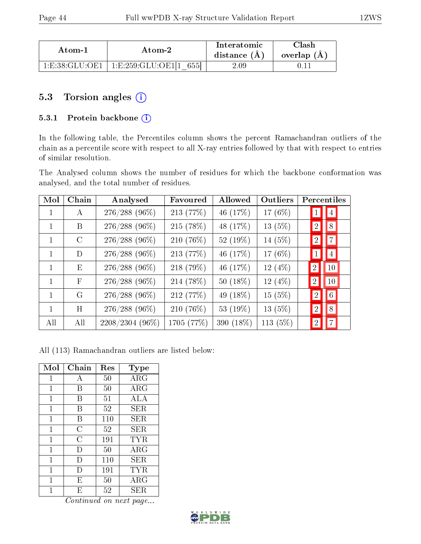| Atom-1         | Atom-2                      | Interatomic<br>distance $(A)$ | ~lash<br>overlap (A) |
|----------------|-----------------------------|-------------------------------|----------------------|
| 1 E 38 GLU OE1 | ՝ 1:E:259:GLU:OE1[1<br>6551 | 2.09                          |                      |

## 5.3 Torsion angles (i)

#### 5.3.1 Protein backbone (i)

In the following table, the Percentiles column shows the percent Ramachandran outliers of the chain as a percentile score with respect to all X-ray entries followed by that with respect to entries of similar resolution.

The Analysed column shows the number of residues for which the backbone conformation was analysed, and the total number of residues.

| Mol          | Chain           | Analysed        | Favoured   | Allowed    | Outliers   | Percentiles      |                 |
|--------------|-----------------|-----------------|------------|------------|------------|------------------|-----------------|
| $\mathbf{1}$ | $\bf{A}$        | $276/288$ (96%) | 213 (77%)  | 46 (17%)   | 17 (6%)    | $\mathbf{I}$     | $\vert 4 \vert$ |
|              | B               | 276/288 (96%)   | 215 (78%)  | 48 (17%)   | $13(5\%)$  | $\left 2\right $ | 8               |
| $\mathbf{1}$ | $\mathcal{C}$   | $276/288$ (96%) | 210 (76%)  | 52 (19%)   | 14 (5%)    | $\left 2\right $ | $ 7\rangle$     |
| $\mathbf{1}$ | D               | $276/288$ (96%) | 213 (77%)  | 46 (17%)   | 17 $(6%)$  | $\vert 1 \vert$  | $\vert 4 \vert$ |
| $\mathbf{1}$ | $E_{\parallel}$ | $276/288$ (96%) | 218 (79%)  | 46 (17%)   | 12 $(4\%)$ | $\overline{2}$   | 10              |
| $\mathbf{1}$ | $\mathbf{F}$    | $276/288$ (96%) | 214 (78%)  | $50(18\%)$ | 12 $(4\%)$ | $\overline{2}$   | 10              |
| $\mathbf{1}$ | G               | $276/288$ (96%) | 212 (77%)  | 49 (18%)   | 15(5%)     | $\overline{2}$   | 6 <sup>1</sup>  |
| 1            | H               | $276/288$ (96%) | 210 (76%)  | 53 (19%)   | 13 $(5%)$  | $\left 2\right $ | 8               |
| All          | All             | 2208/2304 (96%) | 1705 (77%) | 390 (18%)  | 113 $(5%)$ | $\left 2\right $ | $ 7\rangle$     |

All (113) Ramachandran outliers are listed below:

| Mol            | Chain          | Res | <b>Type</b> |
|----------------|----------------|-----|-------------|
| $\overline{1}$ | А              | 50  | ARG         |
| 1              | В              | 50  | ARG         |
| $\mathbf{1}$   | В              | 51  | ALA         |
| $\mathbf{1}$   | В              | 52  | SER.        |
| 1              | В              | 110 | SER.        |
| $\mathbf{1}$   | $\overline{C}$ | 52  | SER         |
| $\mathbf{1}$   | $\overline{C}$ | 191 | TYR         |
| 1              | $\Box$         | 50  | ARG         |
| 1              | $\Box$         | 110 | SER         |
| 1              | Ð              | 191 | <b>TYR</b>  |
| 1              | E              | 50  | ARG         |
| 1              | E              | 52  | SER.        |

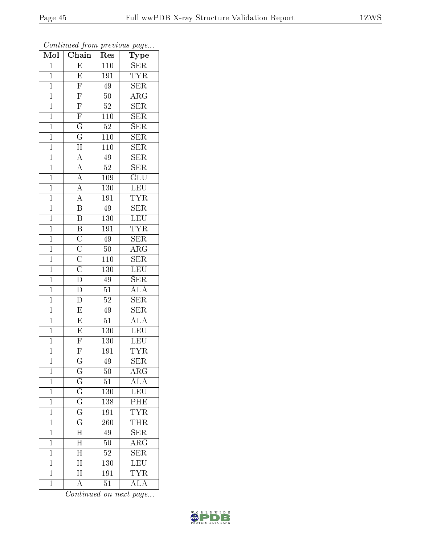| Mol            | $\cdots$ $\cdots$<br>Chain                                                           | r -<br>Res       | $\mathbf{r}$ - $\mathbf{v}$<br>Type |
|----------------|--------------------------------------------------------------------------------------|------------------|-------------------------------------|
| $\mathbf{1}$   | $\overline{\mathrm{E}}$                                                              | 110              | ${\rm SER}$                         |
| $\mathbf{1}$   | $\overline{\mathrm{E}}$                                                              | 191              | <b>TYR</b>                          |
| $\overline{1}$ | $\overline{\mathrm{F}}$                                                              | $\overline{49}$  | SER                                 |
| $\mathbf{1}$   | $\overline{F}$                                                                       | 50               | $\rm{ARG}$                          |
| $\overline{1}$ | $\overline{F}$                                                                       | $52\,$           | $\overline{\text{SER}}$             |
| $\mathbf 1$    |                                                                                      | 110              | $\overline{\text{SER}}$             |
| $\mathbf{1}$   | $\frac{\overline{F}}{G}$                                                             | $52\,$           | <b>SER</b>                          |
| $\mathbf{1}$   | $\overline{G}$                                                                       | 110              | <b>SER</b>                          |
| $\overline{1}$ | $\overline{H}$                                                                       | $\overline{110}$ | <b>SER</b>                          |
| $\mathbf{1}$   | $\overline{A}$                                                                       | 49               | $\overline{\text{SER}}$             |
| $\mathbf{1}$   |                                                                                      | $52\,$           | <b>SER</b>                          |
| $\mathbf{1}$   |                                                                                      | 109              | $\overline{\text{GLU}}$             |
| $\overline{1}$ | $\frac{\overline{A}}{\overline{A}}$ $\frac{\overline{A}}{\overline{A}}$              | 130              | LEU                                 |
| $\mathbf{1}$   |                                                                                      | 191              | <b>TYR</b>                          |
| $\overline{1}$ | $\overline{\mathbf{B}}$                                                              | $\overline{49}$  | $\overline{\text{SER}}$             |
| $\mathbf{1}$   | $\overline{\mathrm{B}}$                                                              | 130              | LEU                                 |
| $\mathbf{1}$   | $\overline{B}\ \overline{C}\ \overline{C}\ \overline{C}\ \overline{C}\ \overline{D}$ | $\overline{191}$ | <b>TYR</b>                          |
| $\mathbf{1}$   |                                                                                      | 49               | $\overline{\text{SER}}$             |
| $\mathbf{1}$   |                                                                                      | 50               | $\overline{\rm{ARG}}$               |
| $\overline{1}$ |                                                                                      | 110              | $\overline{\text{SER}}$             |
| $\mathbf{1}$   |                                                                                      | 130              | LEU                                 |
| $\overline{1}$ |                                                                                      | 49               | SER                                 |
| $\mathbf{1}$   | D                                                                                    | 51               | $\overline{\rm ALA}$                |
| $\overline{1}$ | $\overline{\rm D}$                                                                   | $\overline{52}$  | $\overline{\text{SER}}$             |
| $\overline{1}$ | $\overline{\mathrm{E}}$                                                              | 49               | <b>SER</b>                          |
| $\mathbf{1}$   | $\overline{E}$                                                                       | 51               | $\overline{\rm ALA}$                |
| $\mathbf{1}$   | $\overline{E}$                                                                       | 130              | <b>LEU</b>                          |
| $\overline{1}$ | $\overline{F}$                                                                       | 130              | <b>LEU</b>                          |
| $\overline{1}$ | $\overline{\mathrm{F}}$                                                              | 191              | <b>TYR</b>                          |
| 1              | G                                                                                    | 49               | <b>SER</b>                          |
| $\mathbf{1}$   | $\overline{\rm G}$                                                                   | $\overline{50}$  | $AR\overline{G}$                    |
| $\mathbf{1}$   | $\overline{\mathrm{G}}$                                                              | 51               | <b>ALA</b>                          |
| $\mathbf{1}$   | $\overline{\mathrm{G}}$                                                              | 130              | LEU                                 |
| $\overline{1}$ | $\overline{\mathrm{G}}$                                                              | 138              | PHE                                 |
| $\mathbf 1$    | $\mathbf G$                                                                          | 191              | <b>TYR</b>                          |
| $\mathbf 1$    | $\overline{\mathrm{G}}$                                                              | 260              | THR                                 |
| $\mathbf 1$    | $\overline{H}$                                                                       | 49               | SER                                 |
| $\mathbf 1$    | $\overline{\rm H}$                                                                   | 50               | $\overline{\rm{ARG}}$               |
| $\mathbf 1$    | $\overline{\rm H}$                                                                   | $5\overline{2}$  | $\overline{\text{SER}}$             |
| $\mathbf 1$    | $\overline{\rm H}$                                                                   | 130              | LEU                                 |
| $\mathbf 1$    | $\overline{\mathrm{H}}$                                                              | 191              | <b>TYR</b>                          |
| $\mathbf 1$    | A                                                                                    | 51               | $\overline{\rm ALA}$                |

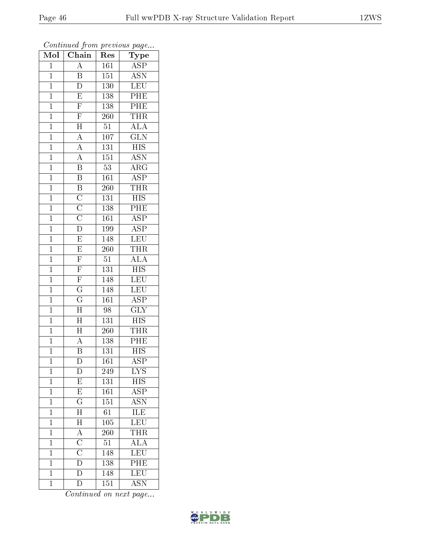| Mol            | $\overline{\text{Chain}}$                                               | Res              | Type                      |
|----------------|-------------------------------------------------------------------------|------------------|---------------------------|
| $\mathbf 1$    | A                                                                       | 161              | <b>ASP</b>                |
| $\mathbf 1$    | B                                                                       | 151              | <b>ASN</b>                |
| $\mathbf{1}$   | $\overline{\rm D}$                                                      | 130              | LEU                       |
| $\overline{1}$ | $\overline{E}$                                                          | 138              | $\overline{\text{PHE}}$   |
| $\overline{1}$ | $\overline{F}$                                                          | 138              | PHE                       |
| $\mathbf{1}$   | $\overline{\mathrm{F}}$                                                 | <b>260</b>       | <b>THR</b>                |
| $\mathbf{1}$   | $\overline{H}$                                                          | $51\,$           | $\overline{\text{ALA}}$   |
| $\mathbf{1}$   | $\overline{A}$                                                          | 107              | $\overline{\text{GLN}}$   |
| $\overline{1}$ | $\overline{A}$                                                          | $\overline{131}$ | <b>HIS</b>                |
| $\overline{1}$ | $\overline{A}$                                                          | $\overline{151}$ | <b>ASN</b>                |
| $\mathbf{1}$   | $\overline{\mathrm{B}}$                                                 | $53\,$           | $\overline{\rm{ARG}}$     |
| $\mathbf{1}$   | $\overline{B}$                                                          | 161              | $\overline{\text{ASP}}$   |
| $\mathbf{1}$   |                                                                         | 260              | <b>THR</b>                |
| $\overline{1}$ | $\frac{\overline{B}}{\overline{C}}$ $\frac{\overline{C}}{\overline{C}}$ | 131              | $\overline{HIS}$          |
| $\overline{1}$ |                                                                         | 138              | $\overline{\rm{PHE}}$     |
| $\mathbf{1}$   |                                                                         | 161              | $\overline{\text{ASP}}$   |
| $\overline{1}$ | $\overline{\mathbf{D}}$                                                 | 199              | $\overline{\text{ASP}}$   |
| $\mathbf{1}$   | $\overline{E}$                                                          | 148              | <b>LEU</b>                |
| $\overline{1}$ | $\overline{\mathrm{E}}$                                                 | 260              | THR                       |
| $\overline{1}$ | $\overline{F}$                                                          | $5\overline{1}$  | $\overline{ALA}$          |
| $\mathbf{1}$   | $\overline{F}$                                                          | 131              | $\overline{HIS}$          |
| $\overline{1}$ | $\overline{F}$                                                          | 148              | <b>LEU</b>                |
| $\overline{1}$ | $\overline{\mathrm{G}}$                                                 | 148              | $\overline{\text{LEU}}$   |
| $\mathbf{1}$   | $\overline{\mathrm{G}}$                                                 | 161              | $\overline{\rm ASP}$      |
| $\mathbf{1}$   | $\overline{\rm H}$                                                      | 98               | $\overline{\text{GLY}}$   |
| $\mathbf{1}$   | $\overline{\rm H}$                                                      | 131              | $\overline{HIS}$          |
| $\mathbf{1}$   | $\overline{\rm H}$                                                      | 260              | <b>THR</b>                |
| $\mathbf{1}$   | $\overline{A}$                                                          | 138              | PHE                       |
| $\overline{1}$ | $\overline{\mathrm{B}}$                                                 | 131              | $\overline{\mathrm{HIS}}$ |
| $\mathbf 1$    | $\mathbf D$                                                             | 161              | $\overline{\text{ASP}}$   |
| $\mathbf{1}$   | D                                                                       | 249              | $\overline{\text{LYS}}$   |
| $\mathbf{1}$   | $\overline{E}$                                                          | 131              | $\overline{HIS}$          |
| $\mathbf 1$    | E                                                                       | 161              | $\overline{\text{ASP}}$   |
| $\mathbf 1$    | $\overline{\mathrm{G}}$                                                 | $\overline{151}$ | $\overline{\mathrm{ASN}}$ |
| $\mathbf 1$    | $\overline{\rm H}$                                                      | $\overline{6}1$  | ILE                       |
| $\mathbf 1$    | $\overline{H}$                                                          | $\overline{105}$ | LEU                       |
| $\mathbf 1$    | $\frac{\overline{A}}{\overline{C}}$                                     | 260              | $\overline{\text{THR}}$   |
| $\overline{1}$ |                                                                         | $\overline{51}$  | $\overline{\rm ALA}$      |
| $\mathbf{1}$   | $\frac{\overline{C}}{D}$                                                | 148              | LEU                       |
| $\mathbf 1$    |                                                                         | 138              | $\overline{\rm{PHE}}$     |
| $\mathbf 1$    | $\overline{\rm D}$                                                      | 148              | $\overline{\text{LEU}}$   |
| $\mathbf{1}$   | $\overline{\rm D}$                                                      | 151              | <b>ASN</b>                |

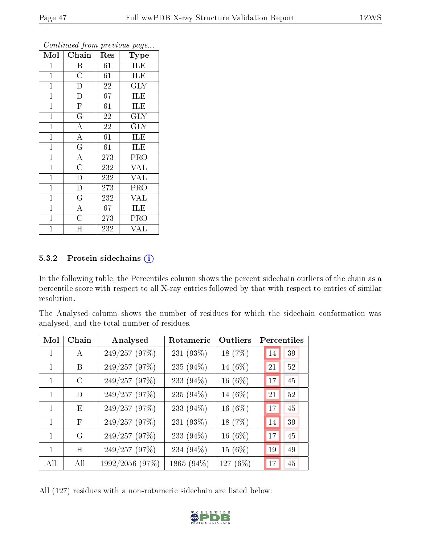| Mol            | Chain                   | Res         | <b>Type</b>             |
|----------------|-------------------------|-------------|-------------------------|
| $\mathbf{1}$   | Β                       | 61          | ILE                     |
| $\mathbf{1}$   | $\overline{\rm C}$      | 61          | <b>ILE</b>              |
| $\mathbf{1}$   | $\overline{D}$          | 22          | $\rm GLY$               |
| $\mathbf{1}$   | $\overline{\rm D}$      | 67          | ILE                     |
| $\mathbf{1}$   | $\overline{\mathrm{F}}$ | 61          | <b>ILE</b>              |
| $\mathbf{1}$   | $\overline{\rm G}$      | 22          | GLY                     |
| $\overline{1}$ | $\overline{\rm A}$      | $\sqrt{22}$ | <b>GLY</b>              |
| $\mathbf{1}$   | $\overline{A}$          | 61          | ILE                     |
| $\overline{1}$ | $\overline{\mathrm{G}}$ | 61          | ILE                     |
| $\overline{1}$ | $\overline{A}$          | 273         | PRO                     |
| $\mathbf{1}$   | $\overline{\rm C}$      | 232         | <b>VAL</b>              |
| $\overline{1}$ | $\overline{\rm D}$      | 232         | $\overline{\text{VAL}}$ |
| $\mathbf{1}$   | $\overline{\mathrm{D}}$ | 273         | PRO                     |
| $\mathbf{1}$   | $\overline{\mathrm{G}}$ | 232         | <b>VAL</b>              |
| $\mathbf 1$    | $\overline{\rm A}$      | 67          | ILE                     |
| $\mathbf{1}$   | $\overline{\text{C}}$   | 273         | PRO                     |
| $\mathbf 1$    | Η                       | 232         | VAL                     |

#### 5.3.2 Protein sidechains (i)

In the following table, the Percentiles column shows the percent sidechain outliers of the chain as a percentile score with respect to all X-ray entries followed by that with respect to entries of similar resolution.

The Analysed column shows the number of residues for which the sidechain conformation was analysed, and the total number of residues.

| Mol          | Chain         | Analysed        | Rotameric  | Outliers   |    | Percentiles |
|--------------|---------------|-----------------|------------|------------|----|-------------|
| 1            | А             | 249/257 (97%)   | 231 (93%)  | 18 (7%)    | 14 | 39          |
| 1            | B             | 249/257 (97%)   | 235 (94%)  | 14 (6%)    | 21 | 52          |
| $\mathbf{1}$ | $\mathcal{C}$ | 249/257 (97%)   | 233 (94%)  | 16 $(6%)$  | 17 | 45          |
| 1            | D             | 249/257 (97%)   | 235 (94%)  | 14 (6%)    | 21 | 52          |
| 1            | E             | 249/257 (97%)   | 233 (94%)  | $16(6\%)$  | 17 | 45          |
| 1            | $\mathbf{F}$  | 249/257 (97%)   | 231 (93%)  | 18 (7%)    | 14 | 39          |
| $\mathbf{1}$ | G             | 249/257 (97%)   | 233 (94%)  | 16 $(6%)$  | 17 | 45          |
| 1            | H             | 249/257 (97%)   | 234 (94%)  | 15 (6%)    | 19 | 49          |
| All          | All           | 1992/2056 (97%) | 1865 (94%) | 127 $(6%)$ | 17 | 45          |

All (127) residues with a non-rotameric sidechain are listed below:

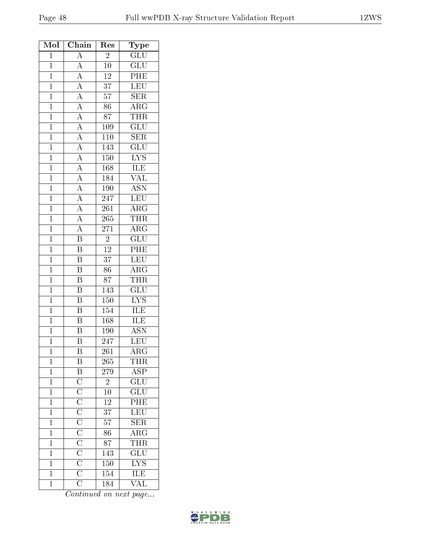| Mol            | Chain                                                                                                                                                                                                                                                                                           | Res              | Type                                            |
|----------------|-------------------------------------------------------------------------------------------------------------------------------------------------------------------------------------------------------------------------------------------------------------------------------------------------|------------------|-------------------------------------------------|
| $\mathbf{1}$   | $\overline{A}$                                                                                                                                                                                                                                                                                  | $\overline{2}$   | $\overline{\text{GLU}}$                         |
| $\mathbf{1}$   | $\overline{A}$                                                                                                                                                                                                                                                                                  | $10\,$           | $\overline{\text{GLU}}$                         |
| $\mathbf{1}$   |                                                                                                                                                                                                                                                                                                 | $\overline{12}$  | $\overline{PHE}$                                |
| $\mathbf{1}$   |                                                                                                                                                                                                                                                                                                 | $\overline{37}$  | $\overline{\text{LEU}}$                         |
| $\mathbf{1}$   |                                                                                                                                                                                                                                                                                                 | $57\,$           | <b>SER</b>                                      |
| $\mathbf{1}$   |                                                                                                                                                                                                                                                                                                 | 86               | $\overline{\rm ARG}$                            |
| $\mathbf{1}$   |                                                                                                                                                                                                                                                                                                 | 87               | <b>THR</b>                                      |
| $\mathbf{1}$   |                                                                                                                                                                                                                                                                                                 | 109              | $\overline{\text{GLU}}$                         |
| $\overline{1}$ |                                                                                                                                                                                                                                                                                                 | $\overline{110}$ | $\overline{\text{SER}}$                         |
| $\mathbf{1}$   |                                                                                                                                                                                                                                                                                                 | 143              | $\overline{\text{GLU}}$                         |
| $\overline{1}$ |                                                                                                                                                                                                                                                                                                 | $\overline{150}$ | $\overline{\text{LYS}}$                         |
| $\mathbf{1}$   |                                                                                                                                                                                                                                                                                                 | 168              | $1\overline{LE}$                                |
| $\overline{1}$ |                                                                                                                                                                                                                                                                                                 | 184              | $\overline{\text{VAL}}$                         |
| $\overline{1}$ | $\frac{\overline{A}}{\overline{A}}$ $\frac{\overline{A}}{\overline{A}}$ $\frac{\overline{A}}{\overline{A}}$ $\frac{\overline{A}}{\overline{A}}$ $\frac{\overline{A}}{\overline{A}}$ $\frac{\overline{A}}{\overline{A}}$ $\frac{\overline{A}}{\overline{A}}$ $\frac{\overline{A}}{\overline{A}}$ | 190              | <b>ASN</b>                                      |
| $\overline{1}$ |                                                                                                                                                                                                                                                                                                 | $\overline{247}$ | $\overline{\text{LEU}}$                         |
| $\mathbf{1}$   | $\frac{\overline{A}}{\overline{A}}$ $\frac{\overline{A}}{\overline{B}}$                                                                                                                                                                                                                         | 261              | $\overline{\rm{ARG}}$                           |
| $\overline{1}$ |                                                                                                                                                                                                                                                                                                 | 265              | <b>THR</b>                                      |
| $\overline{1}$ |                                                                                                                                                                                                                                                                                                 | $\overline{271}$ | $\overline{\rm ARG}$                            |
| $\overline{1}$ |                                                                                                                                                                                                                                                                                                 | $\overline{2}$   | $\overline{\text{GLU}}$                         |
| $\mathbf{1}$   | $\overline{\mathbf{B}}$                                                                                                                                                                                                                                                                         | $\overline{12}$  | $\overline{\text{PHE}}$                         |
| $\mathbf{1}$   | $\overline{\mathbf{B}}$                                                                                                                                                                                                                                                                         | $\overline{37}$  | LEU                                             |
| $\mathbf{1}$   | $\overline{\mathrm{B}}$                                                                                                                                                                                                                                                                         | 86               | $\overline{\text{ARG}}$                         |
| $\overline{1}$ | $\overline{\mathrm{B}}$                                                                                                                                                                                                                                                                         | $\overline{87}$  | <b>THR</b>                                      |
| $\mathbf{1}$   | B                                                                                                                                                                                                                                                                                               | $14\overline{3}$ | $\overline{\text{GLU}}$                         |
| $\mathbf{1}$   | B                                                                                                                                                                                                                                                                                               | $\overline{150}$ | $\overline{\text{LYS}}$                         |
| $\mathbf{1}$   | $\overline{\mathbf{B}}$                                                                                                                                                                                                                                                                         | 154              | <b>ILE</b>                                      |
| $\overline{1}$ | $\overline{\mathrm{B}}$                                                                                                                                                                                                                                                                         | 168              | ILE                                             |
| $\overline{1}$ | $\overline{\mathrm{B}}$                                                                                                                                                                                                                                                                         | 190              | $\overline{\mathrm{ASN}}$                       |
| $\mathbf 1$    | $\overline{\rm B}$                                                                                                                                                                                                                                                                              | 247              | LEU                                             |
| $\mathbf 1$    | Β                                                                                                                                                                                                                                                                                               | $\overline{261}$ | $\overline{\rm{ARG}}$                           |
| $\mathbf{1}$   | $\overline{B}$                                                                                                                                                                                                                                                                                  | 265              | <b>THR</b>                                      |
| $\mathbf{1}$   |                                                                                                                                                                                                                                                                                                 | 279              | $\frac{\overline{\rm ASP}}{\overline{\rm GLU}}$ |
| $\overline{1}$ | $\overline{B}$ $\overline{C}$ $\overline{C}$ $\overline{C}$ $\overline{C}$ $\overline{C}$ $\overline{C}$ $\overline{C}$ $\overline{C}$ $\overline{C}$ $\overline{C}$                                                                                                                            | $\overline{2}$   |                                                 |
| $\mathbf{1}$   |                                                                                                                                                                                                                                                                                                 | $10\,$           |                                                 |
| $\mathbf{1}$   |                                                                                                                                                                                                                                                                                                 | <sup>12</sup>    | PHE                                             |
| $\mathbf{1}$   |                                                                                                                                                                                                                                                                                                 | $\overline{37}$  | LEU                                             |
| $\mathbf{1}$   |                                                                                                                                                                                                                                                                                                 | $57\,$           | SER                                             |
| $\mathbf 1$    |                                                                                                                                                                                                                                                                                                 | $\overline{86}$  | $\overline{\rm{ARG}}$                           |
| $\mathbf{1}$   |                                                                                                                                                                                                                                                                                                 | 87               | <b>THR</b>                                      |
| $\mathbf{1}$   |                                                                                                                                                                                                                                                                                                 | 143              | $\overline{\mathrm{GLU}}$                       |
| $\mathbf{1}$   |                                                                                                                                                                                                                                                                                                 | $150\,$          | $\frac{\overline{\text{LYS}}}{\text{ILE}}$      |
| $\mathbf{1}$   |                                                                                                                                                                                                                                                                                                 | $\overline{154}$ |                                                 |
| $\overline{1}$ | $\overline{\text{C}}$                                                                                                                                                                                                                                                                           | 184              | $\overline{\text{VAL}}$                         |
|                |                                                                                                                                                                                                                                                                                                 |                  |                                                 |

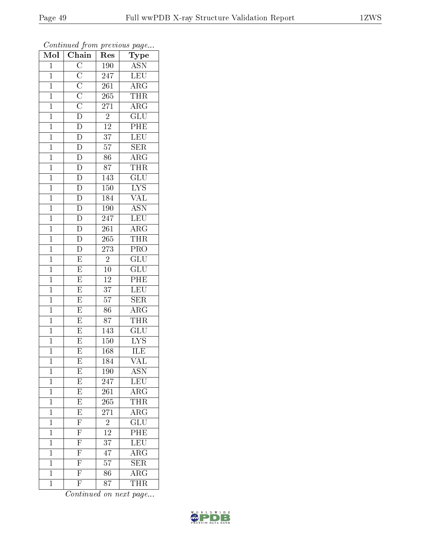| $\overline{\text{Mol}}$ | $\boldsymbol{\mathcal{F}}$<br>$\overline{\text{Chain}}$                 | ı<br>Res         | $\overline{v}$<br>Type     |
|-------------------------|-------------------------------------------------------------------------|------------------|----------------------------|
| $\mathbf{1}$            | $\overline{C}$                                                          | 190              | <b>ASN</b>                 |
| $\mathbf{1}$            |                                                                         | 247              | LEU                        |
| $\overline{1}$          |                                                                         | $\overline{261}$ | $\rm{A}\overline{\rm{RG}}$ |
| $\mathbf{1}$            |                                                                         | 265              | <b>THR</b>                 |
| $\overline{1}$          | $\frac{\overline{C}}{\overline{C}}$ $\frac{\overline{C}}{\overline{D}}$ | 271              | $\overline{\rm{ARG}}$      |
| $\mathbf 1$             |                                                                         | $\overline{2}$   | GLU                        |
| $\overline{1}$          | $\overline{D}$                                                          | $\overline{12}$  | PHE                        |
| $\mathbf{1}$            | $\frac{\overline{D}}{\overline{D}}$                                     | $\overline{37}$  | LEU                        |
| $\mathbf{1}$            |                                                                         | $57\,$           | <b>SER</b>                 |
| $\mathbf{1}$            |                                                                         | $\overline{86}$  | $\overline{\rm{ARG}}$      |
| $\mathbf{1}$            | $\overline{D}$                                                          | 87               | <b>THR</b>                 |
| $\overline{1}$          |                                                                         | $1\overline{43}$ | $\overline{\text{GLU}}$    |
| $\overline{1}$          | $\frac{\overline{D}}{\overline{D}}$                                     | 150              | $\overline{\text{LYS}}$    |
| $\mathbf{1}$            |                                                                         | 184              | $\overline{\text{VAL}}$    |
| $\mathbf{1}$            | $\overline{\rm D}$                                                      | 190              | $\overline{\text{ASN}}$    |
| $\overline{1}$          | $rac{1}{\overline{D}}$                                                  | 247              | LEU                        |
| $\overline{1}$          |                                                                         | $\overline{261}$ | $\overline{\rm ARG}$       |
| $\mathbf{1}$            | $\frac{\overline{D}}{\overline{D}}$                                     | 265              | THR                        |
| $\mathbf{1}$            |                                                                         | 273              | PRO                        |
| $\overline{1}$          | $\overline{\mathrm{E}}$                                                 | $\overline{2}$   | $\overline{\text{GLU}}$    |
| $\mathbf{1}$            | $\overline{\mathrm{E}}$                                                 | $10\,$           | $\overline{\text{GLU}}$    |
| $\overline{1}$          | $\overline{E}$                                                          | 12               | $\overline{\rm{PHE}}$      |
| $\mathbf{1}$            | $\overline{\mathrm{E}}$                                                 | $\overline{37}$  | LEU                        |
| $\overline{1}$          | $\overline{\mathrm{E}}$                                                 | $\overline{57}$  | $\overline{\text{SER}}$    |
| $\mathbf{1}$            | $\overline{E}$                                                          | 86               | $\rm{ARG}$                 |
| $\overline{1}$          | $\overline{E}$                                                          | 87               | <b>THR</b>                 |
| $\mathbf{1}$            | $\overline{E}$                                                          | 143              | $\overline{{\rm GLU}}$     |
| $\mathbf{1}$            | $\overline{\mathrm{E}}$                                                 | $150\,$          | ${\rm LYS}$                |
| $\overline{1}$          | $\overline{\mathrm{E}}$                                                 | 168              | ILE                        |
| $\mathbf 1$             | Ε                                                                       | 184              | VAL                        |
| $\mathbf{1}$            | E                                                                       | 190              | $\overline{\text{ASN}}$    |
| $\mathbf{1}$            | $\overline{\mathrm{E}}$                                                 | 247              | LEU                        |
| $\mathbf 1$             | E                                                                       | 261              | $\rm{ARG}$                 |
| $\mathbf{1}$            | $\overline{\mathrm{E}}$                                                 | 265              | <b>THR</b>                 |
| $\mathbf{1}$            | $\boldsymbol{\mathrm{E}}$                                               | 271              | $\rm{ARG}$                 |
| $\mathbf 1$             | $\overline{\mathrm{F}}$                                                 | $\overline{2}$   | $\overline{\mathrm{GLU}}$  |
| $\mathbf{1}$            | $\overline{\mathrm{F}}$                                                 | 12               | $\overline{\text{PHE}}$    |
| $\mathbf{1}$            | $\overline{\mathrm{F}}$                                                 | $\overline{37}$  | LEU                        |
| $\mathbf{1}$            | $\overline{\mathrm{F}}$                                                 | $\overline{47}$  | $\overline{\rm{ARG}}$      |
| $\overline{1}$          | $\overline{F}$                                                          | 57               | $\overline{\text{SER}}$    |
| $\mathbf 1$             | $\overline{\mathrm{F}}$                                                 | 86               | $\overline{\rm{ARG}}$      |
| $\mathbf 1$             | $\overline{\mathrm{F}}$                                                 | 87               | <b>THR</b>                 |

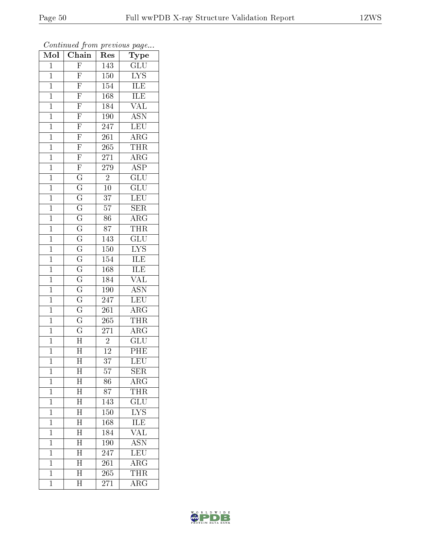ORLDWIDE

**WIN** 

|                         | Continued from previous page |                  |                                                       |  |  |  |
|-------------------------|------------------------------|------------------|-------------------------------------------------------|--|--|--|
| $\overline{\text{Mol}}$ | $\overline{\text{Chain}}$    | Res              | $_{\rm Type}$                                         |  |  |  |
| $\overline{1}$          | $\overline{F}$               | 143              | $\overline{\text{GLU}}$                               |  |  |  |
| $\overline{1}$          | $\mathbf{F}$                 | 150              | $\overline{\text{LYS}}$                               |  |  |  |
| $\overline{1}$          | $\overline{F}$               | $\overline{154}$ | $\frac{\overline{\text{ILE}}}{\overline{\text{ILE}}}$ |  |  |  |
| $\overline{1}$          | $\overline{F}$               | $\overline{168}$ |                                                       |  |  |  |
| $\overline{1}$          | $\overline{F}$               | 184              | <b>VAL</b>                                            |  |  |  |
| $\overline{1}$          | $\overline{F}$               | 190              | $\overline{\text{ASN}}$                               |  |  |  |
| $\overline{1}$          | $\overline{F}$               | $\overline{247}$ | $\overline{\text{LEU}}$                               |  |  |  |
| $\overline{1}$          |                              | $\overline{261}$ | $\overline{\rm ARG}$                                  |  |  |  |
| $\mathbf{1}$            |                              | $\overline{265}$ | <b>THR</b>                                            |  |  |  |
| $\overline{1}$          |                              | $\overline{271}$ | $\overline{\rm ARG}$                                  |  |  |  |
| $\overline{1}$          |                              | 279              | $\overline{\text{ASP}}$                               |  |  |  |
| $\overline{1}$          |                              | $\overline{2}$   | $\overline{{\rm GLU}}$                                |  |  |  |
| $\overline{1}$          |                              | $\overline{10}$  | $\overline{{\rm GLU}}$                                |  |  |  |
| $\mathbf{1}$            |                              | 37               | LEU                                                   |  |  |  |
| $\mathbf 1$             |                              | $\overline{57}$  | $\overline{\text{SER}}$                               |  |  |  |
| $\overline{1}$          |                              | $\overline{86}$  | $\overline{\text{ARG}}$                               |  |  |  |
| $\overline{1}$          |                              | $\overline{87}$  | <b>THR</b>                                            |  |  |  |
| $\mathbf{1}$            |                              | 143              |                                                       |  |  |  |
| $\mathbf{1}$            |                              | $\overline{150}$ | $\frac{\overline{\text{GLU}}}{\text{LYS}}$            |  |  |  |
| $\overline{1}$          |                              | $\overline{154}$ | $\frac{\overline{\text{ILE}}}{\text{ILE}}$            |  |  |  |
| $\overline{1}$          |                              | $\overline{168}$ |                                                       |  |  |  |
| $\overline{1}$          |                              | 184              | $\overline{\text{VAL}}$                               |  |  |  |
| $\mathbf{1}$            |                              | $\overline{190}$ | $\overline{\mathrm{ASN}}$                             |  |  |  |
| $\overline{1}$          |                              | 247              | $\overline{\text{LEU}}$                               |  |  |  |
| $\mathbf 1$             |                              | $\overline{261}$ | $\overline{\rm{ARG}}$                                 |  |  |  |
| $\overline{1}$          |                              | 265              | THR                                                   |  |  |  |
| $\overline{1}$          |                              | $\overline{271}$ | $\overline{\rm{ARG}}$                                 |  |  |  |
| $\mathbf{1}$            | $\overline{\text{H}}$        | $\overline{2}$   | $\overline{{\rm GLU}}$                                |  |  |  |
| 1                       | Η                            | 12               | PHE                                                   |  |  |  |
| $\mathbf{1}$            | $\overline{\mathrm{H}}$      | 37               | <b>LEU</b>                                            |  |  |  |
| $\mathbf{1}$            | $\overline{\mathrm{H}}$      | $57\,$           | <b>SER</b>                                            |  |  |  |
| $\mathbf{1}$            | $\overline{\rm H}$           | 86               | $\overline{\rm{ARG}}$                                 |  |  |  |
| $\mathbf 1$             | $\overline{\mathrm{H}}$      | 87               | <b>THR</b>                                            |  |  |  |
| $\mathbf 1$             | $\overline{\rm H}$           | $1\overline{43}$ | $\overline{\text{GLU}}$                               |  |  |  |
| $\mathbf{1}$            | $\overline{\mathrm{H}}$      | 150              | ${\rm LYS}$                                           |  |  |  |
| $\mathbf 1$             | $\overline{\rm H}$           | 168              | <b>ILE</b>                                            |  |  |  |
| $\mathbf{1}$            | $\overline{\rm H}$           | 184              | $\overline{\text{VAL}}$                               |  |  |  |
| $\mathbf{1}$            | $\overline{\rm H}$           | 190              | $\overline{\mathrm{ASN}}$                             |  |  |  |
| $\mathbf 1$             | $\overline{\rm H}$           | 247              | $\overline{\text{LEU}}$                               |  |  |  |
| $\mathbf 1$             | $\overline{\rm H}$           | 261              | $\overline{\rm{ARG}}$                                 |  |  |  |
| $\mathbf{1}$            | $\overline{\rm H}$           | 265              | <b>THR</b>                                            |  |  |  |
| $\mathbf 1$             | $\overline{\rm H}$           | 271              | $\overline{\rm{ARG}}$                                 |  |  |  |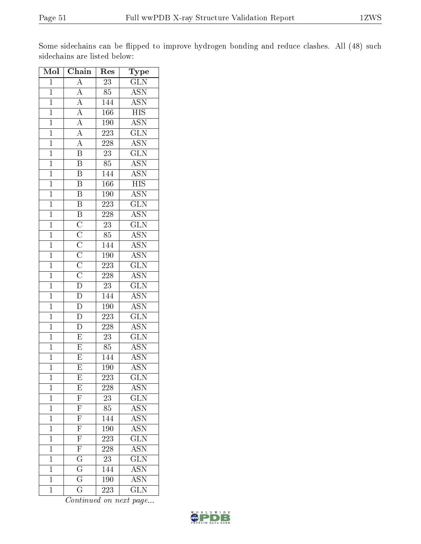Some sidechains can be flipped to improve hydrogen bonding and reduce clashes. All (48) such sidechains are listed below:

| Mol            | Chain                                                                                                                          | Res              | Type                                           |
|----------------|--------------------------------------------------------------------------------------------------------------------------------|------------------|------------------------------------------------|
| $\mathbf{1}$   | $\boldsymbol{A}$                                                                                                               | 23               | GLN                                            |
| $\overline{1}$ | $\overline{A}$                                                                                                                 | $\overline{85}$  | $\overline{\text{ASN}}$                        |
| $\mathbf{1}$   |                                                                                                                                | 144              | <b>ASN</b>                                     |
| $\mathbf{1}$   | $\frac{\overline{A}}{\overline{A}}$                                                                                            | 166              | $\overline{HIS}$                               |
| $\overline{1}$ |                                                                                                                                | 190              | $\overline{ASN}$                               |
| $\mathbf{1}$   | $\frac{\overline{A}}{\overline{A}}$                                                                                            | 223              | $\overline{\text{GLN}}$                        |
| $\overline{1}$ | $\overline{A}$                                                                                                                 | $\overline{228}$ | <b>ASN</b>                                     |
| $\mathbf{1}$   | $\overline{B}$                                                                                                                 | $23\,$           | $\overline{\text{GLN}}$                        |
| $\mathbf{1}$   | $\overline{B}$                                                                                                                 | 85               | <b>ASN</b>                                     |
| $\overline{1}$ | $\overline{\mathrm{B}}$                                                                                                        | 144              | <b>ASN</b>                                     |
| $\overline{1}$ | $\overline{\mathrm{B}}$                                                                                                        | 166              | $\overline{\mathrm{HIS}}$                      |
| $\overline{1}$ | $\overline{B}$                                                                                                                 | <b>190</b>       | $\frac{\overline{\mathrm{ASN}}}{\mathrm{GLN}}$ |
| $\mathbf{1}$   | $\frac{\overline{B}}{\overline{B}}$                                                                                            | 223              |                                                |
| $\overline{1}$ |                                                                                                                                | $\overline{228}$ | $\overline{\mathrm{ASN}}$                      |
| $\overline{1}$ |                                                                                                                                | $\overline{23}$  | $\overline{\text{GLN}}$                        |
| $\overline{1}$ |                                                                                                                                | 85               | $\overline{\text{ASN}}$                        |
| $\overline{1}$ |                                                                                                                                | 144              | $\overline{\text{ASN}}$                        |
| $\mathbf{1}$   |                                                                                                                                | 190              | $\overline{\mathrm{ASN}}$                      |
| $\overline{1}$ |                                                                                                                                | $\overline{223}$ | $\overline{\text{GLN}}$                        |
| $\overline{1}$ |                                                                                                                                | 228              | <b>ASN</b>                                     |
| $\overline{1}$ | $\overline{C}\ \overline{C}\ \overline{C}\ \overline{C}\ \overline{C}\ \overline{D}\ \overline{D}\ \overline{D}\ \overline{D}$ | $\overline{23}$  | $\overline{\text{GLN}}$                        |
| $\overline{1}$ |                                                                                                                                | 144              | <b>ASN</b>                                     |
| $\mathbf{1}$   |                                                                                                                                | 190              | $\overline{\mathrm{ASN}}$                      |
| $\overline{1}$ |                                                                                                                                | 223              | $\overline{\text{GLN}}$                        |
| $\mathbf{1}$   | $\overline{D}$                                                                                                                 | 228              | <b>ASN</b>                                     |
| $\overline{1}$ | $\overline{E}$                                                                                                                 | $\overline{23}$  | $\overline{\text{GLN}}$                        |
| $\mathbf{1}$   | $\boldsymbol{E}$                                                                                                               | 85               | <b>ASN</b>                                     |
| $\mathbf{1}$   | $\overline{\mathrm{E}}$                                                                                                        | 144              | $\overline{\mathrm{ASN}}$                      |
| $\mathbf 1$    | $\overline{\mathrm{E}}$                                                                                                        | 190              | <b>ASN</b>                                     |
| $\mathbf 1$    | E                                                                                                                              | 223              | $\overline{\text{GLN}}$                        |
| $\mathbf 1$    | $\overline{\mathrm{E}}$                                                                                                        | 228              | $\overline{\text{ASN}}$                        |
| $\mathbf 1$    | $\overline{\mathrm{F}}$                                                                                                        | 23               | $\overline{\text{GLN}}$                        |
| $\mathbf{1}$   | $\overline{\mathrm{F}}$                                                                                                        | $\overline{85}$  | ASN<br>ASN                                     |
| $\mathbf{1}$   | $\overline{\mathrm{F}}$                                                                                                        | 144              |                                                |
| $\mathbf{1}$   | $\overline{\mathrm{F}}$                                                                                                        | 190              | <b>ASN</b>                                     |
| $\mathbf 1$    | $\overline{\mathrm{F}}$                                                                                                        | 223              | $\overline{\text{GLN}}$                        |
| $\mathbf{1}$   | $\overline{\mathrm{F}}$                                                                                                        | 228              | $\overline{\mathrm{ASN}}$                      |
| $\mathbf 1$    | $\overline{\mathrm{G}}$                                                                                                        | $\overline{23}$  | $\overline{\text{GLN}}$                        |
| $\mathbf{1}$   | $\overline{\mathrm{G}}$                                                                                                        | 144              | $\overline{\text{ASN}}$                        |
| $\mathbf 1$    | $\overline{\text{G}}$                                                                                                          | 190              | $\overline{\mathrm{ASN}}$                      |
| $\overline{1}$ | $\overline{\mathrm{G}}$                                                                                                        | 223              | $\overline{\text{GLN}}$                        |

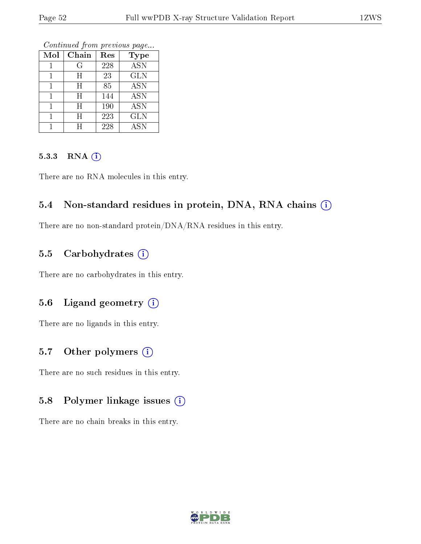Continued from previous page...

| Mol | Chain | Res | <b>Type</b> |
|-----|-------|-----|-------------|
|     | G     | 228 | <b>ASN</b>  |
|     | H     | 23  | <b>GLN</b>  |
|     | H     | 85  | <b>ASN</b>  |
|     | H     | 144 | <b>ASN</b>  |
|     | H     | 190 | <b>ASN</b>  |
|     | H     | 223 | <b>GLN</b>  |
|     | H     | 228 | ASN         |

#### 5.3.3 RNA [O](https://www.wwpdb.org/validation/2017/XrayValidationReportHelp#rna)i

There are no RNA molecules in this entry.

#### 5.4 Non-standard residues in protein, DNA, RNA chains (i)

There are no non-standard protein/DNA/RNA residues in this entry.

#### 5.5 Carbohydrates (i)

There are no carbohydrates in this entry.

#### 5.6 Ligand geometry (i)

There are no ligands in this entry.

#### 5.7 [O](https://www.wwpdb.org/validation/2017/XrayValidationReportHelp#nonstandard_residues_and_ligands)ther polymers  $(i)$

There are no such residues in this entry.

#### 5.8 Polymer linkage issues (i)

There are no chain breaks in this entry.

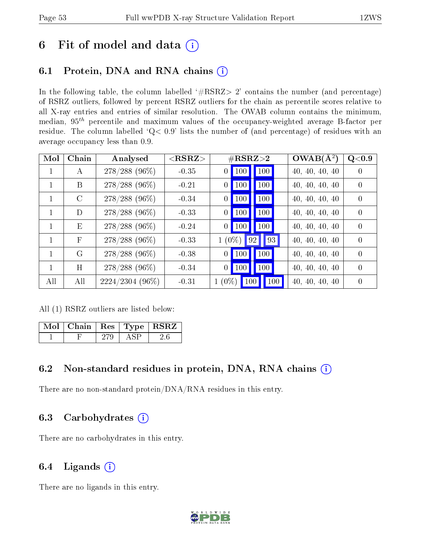## 6 Fit of model and data  $(i)$

## 6.1 Protein, DNA and RNA chains  $(i)$

In the following table, the column labelled  $#RSRZ> 2'$  contains the number (and percentage) of RSRZ outliers, followed by percent RSRZ outliers for the chain as percentile scores relative to all X-ray entries and entries of similar resolution. The OWAB column contains the minimum, median,  $95<sup>th</sup>$  percentile and maximum values of the occupancy-weighted average B-factor per residue. The column labelled ' $Q< 0.9$ ' lists the number of (and percentage) of residues with an average occupancy less than 0.9.

| Mol          | Chain        | Analysed        | ${ <\bf RSRZ}\rm{ >}$ | $\#\text{RSRZ}\text{>2}$       |                                 | $OWAB(A^2)$    | Q<0.9            |
|--------------|--------------|-----------------|-----------------------|--------------------------------|---------------------------------|----------------|------------------|
| 1            | A            | $278/288$ (96%) | $-0.35$               | $\vert$ 100 $\vert$<br>0       | $\vert$ 100 $\vert$             | 40, 40, 40, 40 | $\left( \right)$ |
|              | B            | $278/288$ (96%) | $-0.21$               | $ 100\rangle$<br>0             | 100                             | 40, 40, 40, 40 | $\left( \right)$ |
|              | $\rm C$      | $278/288$ (96%) | $-0.34$               | $\vert$ 100<br>$\overline{0}$  | 100                             | 40, 40, 40, 40 | $\Omega$         |
| $\mathbf{1}$ | D            | $278/288$ (96%) | $-0.33$               | $\vert$ 100<br>$\Omega$        | 100                             | 40, 40, 40, 40 | $\Omega$         |
| $\mathbf{1}$ | E            | $278/288$ (96%) | $-0.24$               | $\vert$ 100<br>$\vert 0 \vert$ | 100                             | 40, 40, 40, 40 | $\Omega$         |
| 1            | $\mathbf{F}$ | $278/288(96\%)$ | $-0.33$               | $1(0\%)$                       | $\vert 92 \vert \vert 93 \vert$ | 40, 40, 40, 40 | $\Omega$         |
| $\mathbf{1}$ | G            | $278/288$ (96%) | $-0.38$               | $\vert$ 100<br>$\vert 0 \vert$ | 100                             | 40, 40, 40, 40 | $\Omega$         |
|              | H            | $278/288$ (96%) | $-0.34$               | $\vert$ 100<br>$\vert 0 \vert$ | 100                             | 40, 40, 40, 40 | $\left( \right)$ |
| All          | All          | 2224/2304 (96%) | $-0.31$               | $1(0\%)$<br>100                | $\vert$ 100 $\vert$             | 40, 40, 40, 40 | $\theta$         |

All (1) RSRZ outliers are listed below:

| Mol   Chain   Res   Type   RSRZ |  |  |
|---------------------------------|--|--|
|                                 |  |  |

## 6.2 Non-standard residues in protein, DNA, RNA chains (i)

There are no non-standard protein/DNA/RNA residues in this entry.

## 6.3 Carbohydrates (i)

There are no carbohydrates in this entry.

## 6.4 Ligands  $(i)$

There are no ligands in this entry.